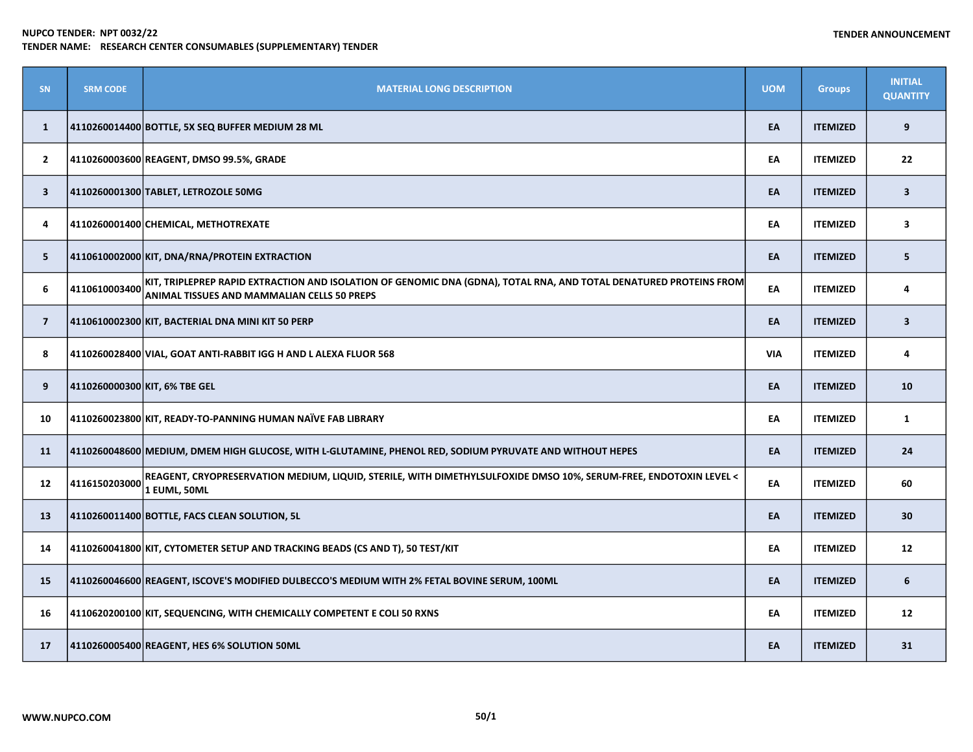| SN             | <b>SRM CODE</b> | <b>MATERIAL LONG DESCRIPTION</b>                                                                                                                                         | <b>UOM</b> | <b>Groups</b>   | <b>INITIAL</b><br><b>QUANTITY</b> |
|----------------|-----------------|--------------------------------------------------------------------------------------------------------------------------------------------------------------------------|------------|-----------------|-----------------------------------|
| $\mathbf{1}$   |                 | 4110260014400 BOTTLE, 5X SEQ BUFFER MEDIUM 28 ML                                                                                                                         | EA         | <b>ITEMIZED</b> | 9                                 |
| $\mathbf{2}$   |                 | 4110260003600 REAGENT, DMSO 99.5%, GRADE                                                                                                                                 | EA         | <b>ITEMIZED</b> | 22                                |
| $\mathbf{3}$   |                 | 4110260001300 TABLET, LETROZOLE 50MG                                                                                                                                     | EA         | <b>ITEMIZED</b> | $\overline{\mathbf{3}}$           |
| 4              |                 | 4110260001400 CHEMICAL, METHOTREXATE                                                                                                                                     | EA         | <b>ITEMIZED</b> | 3                                 |
| 5              |                 | 4110610002000 KIT, DNA/RNA/PROTEIN EXTRACTION                                                                                                                            | EA         | <b>ITEMIZED</b> | 5                                 |
| 6              | 4110610003400   | KIT, TRIPLEPREP RAPID EXTRACTION AND ISOLATION OF GENOMIC DNA (GDNA), TOTAL RNA, AND TOTAL DENATURED PROTEINS FROM<br><b>ANIMAL TISSUES AND MAMMALIAN CELLS 50 PREPS</b> | EA         | <b>ITEMIZED</b> | 4                                 |
| $\overline{7}$ |                 | 4110610002300 KIT, BACTERIAL DNA MINI KIT 50 PERP                                                                                                                        | EA         | <b>ITEMIZED</b> | $\overline{\mathbf{3}}$           |
| 8              |                 | 4110260028400 VIAL, GOAT ANTI-RABBIT IGG H AND L ALEXA FLUOR 568                                                                                                         | <b>VIA</b> | <b>ITEMIZED</b> | 4                                 |
| 9              |                 | 4110260000300 KIT, 6% TBE GEL                                                                                                                                            | EA         | <b>ITEMIZED</b> | 10                                |
| 10             |                 | 4110260023800 KIT, READY-TO-PANNING HUMAN NAÏVE FAB LIBRARY                                                                                                              | EA         | <b>ITEMIZED</b> | $\mathbf{1}$                      |
| 11             |                 | 4110260048600 MEDIUM, DMEM HIGH GLUCOSE, WITH L-GLUTAMINE, PHENOL RED, SODIUM PYRUVATE AND WITHOUT HEPES                                                                 | EA         | <b>ITEMIZED</b> | 24                                |
| 12             | 4116150203000   | REAGENT, CRYOPRESERVATION MEDIUM, LIQUID, STERILE, WITH DIMETHYLSULFOXIDE DMSO 10%, SERUM-FREE, ENDOTOXIN LEVEL<<br>1 EUML, 50ML                                         | EA         | <b>ITEMIZED</b> | 60                                |
| 13             |                 | 4110260011400 BOTTLE, FACS CLEAN SOLUTION, 5L                                                                                                                            | EA         | <b>ITEMIZED</b> | 30                                |
| 14             |                 | 4110260041800 KIT, CYTOMETER SETUP AND TRACKING BEADS (CS AND T), 50 TEST/KIT                                                                                            | EA         | <b>ITEMIZED</b> | 12                                |
| 15             |                 | 4110260046600 REAGENT, ISCOVE'S MODIFIED DULBECCO'S MEDIUM WITH 2% FETAL BOVINE SERUM, 100ML                                                                             | EA         | <b>ITEMIZED</b> | 6                                 |
| 16             |                 | 4110620200100 KIT, SEQUENCING, WITH CHEMICALLY COMPETENT E COLI 50 RXNS                                                                                                  | EA         | <b>ITEMIZED</b> | 12                                |
| 17             |                 | 4110260005400 REAGENT, HES 6% SOLUTION 50ML                                                                                                                              | EA         | <b>ITEMIZED</b> | 31                                |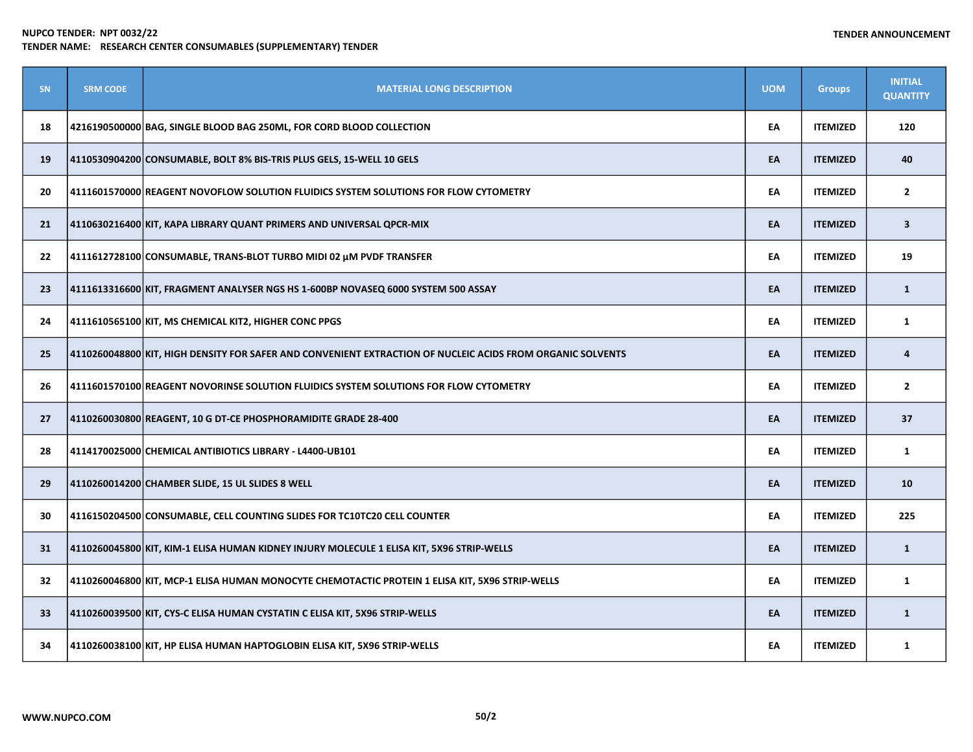| SN | <b>SRM CODE</b> | <b>MATERIAL LONG DESCRIPTION</b>                                                                           | <b>UOM</b> | <b>Groups</b>   | <b>INITIAL</b><br><b>QUANTITY</b> |
|----|-----------------|------------------------------------------------------------------------------------------------------------|------------|-----------------|-----------------------------------|
| 18 |                 | 4216190500000 BAG, SINGLE BLOOD BAG 250ML, FOR CORD BLOOD COLLECTION                                       | EA         | <b>ITEMIZED</b> | 120                               |
| 19 |                 | 4110530904200 CONSUMABLE, BOLT 8% BIS-TRIS PLUS GELS, 15-WELL 10 GELS                                      | EA         | <b>ITEMIZED</b> | 40                                |
| 20 |                 | 4111601570000 REAGENT NOVOFLOW SOLUTION FLUIDICS SYSTEM SOLUTIONS FOR FLOW CYTOMETRY                       | EA         | <b>ITEMIZED</b> | $\overline{2}$                    |
| 21 |                 | 4110630216400 KIT, KAPA LIBRARY QUANT PRIMERS AND UNIVERSAL QPCR-MIX                                       | EA         | <b>ITEMIZED</b> | $\mathbf{3}$                      |
| 22 |                 | 4111612728100 CONSUMABLE, TRANS-BLOT TURBO MIDI 02 μM PVDF TRANSFER                                        | EA         | <b>ITEMIZED</b> | 19                                |
| 23 |                 | 4111613316600 KIT, FRAGMENT ANALYSER NGS HS 1-600BP NOVASEQ 6000 SYSTEM 500 ASSAY                          | EA         | <b>ITEMIZED</b> | $\mathbf{1}$                      |
| 24 |                 | 4111610565100 KIT, MS CHEMICAL KIT2, HIGHER CONC PPGS                                                      | EA         | <b>ITEMIZED</b> | $\mathbf{1}$                      |
| 25 |                 | 4110260048800 KIT, HIGH DENSITY FOR SAFER AND CONVENIENT EXTRACTION OF NUCLEIC ACIDS FROM ORGANIC SOLVENTS | EA         | <b>ITEMIZED</b> | 4                                 |
| 26 |                 | 4111601570100 REAGENT NOVORINSE SOLUTION FLUIDICS SYSTEM SOLUTIONS FOR FLOW CYTOMETRY                      | EA         | <b>ITEMIZED</b> | $\mathbf{2}$                      |
| 27 |                 | 4110260030800 REAGENT, 10 G DT-CE PHOSPHORAMIDITE GRADE 28-400                                             | EA         | <b>ITEMIZED</b> | 37                                |
| 28 |                 | 4114170025000 CHEMICAL ANTIBIOTICS LIBRARY - L4400-UB101                                                   | EA         | <b>ITEMIZED</b> | $\mathbf{1}$                      |
| 29 |                 | 4110260014200 CHAMBER SLIDE, 15 UL SLIDES 8 WELL                                                           | EA         | <b>ITEMIZED</b> | 10                                |
| 30 |                 | 4116150204500 CONSUMABLE, CELL COUNTING SLIDES FOR TC10TC20 CELL COUNTER                                   | EA         | <b>ITEMIZED</b> | 225                               |
| 31 |                 | 4110260045800 KIT, KIM-1 ELISA HUMAN KIDNEY INJURY MOLECULE 1 ELISA KIT, 5X96 STRIP-WELLS                  | EA         | <b>ITEMIZED</b> | $\mathbf{1}$                      |
| 32 |                 | 4110260046800 KIT, MCP-1 ELISA HUMAN MONOCYTE CHEMOTACTIC PROTEIN 1 ELISA KIT, 5X96 STRIP-WELLS            | EA         | <b>ITEMIZED</b> | $\mathbf{1}$                      |
| 33 |                 | 4110260039500 KIT, CYS-C ELISA HUMAN CYSTATIN C ELISA KIT, 5X96 STRIP-WELLS                                | EA         | <b>ITEMIZED</b> | $\mathbf{1}$                      |
| 34 |                 | 4110260038100 KIT, HP ELISA HUMAN HAPTOGLOBIN ELISA KIT, 5X96 STRIP-WELLS                                  | EA         | <b>ITEMIZED</b> | $\mathbf{1}$                      |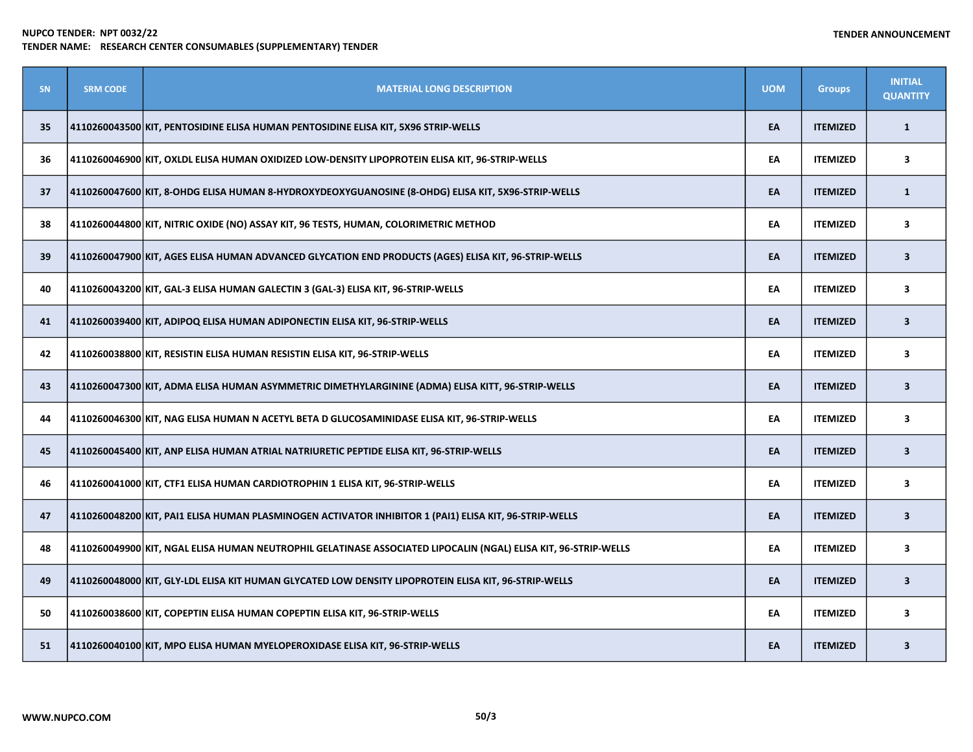| <b>SN</b> | <b>SRM CODE</b> | <b>MATERIAL LONG DESCRIPTION</b>                                                                                | <b>UOM</b> | <b>Groups</b>   | <b>INITIAL</b><br><b>QUANTITY</b> |
|-----------|-----------------|-----------------------------------------------------------------------------------------------------------------|------------|-----------------|-----------------------------------|
| 35        |                 | 4110260043500 KIT, PENTOSIDINE ELISA HUMAN PENTOSIDINE ELISA KIT, 5X96 STRIP-WELLS                              | EA         | <b>ITEMIZED</b> | $\mathbf{1}$                      |
| 36        |                 | 4110260046900 KIT, OXLDL ELISA HUMAN OXIDIZED LOW-DENSITY LIPOPROTEIN ELISA KIT, 96-STRIP-WELLS                 | EA         | <b>ITEMIZED</b> | $\overline{\mathbf{3}}$           |
| 37        |                 | 4110260047600 KIT, 8-OHDG ELISA HUMAN 8-HYDROXYDEOXYGUANOSINE (8-OHDG) ELISA KIT, 5X96-STRIP-WELLS              | EA         | <b>ITEMIZED</b> | $\mathbf{1}$                      |
| 38        |                 | 4110260044800 KIT, NITRIC OXIDE (NO) ASSAY KIT, 96 TESTS, HUMAN, COLORIMETRIC METHOD                            | EA         | <b>ITEMIZED</b> | 3                                 |
| 39        |                 | 4110260047900 KIT, AGES ELISA HUMAN ADVANCED GLYCATION END PRODUCTS (AGES) ELISA KIT, 96-STRIP-WELLS            | EA         | <b>ITEMIZED</b> | $\overline{\mathbf{3}}$           |
| 40        |                 | 4110260043200 KIT, GAL-3 ELISA HUMAN GALECTIN 3 (GAL-3) ELISA KIT, 96-STRIP-WELLS                               | EA         | <b>ITEMIZED</b> | 3                                 |
| 41        |                 | 4110260039400 KIT, ADIPOQ ELISA HUMAN ADIPONECTIN ELISA KIT, 96-STRIP-WELLS                                     | EA         | <b>ITEMIZED</b> | $\overline{\mathbf{3}}$           |
| 42        |                 | 4110260038800 KIT, RESISTIN ELISA HUMAN RESISTIN ELISA KIT, 96-STRIP-WELLS                                      | EA         | <b>ITEMIZED</b> | 3                                 |
| 43        |                 | 4110260047300 KIT, ADMA ELISA HUMAN ASYMMETRIC DIMETHYLARGININE (ADMA) ELISA KITT, 96-STRIP-WELLS               | EA         | <b>ITEMIZED</b> | $\overline{\mathbf{3}}$           |
| 44        |                 | 4110260046300 KIT, NAG ELISA HUMAN N ACETYL BETA D GLUCOSAMINIDASE ELISA KIT, 96-STRIP-WELLS                    | EA         | <b>ITEMIZED</b> | 3                                 |
| 45        |                 | 4110260045400 KIT, ANP ELISA HUMAN ATRIAL NATRIURETIC PEPTIDE ELISA KIT, 96-STRIP-WELLS                         | EA         | <b>ITEMIZED</b> | $\overline{\mathbf{3}}$           |
| 46        |                 | 4110260041000 KIT, CTF1 ELISA HUMAN CARDIOTROPHIN 1 ELISA KIT, 96-STRIP-WELLS                                   | EA         | <b>ITEMIZED</b> | 3                                 |
| 47        |                 | 4110260048200 KIT, PAI1 ELISA HUMAN PLASMINOGEN ACTIVATOR INHIBITOR 1 (PAI1) ELISA KIT, 96-STRIP-WELLS          | EA         | <b>ITEMIZED</b> | $\mathbf{3}$                      |
| 48        |                 | 4110260049900 KIT, NGAL ELISA HUMAN NEUTROPHIL GELATINASE ASSOCIATED LIPOCALIN (NGAL) ELISA KIT, 96-STRIP-WELLS | EA         | <b>ITEMIZED</b> | $\overline{\mathbf{3}}$           |
| 49        |                 | 4110260048000 KIT, GLY-LDL ELISA KIT HUMAN GLYCATED LOW DENSITY LIPOPROTEIN ELISA KIT, 96-STRIP-WELLS           | EA         | <b>ITEMIZED</b> | $\overline{\mathbf{3}}$           |
| 50        |                 | 4110260038600 KIT, COPEPTIN ELISA HUMAN COPEPTIN ELISA KIT, 96-STRIP-WELLS                                      | EA         | <b>ITEMIZED</b> | $\mathbf{3}$                      |
| 51        |                 | 4110260040100 KIT, MPO ELISA HUMAN MYELOPEROXIDASE ELISA KIT, 96-STRIP-WELLS                                    | EA         | <b>ITEMIZED</b> | $\overline{\mathbf{3}}$           |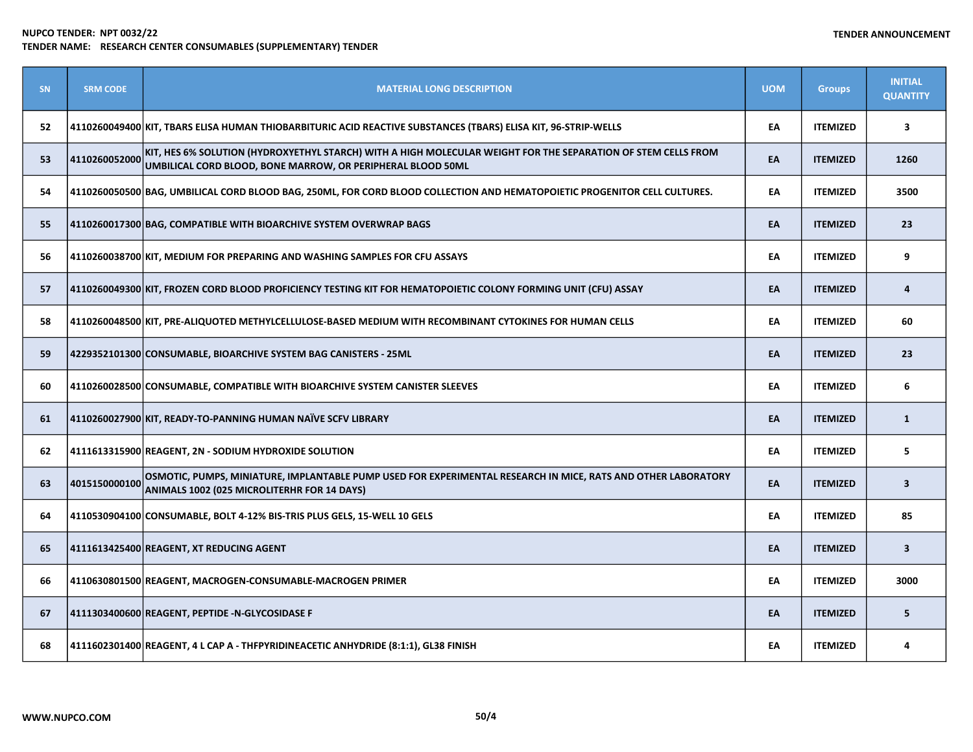| SN | <b>SRM CODE</b> | <b>MATERIAL LONG DESCRIPTION</b>                                                                                                                                             | <b>UOM</b> | <b>Groups</b>   | <b>INITIAL</b><br><b>QUANTITY</b> |
|----|-----------------|------------------------------------------------------------------------------------------------------------------------------------------------------------------------------|------------|-----------------|-----------------------------------|
| 52 |                 | 4110260049400 KIT, TBARS ELISA HUMAN THIOBARBITURIC ACID REACTIVE SUBSTANCES (TBARS) ELISA KIT, 96-STRIP-WELLS                                                               | EA         | <b>ITEMIZED</b> | 3                                 |
| 53 | 4110260052000   | KIT, HES 6% SOLUTION (HYDROXYETHYL STARCH) WITH A HIGH MOLECULAR WEIGHT FOR THE SEPARATION OF STEM CELLS FROM<br>UMBILICAL CORD BLOOD, BONE MARROW, OR PERIPHERAL BLOOD 50ML | EA         | <b>ITEMIZED</b> | 1260                              |
| 54 |                 | 4110260050500 BAG, UMBILICAL CORD BLOOD BAG, 250ML, FOR CORD BLOOD COLLECTION AND HEMATOPOIETIC PROGENITOR CELL CULTURES.                                                    | EA         | <b>ITEMIZED</b> | 3500                              |
| 55 |                 | 4110260017300 BAG, COMPATIBLE WITH BIOARCHIVE SYSTEM OVERWRAP BAGS                                                                                                           | EA         | <b>ITEMIZED</b> | 23                                |
| 56 |                 | 4110260038700 KIT, MEDIUM FOR PREPARING AND WASHING SAMPLES FOR CFU ASSAYS                                                                                                   | EA         | <b>ITEMIZED</b> | 9                                 |
| 57 |                 | 4110260049300 KIT, FROZEN CORD BLOOD PROFICIENCY TESTING KIT FOR HEMATOPOIETIC COLONY FORMING UNIT (CFU) ASSAY                                                               | EA         | <b>ITEMIZED</b> | 4                                 |
| 58 |                 | 4110260048500 KIT, PRE-ALIQUOTED METHYLCELLULOSE-BASED MEDIUM WITH RECOMBINANT CYTOKINES FOR HUMAN CELLS                                                                     | EA         | <b>ITEMIZED</b> | 60                                |
| 59 |                 | 4229352101300 CONSUMABLE, BIOARCHIVE SYSTEM BAG CANISTERS - 25ML                                                                                                             | EA         | <b>ITEMIZED</b> | 23                                |
| 60 |                 | 4110260028500 CONSUMABLE, COMPATIBLE WITH BIOARCHIVE SYSTEM CANISTER SLEEVES                                                                                                 | EA         | <b>ITEMIZED</b> | 6                                 |
| 61 |                 | 4110260027900 KIT, READY-TO-PANNING HUMAN NAÏVE SCFV LIBRARY                                                                                                                 | EA         | <b>ITEMIZED</b> | $\mathbf{1}$                      |
| 62 |                 | 4111613315900 REAGENT, 2N - SODIUM HYDROXIDE SOLUTION                                                                                                                        | EA         | <b>ITEMIZED</b> | 5                                 |
| 63 | 4015150000100   | OSMOTIC, PUMPS, MINIATURE, IMPLANTABLE PUMP USED FOR EXPERIMENTAL RESEARCH IN MICE, RATS AND OTHER LABORATORY<br>ANIMALS 1002 (025 MICROLITERHR FOR 14 DAYS)                 | EA         | <b>ITEMIZED</b> | $\overline{\mathbf{3}}$           |
| 64 |                 | 4110530904100 CONSUMABLE, BOLT 4-12% BIS-TRIS PLUS GELS, 15-WELL 10 GELS                                                                                                     | EA         | <b>ITEMIZED</b> | 85                                |
| 65 |                 | 4111613425400 REAGENT, XT REDUCING AGENT                                                                                                                                     | EA         | <b>ITEMIZED</b> | $\overline{\mathbf{3}}$           |
| 66 |                 | 4110630801500 REAGENT, MACROGEN-CONSUMABLE-MACROGEN PRIMER                                                                                                                   | EA         | <b>ITEMIZED</b> | 3000                              |
| 67 |                 | 4111303400600 REAGENT, PEPTIDE -N-GLYCOSIDASE F                                                                                                                              | EA         | <b>ITEMIZED</b> | 5                                 |
| 68 |                 | 4111602301400 REAGENT, 4 L CAP A - THFPYRIDINEACETIC ANHYDRIDE (8:1:1), GL38 FINISH                                                                                          | EA         | <b>ITEMIZED</b> | 4                                 |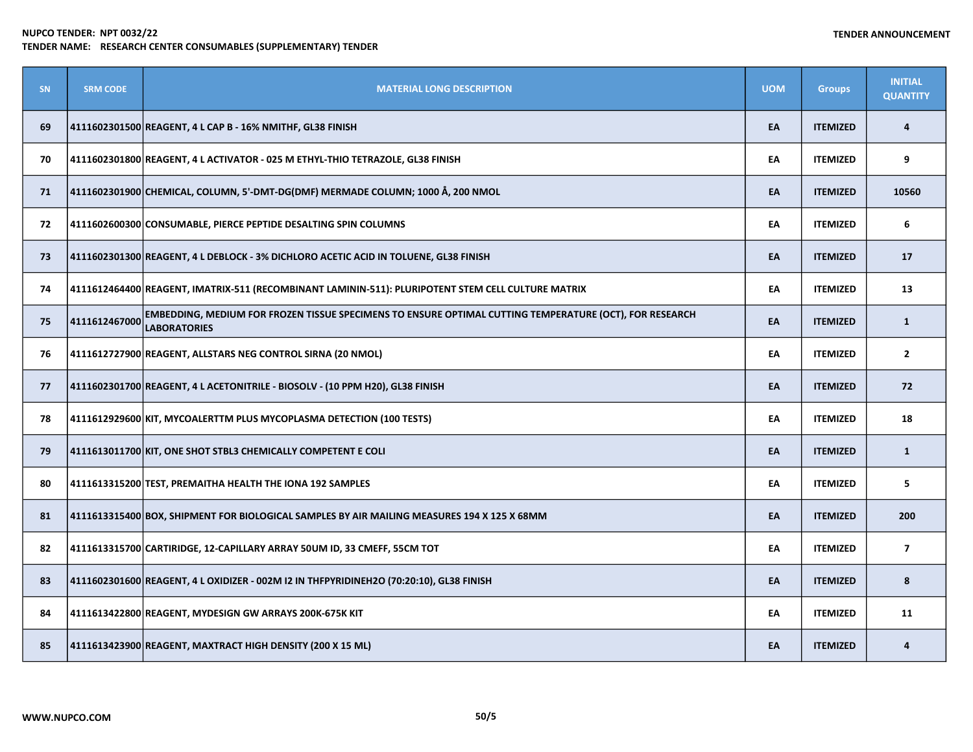| SN | <b>SRM CODE</b> | <b>MATERIAL LONG DESCRIPTION</b>                                                                                               | <b>UOM</b> | <b>Groups</b>   | <b>INITIAL</b><br><b>QUANTITY</b> |
|----|-----------------|--------------------------------------------------------------------------------------------------------------------------------|------------|-----------------|-----------------------------------|
| 69 |                 | 4111602301500 REAGENT, 4 L CAP B - 16% NMITHF, GL38 FINISH                                                                     | EA         | <b>ITEMIZED</b> | 4                                 |
| 70 |                 | 4111602301800 REAGENT, 4 L ACTIVATOR - 025 M ETHYL-THIO TETRAZOLE, GL38 FINISH                                                 | EA         | <b>ITEMIZED</b> | 9                                 |
| 71 |                 | 4111602301900 CHEMICAL, COLUMN, 5'-DMT-DG(DMF) MERMADE COLUMN; 1000 Å, 200 NMOL                                                | EA         | <b>ITEMIZED</b> | 10560                             |
| 72 |                 | 4111602600300 CONSUMABLE, PIERCE PEPTIDE DESALTING SPIN COLUMNS                                                                | EA         | <b>ITEMIZED</b> | 6                                 |
| 73 |                 | 4111602301300 REAGENT, 4 L DEBLOCK - 3% DICHLORO ACETIC ACID IN TOLUENE, GL38 FINISH                                           | EA         | <b>ITEMIZED</b> | 17                                |
| 74 |                 | 4111612464400 REAGENT, IMATRIX-511 (RECOMBINANT LAMININ-511): PLURIPOTENT STEM CELL CULTURE MATRIX                             | EA         | <b>ITEMIZED</b> | 13                                |
| 75 | 4111612467000   | EMBEDDING, MEDIUM FOR FROZEN TISSUE SPECIMENS TO ENSURE OPTIMAL CUTTING TEMPERATURE (OCT), FOR RESEARCH<br><b>LABORATORIES</b> | EA         | <b>ITEMIZED</b> | $\mathbf{1}$                      |
| 76 |                 | 4111612727900 REAGENT, ALLSTARS NEG CONTROL SIRNA (20 NMOL)                                                                    | EA         | <b>ITEMIZED</b> | $\mathbf{2}$                      |
| 77 |                 | 4111602301700 REAGENT, 4 L ACETONITRILE - BIOSOLV - (10 PPM H20), GL38 FINISH                                                  | EA         | <b>ITEMIZED</b> | 72                                |
| 78 |                 | 4111612929600 KIT, MYCOALERTTM PLUS MYCOPLASMA DETECTION (100 TESTS)                                                           | EA         | <b>ITEMIZED</b> | 18                                |
| 79 |                 | 4111613011700 KIT, ONE SHOT STBL3 CHEMICALLY COMPETENT E COLI                                                                  | EA         | <b>ITEMIZED</b> | $\mathbf{1}$                      |
| 80 |                 | 4111613315200 TEST, PREMAITHA HEALTH THE IONA 192 SAMPLES                                                                      | EA         | <b>ITEMIZED</b> | 5                                 |
| 81 |                 | 4111613315400 BOX, SHIPMENT FOR BIOLOGICAL SAMPLES BY AIR MAILING MEASURES 194 X 125 X 68MM                                    | EA         | <b>ITEMIZED</b> | 200                               |
| 82 |                 | 4111613315700 CARTIRIDGE, 12-CAPILLARY ARRAY 50UM ID, 33 CMEFF, 55CM TOT                                                       | EA         | <b>ITEMIZED</b> | $\overline{\mathbf{z}}$           |
| 83 |                 | 4111602301600 REAGENT, 4 L OXIDIZER - 002M I2 IN THFPYRIDINEH2O (70:20:10), GL38 FINISH                                        | EA         | <b>ITEMIZED</b> | 8                                 |
| 84 |                 | 4111613422800 REAGENT, MYDESIGN GW ARRAYS 200K-675K KIT                                                                        | EA         | <b>ITEMIZED</b> | 11                                |
| 85 |                 | 4111613423900 REAGENT, MAXTRACT HIGH DENSITY (200 X 15 ML)                                                                     | EA         | <b>ITEMIZED</b> | 4                                 |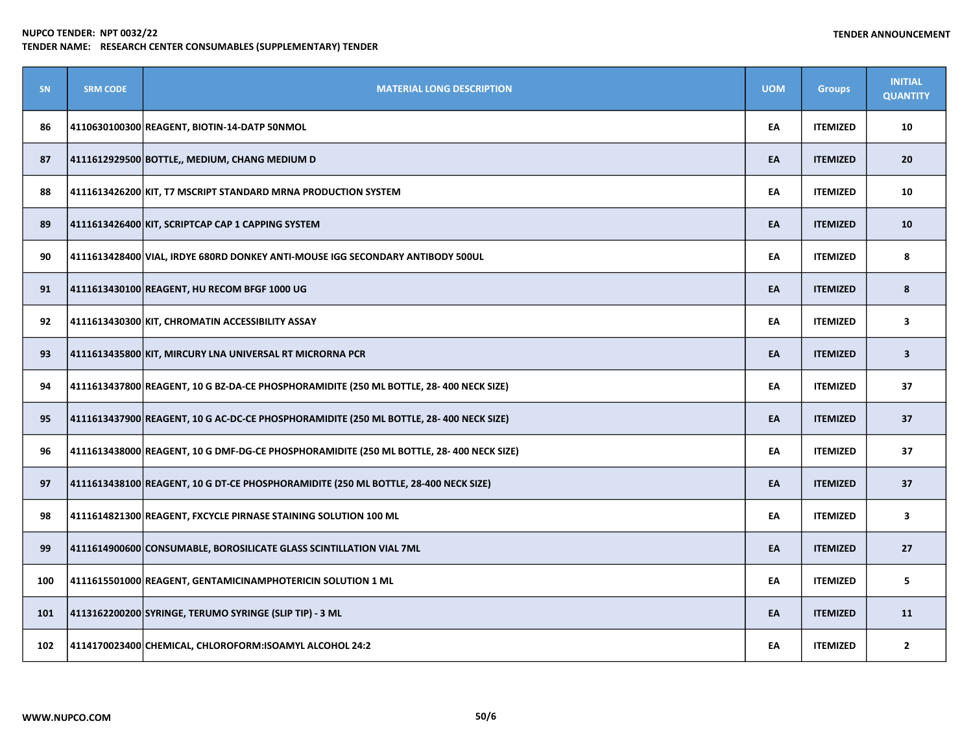| <b>SN</b> | <b>SRM CODE</b> | <b>MATERIAL LONG DESCRIPTION</b>                                                         | <b>UOM</b> | <b>Groups</b>   | <b>INITIAL</b><br><b>QUANTITY</b> |
|-----------|-----------------|------------------------------------------------------------------------------------------|------------|-----------------|-----------------------------------|
| 86        |                 | 4110630100300 REAGENT, BIOTIN-14-DATP 50NMOL                                             | EA         | <b>ITEMIZED</b> | 10                                |
| 87        |                 | 4111612929500 BOTTLE,, MEDIUM, CHANG MEDIUM D                                            | EA         | <b>ITEMIZED</b> | 20                                |
| 88        |                 | 4111613426200 KIT, T7 MSCRIPT STANDARD MRNA PRODUCTION SYSTEM                            | EA         | <b>ITEMIZED</b> | 10                                |
| 89        |                 | 4111613426400 KIT, SCRIPTCAP CAP 1 CAPPING SYSTEM                                        | EA         | <b>ITEMIZED</b> | 10                                |
| 90        |                 | 4111613428400 VIAL, IRDYE 680RD DONKEY ANTI-MOUSE IGG SECONDARY ANTIBODY 500UL           | EA         | <b>ITEMIZED</b> | 8                                 |
| 91        |                 | 4111613430100 REAGENT, HU RECOM BFGF 1000 UG                                             | EA         | <b>ITEMIZED</b> | 8                                 |
| 92        |                 | 4111613430300 KIT, CHROMATIN ACCESSIBILITY ASSAY                                         | EA         | <b>ITEMIZED</b> | 3                                 |
| 93        |                 | 4111613435800 KIT, MIRCURY LNA UNIVERSAL RT MICRORNA PCR                                 | EA         | <b>ITEMIZED</b> | $\overline{\mathbf{3}}$           |
| 94        |                 | 4111613437800 REAGENT, 10 G BZ-DA-CE PHOSPHORAMIDITE (250 ML BOTTLE, 28- 400 NECK SIZE)  | EA         | <b>ITEMIZED</b> | 37                                |
| 95        |                 | 4111613437900 REAGENT, 10 G AC-DC-CE PHOSPHORAMIDITE (250 ML BOTTLE, 28- 400 NECK SIZE)  | EA         | <b>ITEMIZED</b> | 37                                |
| 96        |                 | 4111613438000 REAGENT, 10 G DMF-DG-CE PHOSPHORAMIDITE (250 ML BOTTLE, 28- 400 NECK SIZE) | EA         | <b>ITEMIZED</b> | 37                                |
| 97        |                 | 4111613438100 REAGENT, 10 G DT-CE PHOSPHORAMIDITE (250 ML BOTTLE, 28-400 NECK SIZE)      | EA         | <b>ITEMIZED</b> | 37                                |
| 98        |                 | 4111614821300 REAGENT, FXCYCLE PIRNASE STAINING SOLUTION 100 ML                          | EA         | <b>ITEMIZED</b> | $\overline{\mathbf{3}}$           |
| 99        |                 | 4111614900600 CONSUMABLE, BOROSILICATE GLASS SCINTILLATION VIAL 7ML                      | EA         | <b>ITEMIZED</b> | 27                                |
| 100       |                 | 4111615501000 REAGENT, GENTAMICINAMPHOTERICIN SOLUTION 1 ML                              | EA         | <b>ITEMIZED</b> | 5                                 |
| 101       |                 | 4113162200200 SYRINGE, TERUMO SYRINGE (SLIP TIP) - 3 ML                                  | EA         | <b>ITEMIZED</b> | 11                                |
| 102       |                 | 4114170023400 CHEMICAL, CHLOROFORM:ISOAMYL ALCOHOL 24:2                                  | EA         | <b>ITEMIZED</b> | $\overline{2}$                    |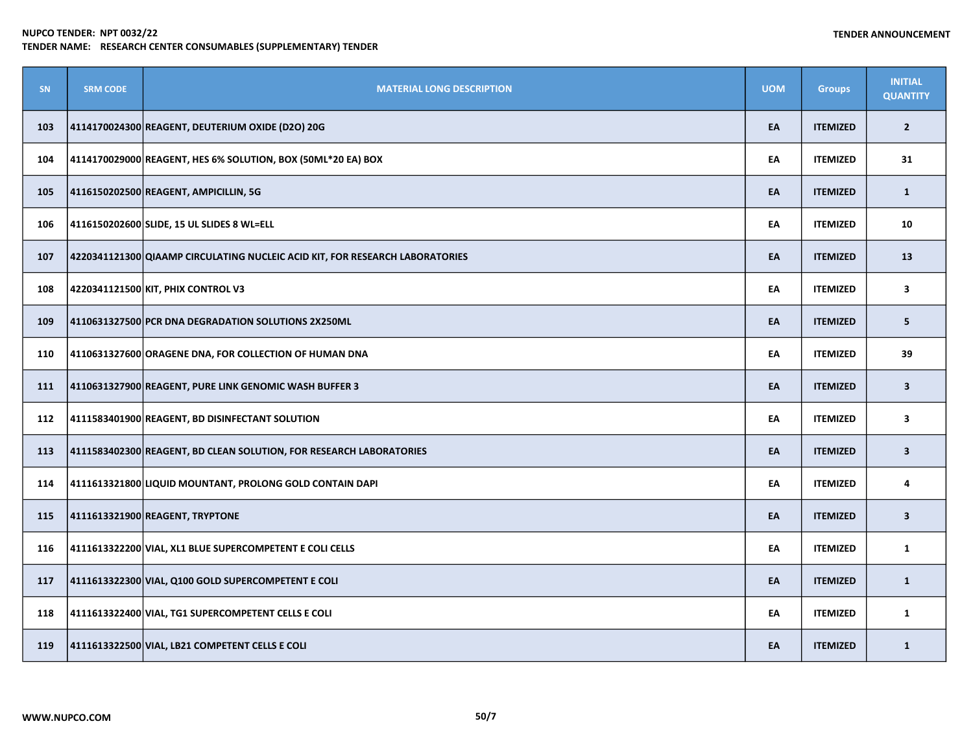| SN  | <b>SRM CODE</b> | <b>MATERIAL LONG DESCRIPTION</b>                                             | <b>UOM</b> | <b>Groups</b>   | <b>INITIAL</b><br><b>QUANTITY</b> |
|-----|-----------------|------------------------------------------------------------------------------|------------|-----------------|-----------------------------------|
| 103 |                 | 4114170024300 REAGENT, DEUTERIUM OXIDE (D2O) 20G                             | EA         | <b>ITEMIZED</b> | $\overline{2}$                    |
| 104 |                 | 4114170029000 REAGENT, HES 6% SOLUTION, BOX (50ML*20 EA) BOX                 | EA         | <b>ITEMIZED</b> | 31                                |
| 105 |                 | 4116150202500 REAGENT, AMPICILLIN, 5G                                        | EA         | <b>ITEMIZED</b> | $\mathbf{1}$                      |
| 106 |                 | 4116150202600 SLIDE, 15 UL SLIDES 8 WL=ELL                                   | EA         | <b>ITEMIZED</b> | 10                                |
| 107 |                 | 4220341121300 QIAAMP CIRCULATING NUCLEIC ACID KIT, FOR RESEARCH LABORATORIES | EA         | <b>ITEMIZED</b> | 13                                |
| 108 |                 | 4220341121500 KIT, PHIX CONTROL V3                                           | EA         | <b>ITEMIZED</b> | $\mathbf{3}$                      |
| 109 |                 | 4110631327500 PCR DNA DEGRADATION SOLUTIONS 2X250ML                          | EA         | <b>ITEMIZED</b> | 5                                 |
| 110 |                 | 4110631327600 ORAGENE DNA, FOR COLLECTION OF HUMAN DNA                       | EA         | <b>ITEMIZED</b> | 39                                |
| 111 |                 | 4110631327900 REAGENT, PURE LINK GENOMIC WASH BUFFER 3                       | EA         | <b>ITEMIZED</b> | $\overline{\mathbf{3}}$           |
| 112 |                 | 4111583401900 REAGENT, BD DISINFECTANT SOLUTION                              | EA         | <b>ITEMIZED</b> | 3                                 |
| 113 |                 | 4111583402300 REAGENT, BD CLEAN SOLUTION, FOR RESEARCH LABORATORIES          | EA         | <b>ITEMIZED</b> | $\overline{\mathbf{3}}$           |
| 114 |                 | 4111613321800 LIQUID MOUNTANT, PROLONG GOLD CONTAIN DAPI                     | EA         | <b>ITEMIZED</b> | 4                                 |
| 115 |                 | 4111613321900 REAGENT, TRYPTONE                                              | EA         | <b>ITEMIZED</b> | $\overline{\mathbf{3}}$           |
| 116 |                 | 4111613322200 VIAL, XL1 BLUE SUPERCOMPETENT E COLI CELLS                     | EA         | <b>ITEMIZED</b> | $\mathbf{1}$                      |
| 117 |                 | 4111613322300 VIAL, Q100 GOLD SUPERCOMPETENT E COLI                          | EA         | <b>ITEMIZED</b> | $\mathbf{1}$                      |
| 118 |                 | 4111613322400 VIAL, TG1 SUPERCOMPETENT CELLS E COLI                          | EA         | <b>ITEMIZED</b> | $\mathbf{1}$                      |
| 119 |                 | 4111613322500 VIAL, LB21 COMPETENT CELLS E COLI                              | EA         | <b>ITEMIZED</b> | $\mathbf{1}$                      |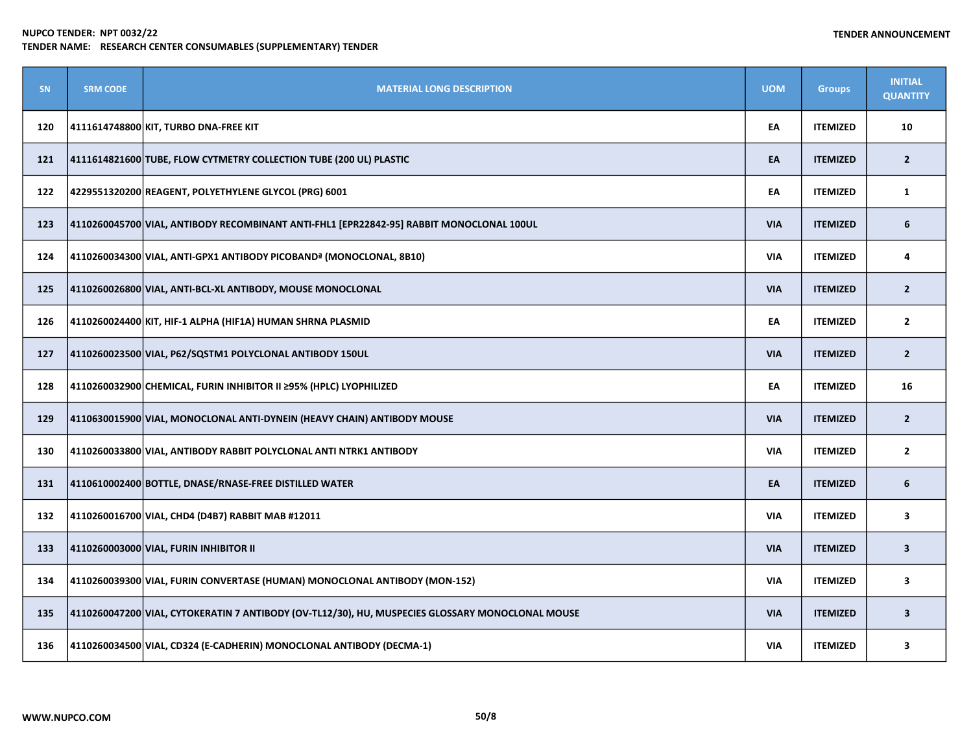| <b>SN</b> | <b>SRM CODE</b> | <b>MATERIAL LONG DESCRIPTION</b>                                                                 | <b>UOM</b> | <b>Groups</b>   | <b>INITIAL</b><br><b>QUANTITY</b> |
|-----------|-----------------|--------------------------------------------------------------------------------------------------|------------|-----------------|-----------------------------------|
| 120       |                 | 4111614748800 KIT, TURBO DNA-FREE KIT                                                            | EA         | <b>ITEMIZED</b> | 10                                |
| 121       |                 | 4111614821600 TUBE, FLOW CYTMETRY COLLECTION TUBE (200 UL) PLASTIC                               | EA         | <b>ITEMIZED</b> | $\overline{2}$                    |
| 122       |                 | 4229551320200 REAGENT, POLYETHYLENE GLYCOL (PRG) 6001                                            | EA         | <b>ITEMIZED</b> | 1                                 |
| 123       |                 | 4110260045700 VIAL, ANTIBODY RECOMBINANT ANTI-FHL1 [EPR22842-95] RABBIT MONOCLONAL 100UL         | <b>VIA</b> | <b>ITEMIZED</b> | 6                                 |
| 124       |                 | 4110260034300 VIAL, ANTI-GPX1 ANTIBODY PICOBAND <sup>a</sup> (MONOCLONAL, 8B10)                  | <b>VIA</b> | <b>ITEMIZED</b> | 4                                 |
| 125       |                 | 4110260026800 VIAL, ANTI-BCL-XL ANTIBODY, MOUSE MONOCLONAL                                       | <b>VIA</b> | <b>ITEMIZED</b> | $\overline{2}$                    |
| 126       |                 | 4110260024400 KIT, HIF-1 ALPHA (HIF1A) HUMAN SHRNA PLASMID                                       | EA         | <b>ITEMIZED</b> | $\overline{2}$                    |
| 127       |                 | 4110260023500 VIAL, P62/SQSTM1 POLYCLONAL ANTIBODY 150UL                                         | <b>VIA</b> | <b>ITEMIZED</b> | $\overline{2}$                    |
| 128       |                 | 4110260032900 CHEMICAL, FURIN INHIBITOR II ≥95% (HPLC) LYOPHILIZED                               | EA         | <b>ITEMIZED</b> | 16                                |
| 129       |                 | 4110630015900 VIAL, MONOCLONAL ANTI-DYNEIN (HEAVY CHAIN) ANTIBODY MOUSE                          | <b>VIA</b> | <b>ITEMIZED</b> | $\overline{2}$                    |
| 130       |                 | 4110260033800 VIAL, ANTIBODY RABBIT POLYCLONAL ANTI NTRK1 ANTIBODY                               | VIA        | <b>ITEMIZED</b> | $\mathbf{2}$                      |
| 131       |                 | 4110610002400 BOTTLE, DNASE/RNASE-FREE DISTILLED WATER                                           | EA         | <b>ITEMIZED</b> | 6                                 |
| 132       |                 | 4110260016700 VIAL, CHD4 (D4B7) RABBIT MAB #12011                                                | <b>VIA</b> | <b>ITEMIZED</b> | 3                                 |
| 133       |                 | 4110260003000 VIAL, FURIN INHIBITOR II                                                           | <b>VIA</b> | <b>ITEMIZED</b> | $\overline{\mathbf{3}}$           |
| 134       |                 | 4110260039300 VIAL, FURIN CONVERTASE (HUMAN) MONOCLONAL ANTIBODY (MON-152)                       | <b>VIA</b> | <b>ITEMIZED</b> | 3                                 |
| 135       |                 | 4110260047200 VIAL, CYTOKERATIN 7 ANTIBODY (OV-TL12/30), HU, MUSPECIES GLOSSARY MONOCLONAL MOUSE | <b>VIA</b> | <b>ITEMIZED</b> | $\overline{\mathbf{3}}$           |
| 136       |                 | 4110260034500 VIAL, CD324 (E-CADHERIN) MONOCLONAL ANTIBODY (DECMA-1)                             | <b>VIA</b> | <b>ITEMIZED</b> | 3                                 |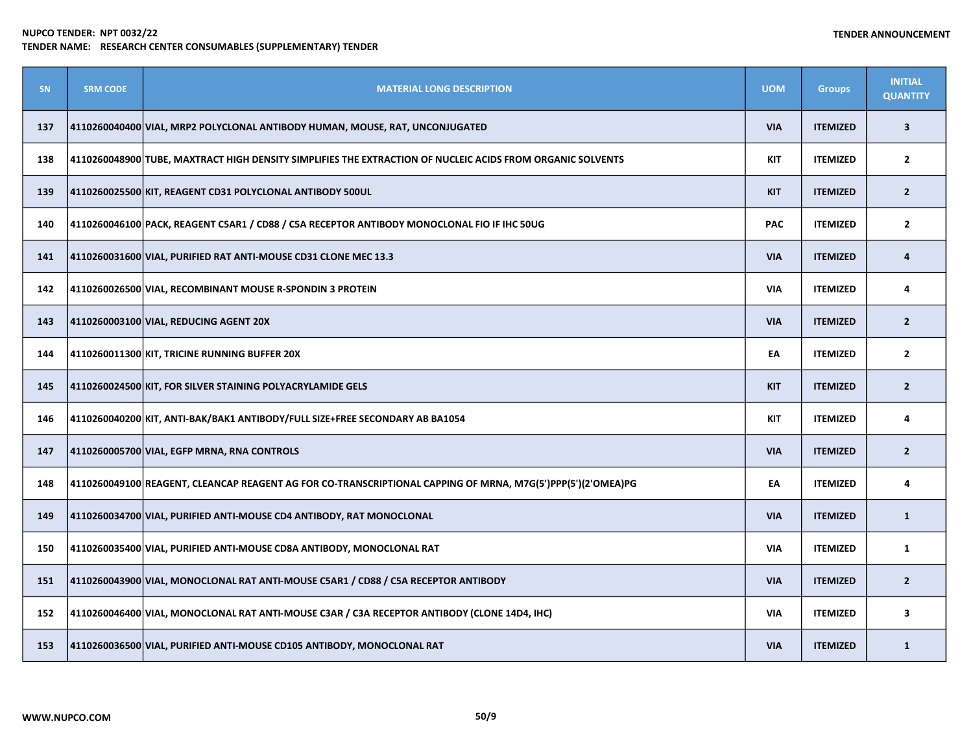| <b>SN</b> | <b>SRM CODE</b> | <b>MATERIAL LONG DESCRIPTION</b>                                                                            | <b>UOM</b> | <b>Groups</b>   | <b>INITIAL</b><br><b>QUANTITY</b> |
|-----------|-----------------|-------------------------------------------------------------------------------------------------------------|------------|-----------------|-----------------------------------|
| 137       |                 | 4110260040400 VIAL, MRP2 POLYCLONAL ANTIBODY HUMAN, MOUSE, RAT, UNCONJUGATED                                | <b>VIA</b> | <b>ITEMIZED</b> | $\overline{\mathbf{3}}$           |
| 138       |                 | 4110260048900 TUBE, MAXTRACT HIGH DENSITY SIMPLIFIES THE EXTRACTION OF NUCLEIC ACIDS FROM ORGANIC SOLVENTS  | KIT        | <b>ITEMIZED</b> | $\mathbf{2}$                      |
| 139       |                 | 4110260025500 KIT, REAGENT CD31 POLYCLONAL ANTIBODY 500UL                                                   | <b>KIT</b> | <b>ITEMIZED</b> | 2 <sup>1</sup>                    |
| 140       |                 | 4110260046100 PACK, REAGENT C5AR1 / CD88 / C5A RECEPTOR ANTIBODY MONOCLONAL FIO IF IHC 50UG                 | <b>PAC</b> | <b>ITEMIZED</b> | $\mathbf{2}$                      |
| 141       |                 | 4110260031600 VIAL, PURIFIED RAT ANTI-MOUSE CD31 CLONE MEC 13.3                                             | <b>VIA</b> | <b>ITEMIZED</b> | 4                                 |
| 142       |                 | 4110260026500 VIAL, RECOMBINANT MOUSE R-SPONDIN 3 PROTEIN                                                   | <b>VIA</b> | <b>ITEMIZED</b> | 4                                 |
| 143       |                 | 4110260003100 VIAL, REDUCING AGENT 20X                                                                      | <b>VIA</b> | <b>ITEMIZED</b> | $\overline{2}$                    |
| 144       |                 | 4110260011300 KIT, TRICINE RUNNING BUFFER 20X                                                               | EA         | <b>ITEMIZED</b> | $\overline{2}$                    |
| 145       |                 | 4110260024500 KIT, FOR SILVER STAINING POLYACRYLAMIDE GELS                                                  | <b>KIT</b> | <b>ITEMIZED</b> | $\overline{2}$                    |
| 146       |                 | 4110260040200 KIT, ANTI-BAK/BAK1 ANTIBODY/FULL SIZE+FREE SECONDARY AB BA1054                                | KIT        | <b>ITEMIZED</b> | 4                                 |
| 147       |                 | 4110260005700 VIAL, EGFP MRNA, RNA CONTROLS                                                                 | <b>VIA</b> | <b>ITEMIZED</b> | $\overline{2}$                    |
| 148       |                 | 4110260049100 REAGENT, CLEANCAP REAGENT AG FOR CO-TRANSCRIPTIONAL CAPPING OF MRNA, M7G(5')PPP(5')(2'OMEA)PG | EA         | <b>ITEMIZED</b> | 4                                 |
| 149       |                 | $\vert$ 4110260034700 $\vert$ VIAL, PURIFIED ANTI-MOUSE CD4 ANTIBODY, RAT MONOCLONAL                        | <b>VIA</b> | <b>ITEMIZED</b> | $\mathbf{1}$                      |
| 150       |                 | 4110260035400 VIAL, PURIFIED ANTI-MOUSE CD8A ANTIBODY, MONOCLONAL RAT                                       | <b>VIA</b> | <b>ITEMIZED</b> | $\mathbf{1}$                      |
| 151       |                 | 4110260043900 VIAL, MONOCLONAL RAT ANTI-MOUSE C5AR1 / CD88 / C5A RECEPTOR ANTIBODY                          | <b>VIA</b> | <b>ITEMIZED</b> | $\overline{2}$                    |
| 152       |                 | 4110260046400 VIAL, MONOCLONAL RAT ANTI-MOUSE C3AR / C3A RECEPTOR ANTIBODY (CLONE 14D4, IHC)                | <b>VIA</b> | <b>ITEMIZED</b> | 3                                 |
| 153       |                 | 4110260036500 VIAL, PURIFIED ANTI-MOUSE CD105 ANTIBODY, MONOCLONAL RAT                                      | <b>VIA</b> | <b>ITEMIZED</b> | $\mathbf{1}$                      |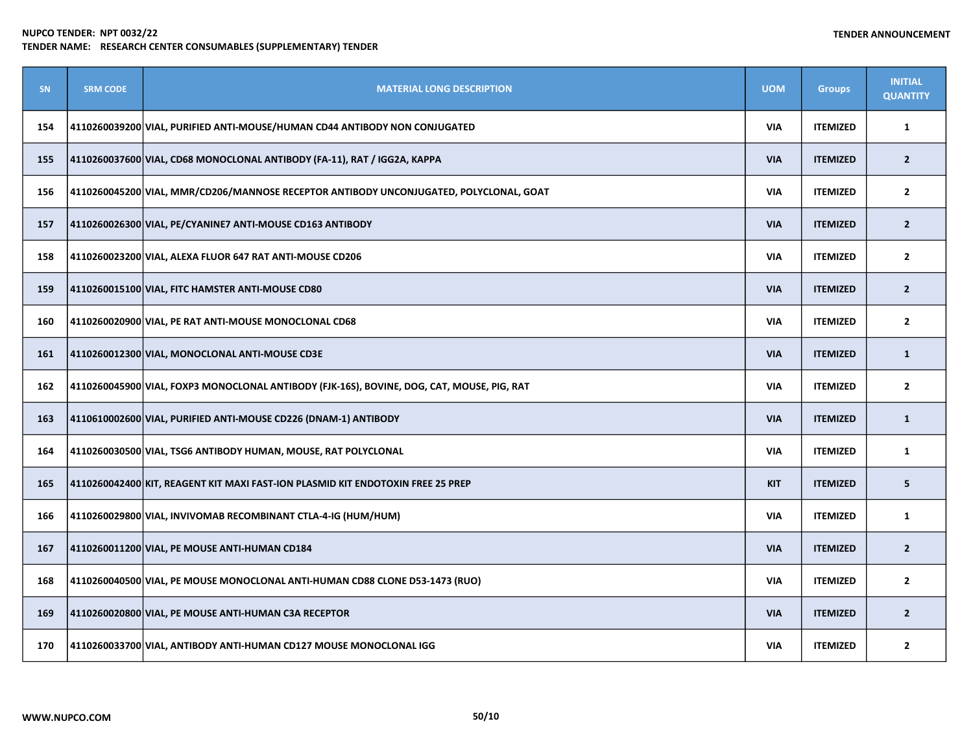| SN  | <b>SRM CODE</b> | <b>MATERIAL LONG DESCRIPTION</b>                                                           | <b>UOM</b> | <b>Groups</b>   | <b>INITIAL</b><br><b>QUANTITY</b> |
|-----|-----------------|--------------------------------------------------------------------------------------------|------------|-----------------|-----------------------------------|
| 154 |                 | 4110260039200 VIAL, PURIFIED ANTI-MOUSE/HUMAN CD44 ANTIBODY NON CONJUGATED                 | <b>VIA</b> | <b>ITEMIZED</b> | 1                                 |
| 155 |                 | 4110260037600 VIAL, CD68 MONOCLONAL ANTIBODY (FA-11), RAT / IGG2A, KAPPA                   | <b>VIA</b> | <b>ITEMIZED</b> | $\overline{2}$                    |
| 156 |                 | 4110260045200 VIAL, MMR/CD206/MANNOSE RECEPTOR ANTIBODY UNCONJUGATED, POLYCLONAL, GOAT     | <b>VIA</b> | <b>ITEMIZED</b> | $\overline{2}$                    |
| 157 |                 | 4110260026300 VIAL, PE/CYANINE7 ANTI-MOUSE CD163 ANTIBODY                                  | <b>VIA</b> | <b>ITEMIZED</b> | $\overline{2}$                    |
| 158 |                 | 4110260023200 VIAL, ALEXA FLUOR 647 RAT ANTI-MOUSE CD206                                   | <b>VIA</b> | <b>ITEMIZED</b> | $\mathbf{2}$                      |
| 159 |                 | 4110260015100 VIAL, FITC HAMSTER ANTI-MOUSE CD80                                           | <b>VIA</b> | <b>ITEMIZED</b> | $\overline{2}$                    |
| 160 |                 | 4110260020900 VIAL, PE RAT ANTI-MOUSE MONOCLONAL CD68                                      | <b>VIA</b> | <b>ITEMIZED</b> | $\mathbf{2}$                      |
| 161 |                 | 4110260012300 VIAL, MONOCLONAL ANTI-MOUSE CD3E                                             | <b>VIA</b> | <b>ITEMIZED</b> | $\mathbf{1}$                      |
| 162 |                 | 4110260045900 VIAL, FOXP3 MONOCLONAL ANTIBODY (FJK-16S), BOVINE, DOG, CAT, MOUSE, PIG, RAT | <b>VIA</b> | <b>ITEMIZED</b> | $\mathbf{2}$                      |
| 163 |                 | 4110610002600 VIAL, PURIFIED ANTI-MOUSE CD226 (DNAM-1) ANTIBODY                            | <b>VIA</b> | <b>ITEMIZED</b> | $\mathbf{1}$                      |
| 164 |                 | 4110260030500 VIAL, TSG6 ANTIBODY HUMAN, MOUSE, RAT POLYCLONAL                             | <b>VIA</b> | <b>ITEMIZED</b> | $\mathbf{1}$                      |
| 165 |                 | 4110260042400 KIT, REAGENT KIT MAXI FAST-ION PLASMID KIT ENDOTOXIN FREE 25 PREP            | <b>KIT</b> | <b>ITEMIZED</b> | 5                                 |
| 166 |                 | 4110260029800 VIAL, INVIVOMAB RECOMBINANT CTLA-4-IG (HUM/HUM)                              | <b>VIA</b> | <b>ITEMIZED</b> | $\mathbf{1}$                      |
| 167 |                 | 4110260011200 VIAL, PE MOUSE ANTI-HUMAN CD184                                              | <b>VIA</b> | <b>ITEMIZED</b> | $\overline{2}$                    |
| 168 |                 | 4110260040500 VIAL, PE MOUSE MONOCLONAL ANTI-HUMAN CD88 CLONE D53-1473 (RUO)               | <b>VIA</b> | <b>ITEMIZED</b> | $\mathbf{2}$                      |
| 169 |                 | 4110260020800 VIAL, PE MOUSE ANTI-HUMAN C3A RECEPTOR                                       | <b>VIA</b> | <b>ITEMIZED</b> | $\overline{2}$                    |
| 170 |                 | 4110260033700 VIAL, ANTIBODY ANTI-HUMAN CD127 MOUSE MONOCLONAL IGG                         | <b>VIA</b> | <b>ITEMIZED</b> | $\mathbf{2}$                      |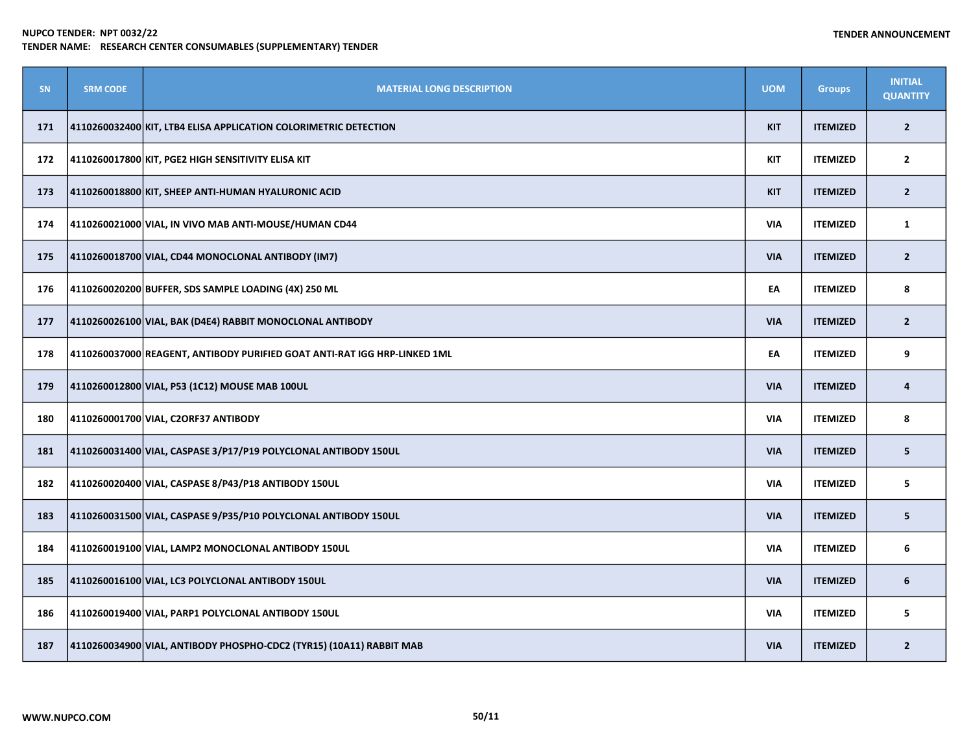| SN  | <b>SRM CODE</b> | <b>MATERIAL LONG DESCRIPTION</b>                                          | <b>UOM</b> | <b>Groups</b>   | <b>INITIAL</b><br><b>QUANTITY</b> |
|-----|-----------------|---------------------------------------------------------------------------|------------|-----------------|-----------------------------------|
| 171 |                 | 4110260032400 KIT, LTB4 ELISA APPLICATION COLORIMETRIC DETECTION          | <b>KIT</b> | <b>ITEMIZED</b> | $\overline{2}$                    |
| 172 |                 | 4110260017800 KIT, PGE2 HIGH SENSITIVITY ELISA KIT                        | KIT        | <b>ITEMIZED</b> | $\overline{2}$                    |
| 173 |                 | 4110260018800 KIT, SHEEP ANTI-HUMAN HYALURONIC ACID                       | <b>KIT</b> | <b>ITEMIZED</b> | $\overline{2}$                    |
| 174 |                 | 4110260021000 VIAL, IN VIVO MAB ANTI-MOUSE/HUMAN CD44                     | <b>VIA</b> | <b>ITEMIZED</b> | $\mathbf{1}$                      |
| 175 |                 | 4110260018700 VIAL, CD44 MONOCLONAL ANTIBODY (IM7)                        | <b>VIA</b> | <b>ITEMIZED</b> | $\overline{2}$                    |
| 176 |                 | 4110260020200 BUFFER, SDS SAMPLE LOADING (4X) 250 ML                      | EA         | <b>ITEMIZED</b> | 8                                 |
| 177 |                 | 4110260026100 VIAL, BAK (D4E4) RABBIT MONOCLONAL ANTIBODY                 | <b>VIA</b> | <b>ITEMIZED</b> | $\overline{2}$                    |
| 178 |                 | 4110260037000 REAGENT, ANTIBODY PURIFIED GOAT ANTI-RAT IGG HRP-LINKED 1ML | EA         | <b>ITEMIZED</b> | 9                                 |
| 179 |                 | 4110260012800 VIAL, P53 (1C12) MOUSE MAB 100UL                            | <b>VIA</b> | <b>ITEMIZED</b> | 4                                 |
| 180 |                 | 4110260001700 VIAL, C2ORF37 ANTIBODY                                      | <b>VIA</b> | <b>ITEMIZED</b> | 8                                 |
| 181 |                 | 4110260031400 VIAL, CASPASE 3/P17/P19 POLYCLONAL ANTIBODY 150UL           | <b>VIA</b> | <b>ITEMIZED</b> | 5                                 |
| 182 |                 | 4110260020400 VIAL, CASPASE 8/P43/P18 ANTIBODY 150UL                      | <b>VIA</b> | <b>ITEMIZED</b> | 5                                 |
| 183 |                 | 4110260031500 VIAL, CASPASE 9/P35/P10 POLYCLONAL ANTIBODY 150UL           | <b>VIA</b> | <b>ITEMIZED</b> | 5                                 |
| 184 |                 | 4110260019100 VIAL, LAMP2 MONOCLONAL ANTIBODY 150UL                       | <b>VIA</b> | <b>ITEMIZED</b> | 6                                 |
| 185 |                 | 4110260016100 VIAL, LC3 POLYCLONAL ANTIBODY 150UL                         | <b>VIA</b> | <b>ITEMIZED</b> | 6                                 |
| 186 |                 | 4110260019400 VIAL, PARP1 POLYCLONAL ANTIBODY 150UL                       | <b>VIA</b> | <b>ITEMIZED</b> | 5                                 |
| 187 |                 | 4110260034900  VIAL, ANTIBODY PHOSPHO-CDC2 (TYR15) (10A11) RABBIT MAB     | <b>VIA</b> | <b>ITEMIZED</b> | $\overline{2}$                    |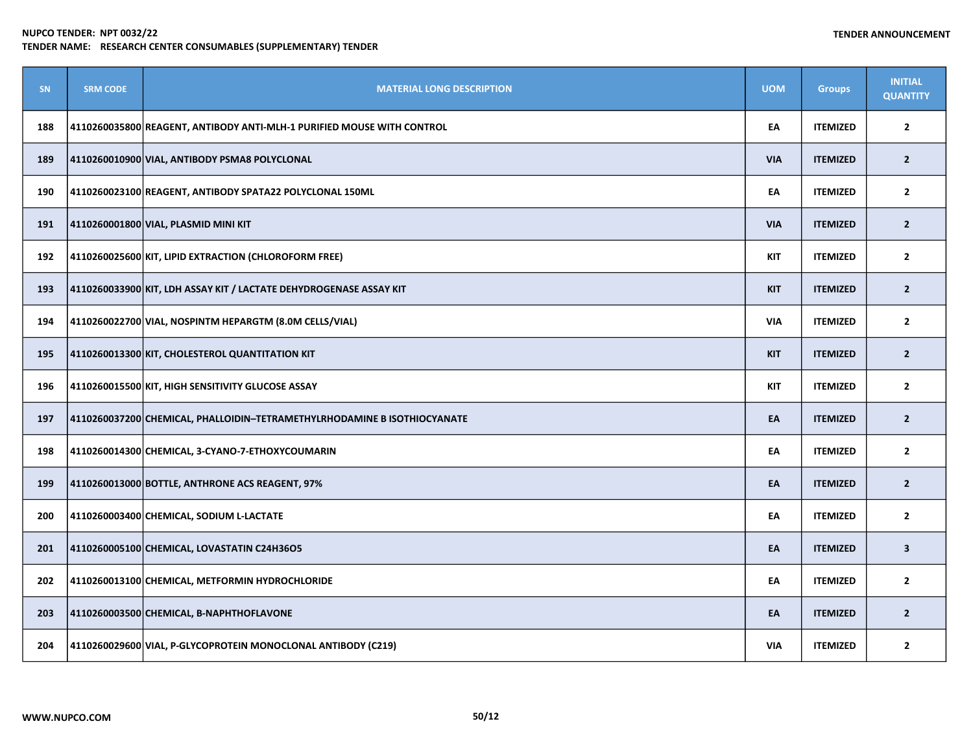| SN  | <b>SRM CODE</b> | <b>MATERIAL LONG DESCRIPTION</b>                                                   | <b>UOM</b> | <b>Groups</b>   | <b>INITIAL</b><br><b>QUANTITY</b> |
|-----|-----------------|------------------------------------------------------------------------------------|------------|-----------------|-----------------------------------|
| 188 |                 | 4110260035800 REAGENT, ANTIBODY ANTI-MLH-1 PURIFIED MOUSE WITH CONTROL             | EA         | <b>ITEMIZED</b> | $\overline{2}$                    |
| 189 |                 | 4110260010900 VIAL, ANTIBODY PSMA8 POLYCLONAL                                      | <b>VIA</b> | <b>ITEMIZED</b> | $\overline{2}$                    |
| 190 |                 | 4110260023100 REAGENT, ANTIBODY SPATA22 POLYCLONAL 150ML                           | EA         | <b>ITEMIZED</b> | $\overline{2}$                    |
| 191 |                 | 4110260001800 VIAL, PLASMID MINI KIT                                               | <b>VIA</b> | <b>ITEMIZED</b> | $\overline{2}$                    |
| 192 |                 | 4110260025600 KIT, LIPID EXTRACTION (CHLOROFORM FREE)                              | <b>KIT</b> | <b>ITEMIZED</b> | $\mathbf{2}$                      |
| 193 |                 | $\vert$ 4110260033900 $\vert$ KIT, LDH ASSAY KIT / LACTATE DEHYDROGENASE ASSAY KIT | <b>KIT</b> | <b>ITEMIZED</b> | $\overline{2}$                    |
| 194 |                 | 4110260022700 VIAL, NOSPINTM HEPARGTM (8.0M CELLS/VIAL)                            | <b>VIA</b> | <b>ITEMIZED</b> | $\overline{2}$                    |
| 195 |                 | 4110260013300 KIT, CHOLESTEROL QUANTITATION KIT                                    | <b>KIT</b> | <b>ITEMIZED</b> | $\mathbf 2$                       |
| 196 |                 | 4110260015500 KIT, HIGH SENSITIVITY GLUCOSE ASSAY                                  | <b>KIT</b> | <b>ITEMIZED</b> | $\mathbf{2}$                      |
| 197 |                 | 4110260037200 CHEMICAL, PHALLOIDIN-TETRAMETHYLRHODAMINE B ISOTHIOCYANATE           | EA         | <b>ITEMIZED</b> | $\overline{2}$                    |
| 198 |                 | 4110260014300 CHEMICAL, 3-CYANO-7-ETHOXYCOUMARIN                                   | EA         | <b>ITEMIZED</b> | $\mathbf{2}$                      |
| 199 |                 | 4110260013000 BOTTLE, ANTHRONE ACS REAGENT, 97%                                    | EA         | <b>ITEMIZED</b> | $\overline{2}$                    |
| 200 |                 | 4110260003400 CHEMICAL, SODIUM L-LACTATE                                           | EA         | <b>ITEMIZED</b> | $\mathbf{2}$                      |
| 201 |                 | 4110260005100 CHEMICAL, LOVASTATIN C24H36O5                                        | EA         | <b>ITEMIZED</b> | $\overline{\mathbf{3}}$           |
| 202 |                 | 4110260013100 CHEMICAL, METFORMIN HYDROCHLORIDE                                    | EA         | <b>ITEMIZED</b> | $\mathbf{2}$                      |
| 203 |                 | 4110260003500 CHEMICAL, B-NAPHTHOFLAVONE                                           | EA         | <b>ITEMIZED</b> | $\overline{2}$                    |
| 204 |                 | 4110260029600 VIAL, P-GLYCOPROTEIN MONOCLONAL ANTIBODY (C219)                      | <b>VIA</b> | <b>ITEMIZED</b> | $\mathbf{2}$                      |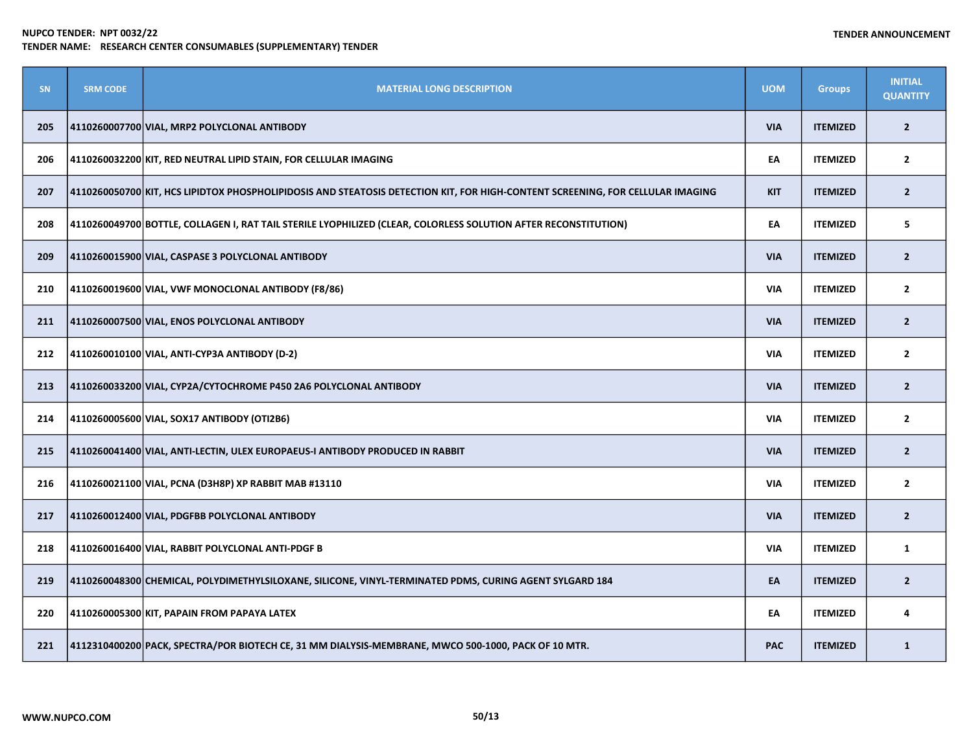| <b>SN</b> | <b>SRM CODE</b> | <b>MATERIAL LONG DESCRIPTION</b>                                                                                               | <b>UOM</b> | <b>Groups</b>   | <b>INITIAL</b><br><b>QUANTITY</b> |
|-----------|-----------------|--------------------------------------------------------------------------------------------------------------------------------|------------|-----------------|-----------------------------------|
| 205       |                 | 4110260007700 VIAL, MRP2 POLYCLONAL ANTIBODY                                                                                   | <b>VIA</b> | <b>ITEMIZED</b> | $\overline{2}$                    |
| 206       |                 | 4110260032200 KIT, RED NEUTRAL LIPID STAIN, FOR CELLULAR IMAGING                                                               | EA         | <b>ITEMIZED</b> | $\overline{2}$                    |
| 207       |                 | 4110260050700 KIT, HCS LIPIDTOX PHOSPHOLIPIDOSIS AND STEATOSIS DETECTION KIT, FOR HIGH-CONTENT SCREENING, FOR CELLULAR IMAGING | <b>KIT</b> | <b>ITEMIZED</b> | $\mathbf{2}$                      |
| 208       |                 | 4110260049700 BOTTLE, COLLAGEN I, RAT TAIL STERILE LYOPHILIZED (CLEAR, COLORLESS SOLUTION AFTER RECONSTITUTION)                | EA         | <b>ITEMIZED</b> | 5                                 |
| 209       |                 | 4110260015900 VIAL, CASPASE 3 POLYCLONAL ANTIBODY                                                                              | <b>VIA</b> | <b>ITEMIZED</b> | $\overline{2}$                    |
| 210       |                 | 4110260019600 VIAL, VWF MONOCLONAL ANTIBODY (F8/86)                                                                            | <b>VIA</b> | <b>ITEMIZED</b> | $\overline{2}$                    |
| 211       |                 | 4110260007500 VIAL, ENOS POLYCLONAL ANTIBODY                                                                                   | <b>VIA</b> | <b>ITEMIZED</b> | $\overline{2}$                    |
| 212       |                 | 4110260010100 VIAL, ANTI-CYP3A ANTIBODY (D-2)                                                                                  | <b>VIA</b> | <b>ITEMIZED</b> | $\overline{2}$                    |
| 213       |                 | 4110260033200 VIAL, CYP2A/CYTOCHROME P450 2A6 POLYCLONAL ANTIBODY                                                              | <b>VIA</b> | <b>ITEMIZED</b> | $\overline{2}$                    |
| 214       |                 | 4110260005600 VIAL, SOX17 ANTIBODY (OTI2B6)                                                                                    | <b>VIA</b> | <b>ITEMIZED</b> | $\overline{2}$                    |
| 215       |                 | 4110260041400 VIAL, ANTI-LECTIN, ULEX EUROPAEUS-I ANTIBODY PRODUCED IN RABBIT                                                  | <b>VIA</b> | <b>ITEMIZED</b> | $\overline{2}$                    |
| 216       |                 | 4110260021100 VIAL, PCNA (D3H8P) XP RABBIT MAB #13110                                                                          | <b>VIA</b> | <b>ITEMIZED</b> | $\mathbf{2}$                      |
| 217       |                 | 4110260012400 VIAL, PDGFBB POLYCLONAL ANTIBODY                                                                                 | <b>VIA</b> | <b>ITEMIZED</b> | $\overline{2}$                    |
| 218       |                 | 4110260016400 VIAL, RABBIT POLYCLONAL ANTI-PDGF B                                                                              | <b>VIA</b> | <b>ITEMIZED</b> | $\mathbf{1}$                      |
| 219       |                 | 4110260048300 CHEMICAL, POLYDIMETHYLSILOXANE, SILICONE, VINYL-TERMINATED PDMS, CURING AGENT SYLGARD 184                        | EA         | <b>ITEMIZED</b> | $\mathbf{2}$                      |
| 220       |                 | $ $ 4110260005300 $ $ KIT, PAPAIN FROM PAPAYA LATEX                                                                            | EA         | <b>ITEMIZED</b> | 4                                 |
| 221       |                 | 4112310400200 PACK, SPECTRA/POR BIOTECH CE, 31 MM DIALYSIS-MEMBRANE, MWCO 500-1000, PACK OF 10 MTR.                            | <b>PAC</b> | <b>ITEMIZED</b> | $\mathbf{1}$                      |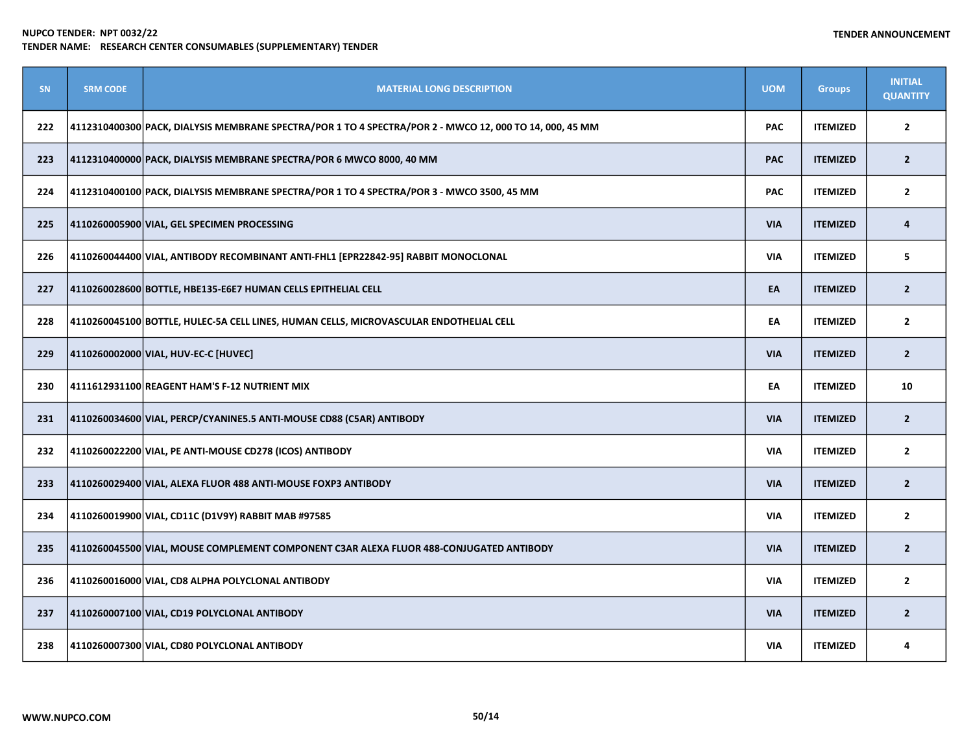| <b>SN</b> | <b>SRM CODE</b> | <b>MATERIAL LONG DESCRIPTION</b>                                                                        | <b>UOM</b> | <b>Groups</b>   | <b>INITIAL</b><br><b>QUANTITY</b> |
|-----------|-----------------|---------------------------------------------------------------------------------------------------------|------------|-----------------|-----------------------------------|
| 222       |                 | 4112310400300 PACK, DIALYSIS MEMBRANE SPECTRA/POR 1 TO 4 SPECTRA/POR 2 - MWCO 12, 000 TO 14, 000, 45 MM | <b>PAC</b> | <b>ITEMIZED</b> | $\mathbf{2}$                      |
| 223       |                 | 4112310400000 PACK, DIALYSIS MEMBRANE SPECTRA/POR 6 MWCO 8000, 40 MM                                    | <b>PAC</b> | <b>ITEMIZED</b> | $\overline{2}$                    |
| 224       |                 | 4112310400100 PACK, DIALYSIS MEMBRANE SPECTRA/POR 1 TO 4 SPECTRA/POR 3 - MWCO 3500, 45 MM               | <b>PAC</b> | <b>ITEMIZED</b> | $\mathbf{2}$                      |
| 225       |                 | 4110260005900 VIAL, GEL SPECIMEN PROCESSING                                                             | <b>VIA</b> | <b>ITEMIZED</b> | 4                                 |
| 226       |                 | 4110260044400 VIAL, ANTIBODY RECOMBINANT ANTI-FHL1 [EPR22842-95] RABBIT MONOCLONAL                      | <b>VIA</b> | <b>ITEMIZED</b> | 5                                 |
| 227       |                 | 4110260028600 BOTTLE, HBE135-E6E7 HUMAN CELLS EPITHELIAL CELL                                           | EA         | <b>ITEMIZED</b> | $\overline{2}$                    |
| 228       |                 | 4110260045100 BOTTLE, HULEC-5A CELL LINES, HUMAN CELLS, MICROVASCULAR ENDOTHELIAL CELL                  | EA         | <b>ITEMIZED</b> | $\mathbf{2}$                      |
| 229       |                 | 4110260002000 VIAL, HUV-EC-C [HUVEC]                                                                    | <b>VIA</b> | <b>ITEMIZED</b> | $\overline{2}$                    |
| 230       |                 | 4111612931100 REAGENT HAM'S F-12 NUTRIENT MIX                                                           | EA         | <b>ITEMIZED</b> | 10                                |
| 231       |                 | 4110260034600 VIAL, PERCP/CYANINE5.5 ANTI-MOUSE CD88 (C5AR) ANTIBODY                                    | <b>VIA</b> | <b>ITEMIZED</b> | $\overline{2}$                    |
| 232       |                 | 4110260022200 VIAL, PE ANTI-MOUSE CD278 (ICOS) ANTIBODY                                                 | <b>VIA</b> | <b>ITEMIZED</b> | $\overline{2}$                    |
| 233       |                 | 4110260029400 VIAL, ALEXA FLUOR 488 ANTI-MOUSE FOXP3 ANTIBODY                                           | <b>VIA</b> | <b>ITEMIZED</b> | $\overline{2}$                    |
| 234       |                 | 4110260019900 VIAL, CD11C (D1V9Y) RABBIT MAB #97585                                                     | <b>VIA</b> | <b>ITEMIZED</b> | $\overline{2}$                    |
| 235       |                 | 4110260045500 VIAL, MOUSE COMPLEMENT COMPONENT C3AR ALEXA FLUOR 488-CONJUGATED ANTIBODY                 | <b>VIA</b> | <b>ITEMIZED</b> | $\overline{2}$                    |
| 236       |                 | 4110260016000 VIAL, CD8 ALPHA POLYCLONAL ANTIBODY                                                       | <b>VIA</b> | <b>ITEMIZED</b> | $\mathbf{2}$                      |
| 237       |                 | 4110260007100 VIAL, CD19 POLYCLONAL ANTIBODY                                                            | <b>VIA</b> | <b>ITEMIZED</b> | $\overline{2}$                    |
| 238       |                 | 4110260007300 VIAL, CD80 POLYCLONAL ANTIBODY                                                            | <b>VIA</b> | <b>ITEMIZED</b> | 4                                 |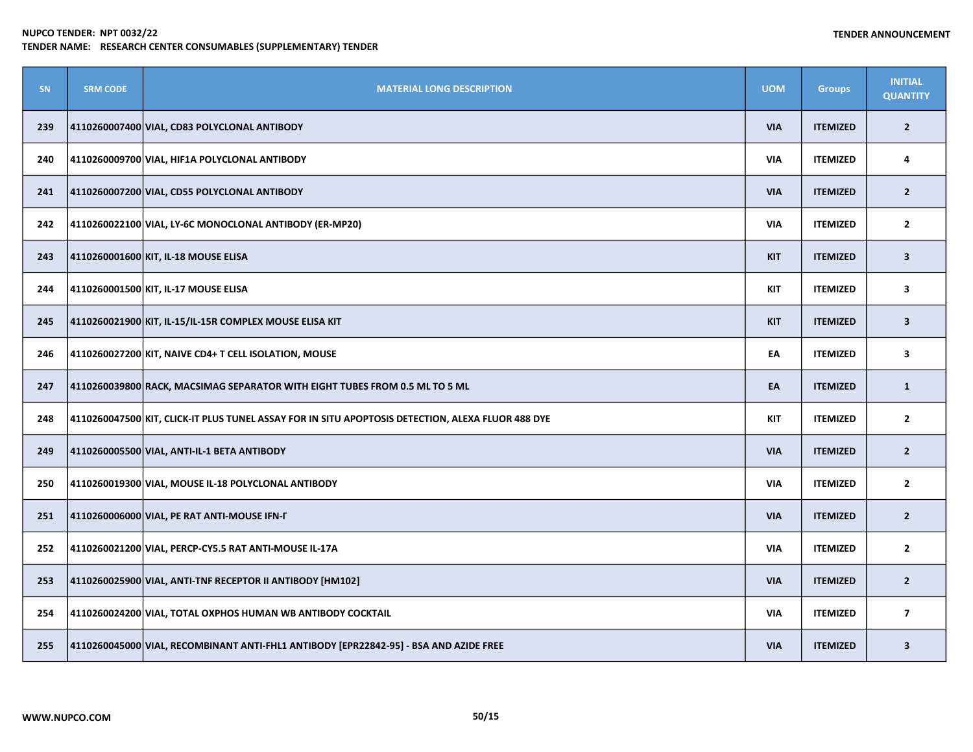| SN  | <b>SRM CODE</b> | <b>MATERIAL LONG DESCRIPTION</b>                                                                  | <b>UOM</b> | <b>Groups</b>   | <b>INITIAL</b><br><b>QUANTITY</b> |
|-----|-----------------|---------------------------------------------------------------------------------------------------|------------|-----------------|-----------------------------------|
| 239 |                 | 4110260007400 VIAL, CD83 POLYCLONAL ANTIBODY                                                      | <b>VIA</b> | <b>ITEMIZED</b> | $\overline{2}$                    |
| 240 |                 | 4110260009700 VIAL, HIF1A POLYCLONAL ANTIBODY                                                     | <b>VIA</b> | <b>ITEMIZED</b> | 4                                 |
| 241 |                 | 4110260007200 VIAL, CD55 POLYCLONAL ANTIBODY                                                      | <b>VIA</b> | <b>ITEMIZED</b> | $\overline{2}$                    |
| 242 |                 | 4110260022100 VIAL, LY-6C MONOCLONAL ANTIBODY (ER-MP20)                                           | <b>VIA</b> | <b>ITEMIZED</b> | $\overline{2}$                    |
| 243 |                 | 4110260001600 KIT, IL-18 MOUSE ELISA                                                              | <b>KIT</b> | <b>ITEMIZED</b> | $\overline{\mathbf{3}}$           |
| 244 |                 | 4110260001500 KIT, IL-17 MOUSE ELISA                                                              | <b>KIT</b> | <b>ITEMIZED</b> | 3                                 |
| 245 |                 | 4110260021900 KIT, IL-15/IL-15R COMPLEX MOUSE ELISA KIT                                           | <b>KIT</b> | <b>ITEMIZED</b> | $\overline{\mathbf{3}}$           |
| 246 |                 | 4110260027200 KIT, NAIVE CD4+ T CELL ISOLATION, MOUSE                                             | EA         | <b>ITEMIZED</b> | 3                                 |
| 247 |                 | 4110260039800 RACK, MACSIMAG SEPARATOR WITH EIGHT TUBES FROM 0.5 ML TO 5 ML                       | EA         | <b>ITEMIZED</b> | $\mathbf{1}$                      |
| 248 |                 | 4110260047500 KIT, CLICK-IT PLUS TUNEL ASSAY FOR IN SITU APOPTOSIS DETECTION, ALEXA FLUOR 488 DYE | <b>KIT</b> | <b>ITEMIZED</b> | $\mathbf{2}$                      |
| 249 |                 | 4110260005500 VIAL, ANTI-IL-1 BETA ANTIBODY                                                       | <b>VIA</b> | <b>ITEMIZED</b> | $\overline{2}$                    |
| 250 |                 | 4110260019300 VIAL, MOUSE IL-18 POLYCLONAL ANTIBODY                                               | <b>VIA</b> | <b>ITEMIZED</b> | $\overline{2}$                    |
| 251 |                 | 4110260006000 VIAL, PE RAT ANTI-MOUSE IFN-F                                                       | <b>VIA</b> | <b>ITEMIZED</b> | $\overline{2}$                    |
| 252 |                 | 4110260021200 VIAL, PERCP-CY5.5 RAT ANTI-MOUSE IL-17A                                             | <b>VIA</b> | <b>ITEMIZED</b> | $\overline{2}$                    |
| 253 |                 | 4110260025900 VIAL, ANTI-TNF RECEPTOR II ANTIBODY [HM102]                                         | <b>VIA</b> | <b>ITEMIZED</b> | $\overline{2}$                    |
| 254 |                 | 4110260024200 VIAL, TOTAL OXPHOS HUMAN WB ANTIBODY COCKTAIL                                       | <b>VIA</b> | <b>ITEMIZED</b> | $\overline{7}$                    |
| 255 |                 | 4110260045000 VIAL, RECOMBINANT ANTI-FHL1 ANTIBODY [EPR22842-95] - BSA AND AZIDE FREE             | <b>VIA</b> | <b>ITEMIZED</b> | $\overline{\mathbf{3}}$           |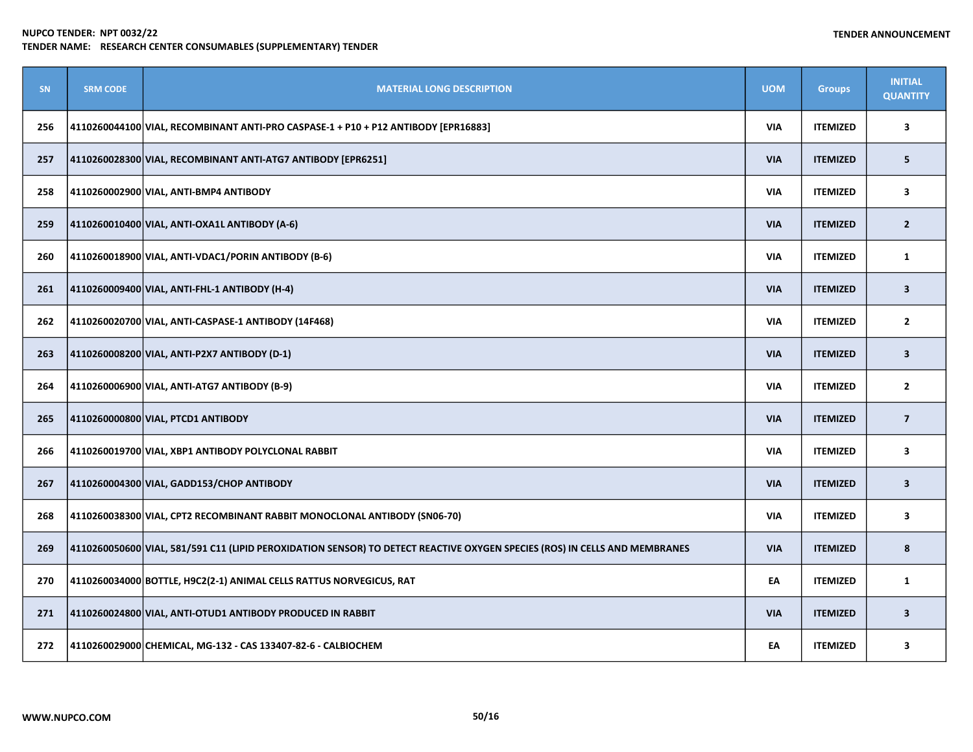| SN  | <b>SRM CODE</b> | <b>MATERIAL LONG DESCRIPTION</b>                                                                                           | <b>UOM</b> | <b>Groups</b>   | <b>INITIAL</b><br><b>QUANTITY</b> |
|-----|-----------------|----------------------------------------------------------------------------------------------------------------------------|------------|-----------------|-----------------------------------|
| 256 |                 | 4110260044100 VIAL, RECOMBINANT ANTI-PRO CASPASE-1 + P10 + P12 ANTIBODY [EPR16883]                                         | <b>VIA</b> | <b>ITEMIZED</b> | 3                                 |
| 257 |                 | 4110260028300 VIAL, RECOMBINANT ANTI-ATG7 ANTIBODY [EPR6251]                                                               | <b>VIA</b> | <b>ITEMIZED</b> | 5                                 |
| 258 |                 | 4110260002900 VIAL, ANTI-BMP4 ANTIBODY                                                                                     | <b>VIA</b> | <b>ITEMIZED</b> | 3                                 |
| 259 |                 | 4110260010400 VIAL, ANTI-OXA1L ANTIBODY (A-6)                                                                              | <b>VIA</b> | <b>ITEMIZED</b> | $\overline{2}$                    |
| 260 |                 | 4110260018900 VIAL, ANTI-VDAC1/PORIN ANTIBODY (B-6)                                                                        | <b>VIA</b> | <b>ITEMIZED</b> | $\mathbf{1}$                      |
| 261 |                 | 4110260009400 VIAL, ANTI-FHL-1 ANTIBODY (H-4)                                                                              | <b>VIA</b> | <b>ITEMIZED</b> | $\overline{\mathbf{3}}$           |
| 262 |                 | 4110260020700 VIAL, ANTI-CASPASE-1 ANTIBODY (14F468)                                                                       | <b>VIA</b> | <b>ITEMIZED</b> | $\overline{2}$                    |
| 263 |                 | 4110260008200 VIAL, ANTI-P2X7 ANTIBODY (D-1)                                                                               | <b>VIA</b> | <b>ITEMIZED</b> | $\mathbf{3}$                      |
| 264 |                 | 4110260006900 VIAL, ANTI-ATG7 ANTIBODY (B-9)                                                                               | <b>VIA</b> | <b>ITEMIZED</b> | $\mathbf{2}$                      |
| 265 |                 | 4110260000800 VIAL, PTCD1 ANTIBODY                                                                                         | <b>VIA</b> | <b>ITEMIZED</b> | $\overline{7}$                    |
| 266 |                 | 4110260019700 VIAL, XBP1 ANTIBODY POLYCLONAL RABBIT                                                                        | <b>VIA</b> | <b>ITEMIZED</b> | 3                                 |
| 267 |                 | 4110260004300 VIAL, GADD153/CHOP ANTIBODY                                                                                  | <b>VIA</b> | <b>ITEMIZED</b> | $\overline{\mathbf{3}}$           |
| 268 |                 | 4110260038300 VIAL, CPT2 RECOMBINANT RABBIT MONOCLONAL ANTIBODY (SN06-70)                                                  | <b>VIA</b> | <b>ITEMIZED</b> | $\overline{\mathbf{3}}$           |
| 269 |                 | 4110260050600 VIAL, 581/591 C11 (LIPID PEROXIDATION SENSOR) TO DETECT REACTIVE OXYGEN SPECIES (ROS) IN CELLS AND MEMBRANES | <b>VIA</b> | <b>ITEMIZED</b> | 8                                 |
| 270 |                 | 4110260034000 BOTTLE, H9C2(2-1) ANIMAL CELLS RATTUS NORVEGICUS, RAT                                                        | EA         | <b>ITEMIZED</b> | $\mathbf{1}$                      |
| 271 |                 | 4110260024800 VIAL, ANTI-OTUD1 ANTIBODY PRODUCED IN RABBIT                                                                 | <b>VIA</b> | <b>ITEMIZED</b> | $\overline{\mathbf{3}}$           |
| 272 |                 | 4110260029000 CHEMICAL, MG-132 - CAS 133407-82-6 - CALBIOCHEM                                                              | EA         | <b>ITEMIZED</b> | 3                                 |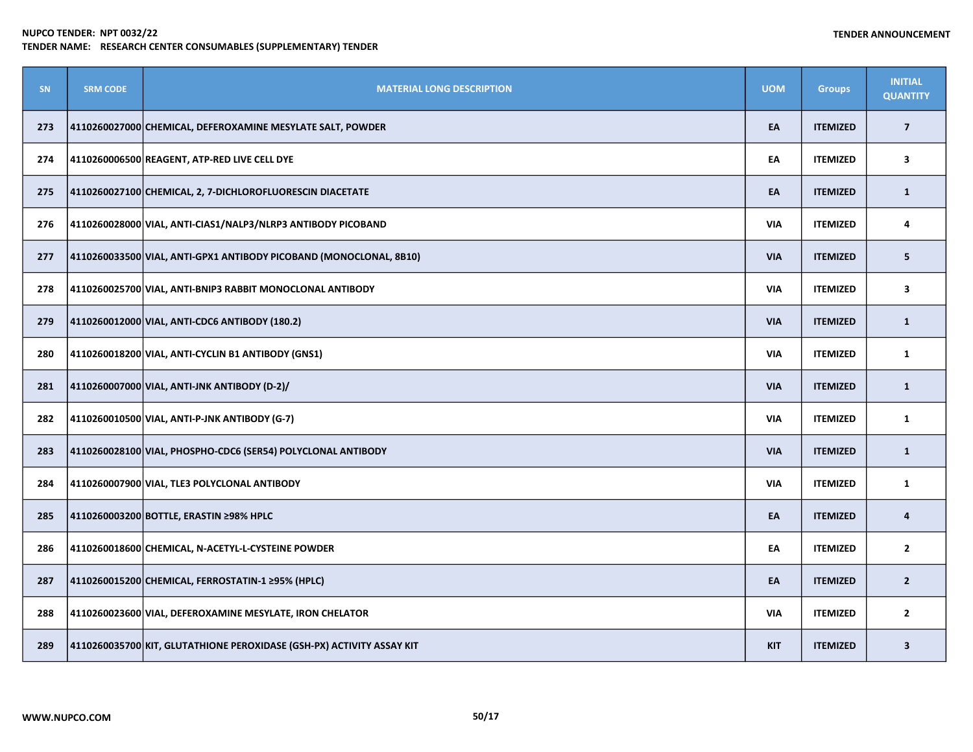| SN  | <b>SRM CODE</b> | <b>MATERIAL LONG DESCRIPTION</b>                                      | <b>UOM</b> | <b>Groups</b>   | <b>INITIAL</b><br><b>QUANTITY</b> |
|-----|-----------------|-----------------------------------------------------------------------|------------|-----------------|-----------------------------------|
| 273 |                 | 4110260027000 CHEMICAL, DEFEROXAMINE MESYLATE SALT, POWDER            | EA         | <b>ITEMIZED</b> | $\overline{\mathbf{z}}$           |
| 274 |                 | 4110260006500 REAGENT, ATP-RED LIVE CELL DYE                          | EA         | <b>ITEMIZED</b> | 3                                 |
| 275 |                 | 4110260027100 CHEMICAL, 2, 7-DICHLOROFLUORESCIN DIACETATE             | EA         | <b>ITEMIZED</b> | $\mathbf{1}$                      |
| 276 |                 | 4110260028000 VIAL, ANTI-CIAS1/NALP3/NLRP3 ANTIBODY PICOBAND          | <b>VIA</b> | <b>ITEMIZED</b> | 4                                 |
| 277 |                 | 4110260033500 VIAL, ANTI-GPX1 ANTIBODY PICOBAND (MONOCLONAL, 8B10)    | <b>VIA</b> | <b>ITEMIZED</b> | 5                                 |
| 278 |                 | 4110260025700 VIAL, ANTI-BNIP3 RABBIT MONOCLONAL ANTIBODY             | <b>VIA</b> | <b>ITEMIZED</b> | $\overline{\mathbf{3}}$           |
| 279 |                 | 4110260012000 VIAL, ANTI-CDC6 ANTIBODY (180.2)                        | <b>VIA</b> | <b>ITEMIZED</b> | $\mathbf{1}$                      |
| 280 |                 | 4110260018200 VIAL, ANTI-CYCLIN B1 ANTIBODY (GNS1)                    | <b>VIA</b> | <b>ITEMIZED</b> | $\mathbf{1}$                      |
| 281 |                 | 4110260007000 VIAL, ANTI-JNK ANTIBODY (D-2)/                          | <b>VIA</b> | <b>ITEMIZED</b> | $\mathbf{1}$                      |
| 282 |                 | 4110260010500 VIAL, ANTI-P-JNK ANTIBODY (G-7)                         | <b>VIA</b> | <b>ITEMIZED</b> | $\mathbf{1}$                      |
| 283 |                 | 4110260028100 VIAL, PHOSPHO-CDC6 (SER54) POLYCLONAL ANTIBODY          | <b>VIA</b> | <b>ITEMIZED</b> | $\mathbf{1}$                      |
| 284 |                 | 4110260007900 VIAL, TLE3 POLYCLONAL ANTIBODY                          | <b>VIA</b> | <b>ITEMIZED</b> | $\mathbf{1}$                      |
| 285 |                 | 4110260003200 BOTTLE, ERASTIN ≥98% HPLC                               | EA         | <b>ITEMIZED</b> | 4                                 |
| 286 |                 | 4110260018600 CHEMICAL, N-ACETYL-L-CYSTEINE POWDER                    | EA         | <b>ITEMIZED</b> | $\mathbf{2}$                      |
| 287 |                 | 4110260015200 CHEMICAL, FERROSTATIN-1 ≥95% (HPLC)                     | EA         | <b>ITEMIZED</b> | $\overline{2}$                    |
| 288 |                 | 4110260023600 VIAL, DEFEROXAMINE MESYLATE, IRON CHELATOR              | <b>VIA</b> | <b>ITEMIZED</b> | $\mathbf{2}$                      |
| 289 |                 | 4110260035700 KIT, GLUTATHIONE PEROXIDASE (GSH-PX) ACTIVITY ASSAY KIT | <b>KIT</b> | <b>ITEMIZED</b> | $\mathbf{3}$                      |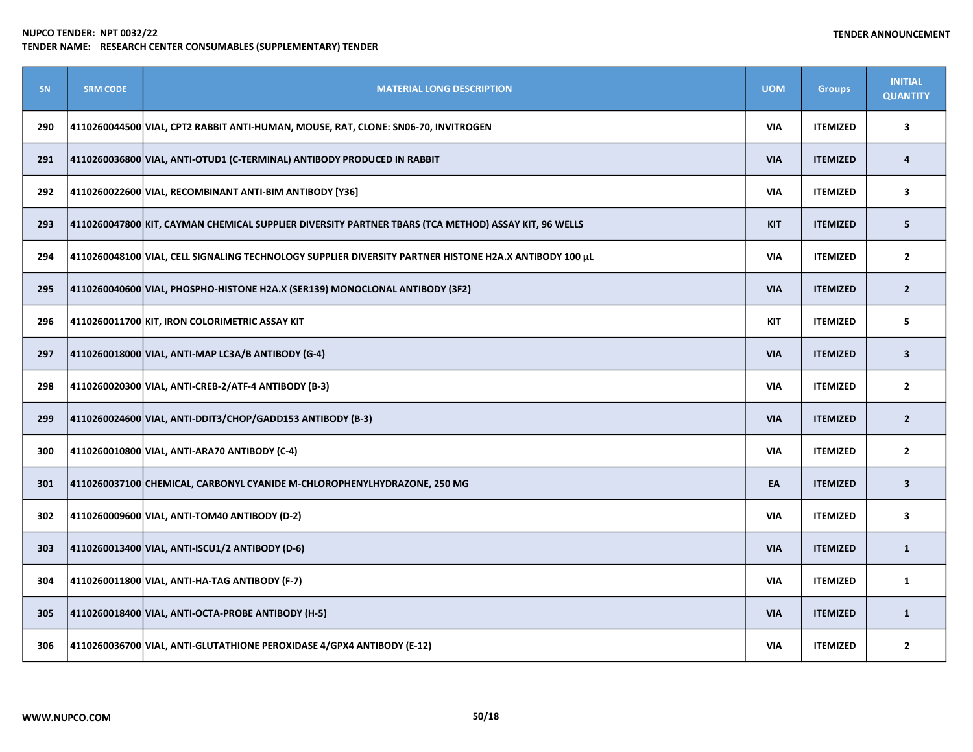| SN  | <b>SRM CODE</b> | <b>MATERIAL LONG DESCRIPTION</b>                                                                       | <b>UOM</b> | <b>Groups</b>   | <b>INITIAL</b><br><b>QUANTITY</b> |
|-----|-----------------|--------------------------------------------------------------------------------------------------------|------------|-----------------|-----------------------------------|
| 290 |                 | 4110260044500 VIAL, CPT2 RABBIT ANTI-HUMAN, MOUSE, RAT, CLONE: SN06-70, INVITROGEN                     | <b>VIA</b> | <b>ITEMIZED</b> | 3                                 |
| 291 |                 | 4110260036800 VIAL, ANTI-OTUD1 (C-TERMINAL) ANTIBODY PRODUCED IN RABBIT                                | <b>VIA</b> | <b>ITEMIZED</b> | 4                                 |
| 292 |                 | 4110260022600 VIAL, RECOMBINANT ANTI-BIM ANTIBODY [Y36]                                                | <b>VIA</b> | <b>ITEMIZED</b> | 3                                 |
| 293 |                 | 4110260047800 KIT, CAYMAN CHEMICAL SUPPLIER DIVERSITY PARTNER TBARS (TCA METHOD) ASSAY KIT, 96 WELLS   | <b>KIT</b> | <b>ITEMIZED</b> | 5                                 |
| 294 |                 | 4110260048100 VIAL, CELL SIGNALING TECHNOLOGY SUPPLIER DIVERSITY PARTNER HISTONE H2A.X ANTIBODY 100 µL | <b>VIA</b> | <b>ITEMIZED</b> | $\overline{2}$                    |
| 295 |                 | 4110260040600 VIAL, PHOSPHO-HISTONE H2A.X (SER139) MONOCLONAL ANTIBODY (3F2)                           | <b>VIA</b> | <b>ITEMIZED</b> | $\overline{2}$                    |
| 296 |                 | 4110260011700 KIT, IRON COLORIMETRIC ASSAY KIT                                                         | <b>KIT</b> | <b>ITEMIZED</b> | 5                                 |
| 297 |                 | 4110260018000 VIAL, ANTI-MAP LC3A/B ANTIBODY (G-4)                                                     | <b>VIA</b> | <b>ITEMIZED</b> | $\mathbf{3}$                      |
| 298 |                 | 4110260020300 VIAL, ANTI-CREB-2/ATF-4 ANTIBODY (B-3)                                                   | <b>VIA</b> | <b>ITEMIZED</b> | $\mathbf{2}$                      |
| 299 |                 | 4110260024600 VIAL, ANTI-DDIT3/CHOP/GADD153 ANTIBODY (B-3)                                             | <b>VIA</b> | <b>ITEMIZED</b> | $\overline{2}$                    |
| 300 |                 | 4110260010800 VIAL, ANTI-ARA70 ANTIBODY (C-4)                                                          | <b>VIA</b> | <b>ITEMIZED</b> | $\mathbf{2}$                      |
| 301 |                 | 4110260037100 CHEMICAL, CARBONYL CYANIDE M-CHLOROPHENYLHYDRAZONE, 250 MG                               | EA         | <b>ITEMIZED</b> | $\overline{\mathbf{3}}$           |
| 302 |                 | 4110260009600 VIAL, ANTI-TOM40 ANTIBODY (D-2)                                                          | <b>VIA</b> | <b>ITEMIZED</b> | 3                                 |
| 303 |                 | 4110260013400 VIAL, ANTI-ISCU1/2 ANTIBODY (D-6)                                                        | <b>VIA</b> | <b>ITEMIZED</b> | $\mathbf{1}$                      |
| 304 |                 | 4110260011800 VIAL, ANTI-HA-TAG ANTIBODY (F-7)                                                         | <b>VIA</b> | <b>ITEMIZED</b> | $\mathbf{1}$                      |
| 305 |                 | 4110260018400 VIAL, ANTI-OCTA-PROBE ANTIBODY (H-5)                                                     | <b>VIA</b> | <b>ITEMIZED</b> | $\mathbf{1}$                      |
| 306 |                 | 4110260036700 VIAL, ANTI-GLUTATHIONE PEROXIDASE 4/GPX4 ANTIBODY (E-12)                                 | <b>VIA</b> | <b>ITEMIZED</b> | $\overline{2}$                    |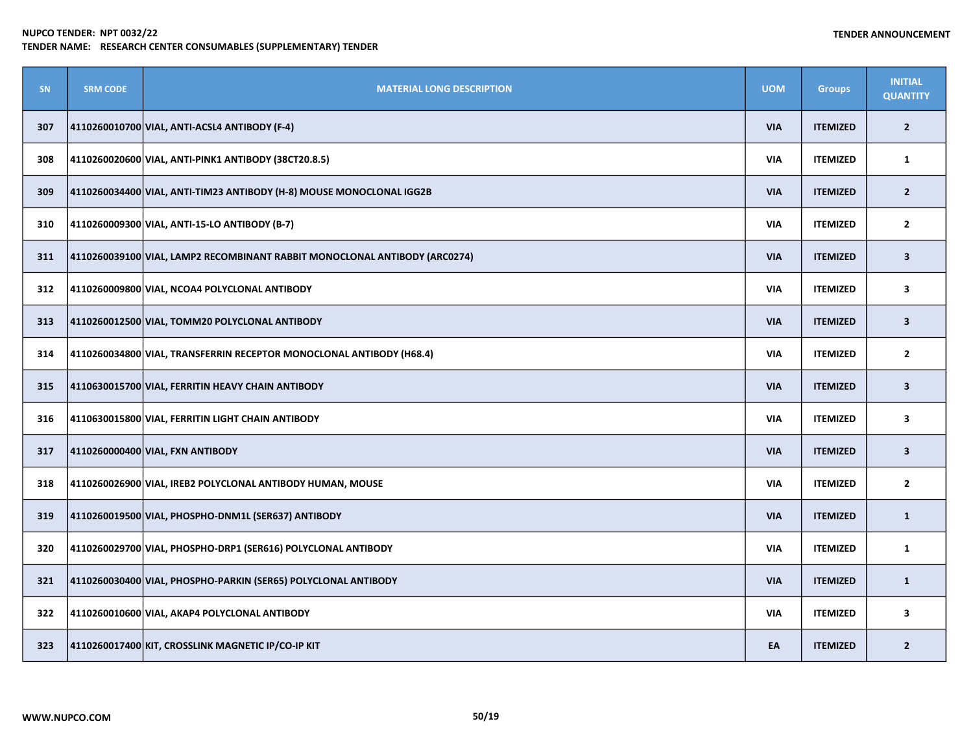| <b>SN</b> | <b>SRM CODE</b> | <b>MATERIAL LONG DESCRIPTION</b>                                           | <b>UOM</b> | <b>Groups</b>   | <b>INITIAL</b><br><b>QUANTITY</b> |
|-----------|-----------------|----------------------------------------------------------------------------|------------|-----------------|-----------------------------------|
| 307       |                 | 4110260010700 VIAL, ANTI-ACSL4 ANTIBODY (F-4)                              | <b>VIA</b> | <b>ITEMIZED</b> | $\overline{2}$                    |
| 308       |                 | 4110260020600 VIAL, ANTI-PINK1 ANTIBODY (38CT20.8.5)                       | <b>VIA</b> | <b>ITEMIZED</b> | $\mathbf{1}$                      |
| 309       |                 | 4110260034400 VIAL, ANTI-TIM23 ANTIBODY (H-8) MOUSE MONOCLONAL IGG2B       | <b>VIA</b> | <b>ITEMIZED</b> | $\overline{2}$                    |
| 310       |                 | 4110260009300 VIAL, ANTI-15-LO ANTIBODY (B-7)                              | <b>VIA</b> | <b>ITEMIZED</b> | $\mathbf{2}$                      |
| 311       |                 | 4110260039100 VIAL, LAMP2 RECOMBINANT RABBIT MONOCLONAL ANTIBODY (ARC0274) | <b>VIA</b> | <b>ITEMIZED</b> | 3                                 |
| 312       |                 | 4110260009800 VIAL, NCOA4 POLYCLONAL ANTIBODY                              | VIA        | <b>ITEMIZED</b> | 3                                 |
| 313       |                 | 4110260012500 VIAL, TOMM20 POLYCLONAL ANTIBODY                             | <b>VIA</b> | <b>ITEMIZED</b> | $\overline{\mathbf{3}}$           |
| 314       |                 | 4110260034800 VIAL, TRANSFERRIN RECEPTOR MONOCLONAL ANTIBODY (H68.4)       | <b>VIA</b> | <b>ITEMIZED</b> | $\overline{2}$                    |
| 315       |                 | 4110630015700 VIAL, FERRITIN HEAVY CHAIN ANTIBODY                          | <b>VIA</b> | <b>ITEMIZED</b> | $\overline{\mathbf{3}}$           |
| 316       |                 | 4110630015800 VIAL, FERRITIN LIGHT CHAIN ANTIBODY                          | <b>VIA</b> | <b>ITEMIZED</b> | 3                                 |
| 317       |                 | 4110260000400 VIAL, FXN ANTIBODY                                           | <b>VIA</b> | <b>ITEMIZED</b> | $\overline{\mathbf{3}}$           |
| 318       |                 | 4110260026900 VIAL, IREB2 POLYCLONAL ANTIBODY HUMAN, MOUSE                 | <b>VIA</b> | <b>ITEMIZED</b> | $\overline{2}$                    |
| 319       |                 | 4110260019500 VIAL, PHOSPHO-DNM1L (SER637) ANTIBODY                        | <b>VIA</b> | <b>ITEMIZED</b> | $\mathbf{1}$                      |
| 320       |                 | 4110260029700 VIAL, PHOSPHO-DRP1 (SER616) POLYCLONAL ANTIBODY              | <b>VIA</b> | <b>ITEMIZED</b> | 1                                 |
| 321       |                 | 4110260030400 VIAL, PHOSPHO-PARKIN (SER65) POLYCLONAL ANTIBODY             | <b>VIA</b> | <b>ITEMIZED</b> | $\mathbf{1}$                      |
| 322       |                 | 4110260010600 VIAL, AKAP4 POLYCLONAL ANTIBODY                              | <b>VIA</b> | <b>ITEMIZED</b> | 3                                 |
| 323       |                 | 4110260017400 KIT, CROSSLINK MAGNETIC IP/CO-IP KIT                         | EA         | <b>ITEMIZED</b> | $\overline{2}$                    |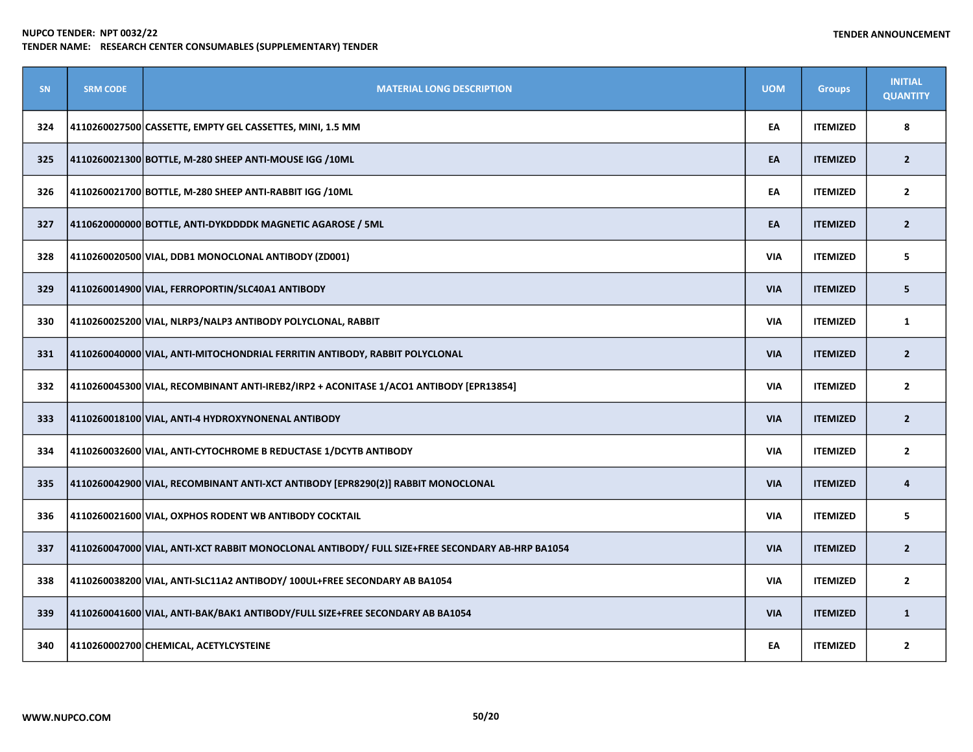| SN  | <b>SRM CODE</b> | <b>MATERIAL LONG DESCRIPTION</b>                                                                | <b>UOM</b> | <b>Groups</b>   | <b>INITIAL</b><br><b>QUANTITY</b> |
|-----|-----------------|-------------------------------------------------------------------------------------------------|------------|-----------------|-----------------------------------|
| 324 |                 | 4110260027500 CASSETTE, EMPTY GEL CASSETTES, MINI, 1.5 MM                                       | EA         | <b>ITEMIZED</b> | 8                                 |
| 325 |                 | 4110260021300 BOTTLE, M-280 SHEEP ANTI-MOUSE IGG /10ML                                          | EA         | <b>ITEMIZED</b> | $\overline{2}$                    |
| 326 |                 | 4110260021700 BOTTLE, M-280 SHEEP ANTI-RABBIT IGG /10ML                                         | EA         | <b>ITEMIZED</b> | $\overline{2}$                    |
| 327 |                 | 4110620000000 BOTTLE, ANTI-DYKDDDDK MAGNETIC AGAROSE / 5ML                                      | EA         | <b>ITEMIZED</b> | $\overline{2}$                    |
| 328 |                 | 4110260020500 VIAL, DDB1 MONOCLONAL ANTIBODY (ZD001)                                            | <b>VIA</b> | <b>ITEMIZED</b> | 5                                 |
| 329 |                 | 4110260014900 VIAL, FERROPORTIN/SLC40A1 ANTIBODY                                                | <b>VIA</b> | <b>ITEMIZED</b> | 5                                 |
| 330 |                 | 4110260025200 VIAL, NLRP3/NALP3 ANTIBODY POLYCLONAL, RABBIT                                     | <b>VIA</b> | <b>ITEMIZED</b> | 1                                 |
| 331 |                 | 4110260040000 VIAL, ANTI-MITOCHONDRIAL FERRITIN ANTIBODY, RABBIT POLYCLONAL                     | <b>VIA</b> | <b>ITEMIZED</b> | $\overline{2}$                    |
| 332 |                 | 4110260045300 VIAL, RECOMBINANT ANTI-IREB2/IRP2 + ACONITASE 1/ACO1 ANTIBODY [EPR13854]          | <b>VIA</b> | <b>ITEMIZED</b> | $\mathbf{2}$                      |
| 333 |                 | 4110260018100 VIAL, ANTI-4 HYDROXYNONENAL ANTIBODY                                              | <b>VIA</b> | <b>ITEMIZED</b> | $\overline{2}$                    |
| 334 |                 | 4110260032600 VIAL, ANTI-CYTOCHROME B REDUCTASE 1/DCYTB ANTIBODY                                | <b>VIA</b> | <b>ITEMIZED</b> | $\overline{2}$                    |
| 335 |                 | 4110260042900 VIAL, RECOMBINANT ANTI-XCT ANTIBODY [EPR8290(2)] RABBIT MONOCLONAL                | <b>VIA</b> | <b>ITEMIZED</b> | 4                                 |
| 336 |                 | 4110260021600 VIAL, OXPHOS RODENT WB ANTIBODY COCKTAIL                                          | <b>VIA</b> | <b>ITEMIZED</b> | 5                                 |
| 337 |                 | 4110260047000 VIAL, ANTI-XCT RABBIT MONOCLONAL ANTIBODY/ FULL SIZE+FREE SECONDARY AB-HRP BA1054 | <b>VIA</b> | <b>ITEMIZED</b> | $\overline{2}$                    |
| 338 |                 | 4110260038200 VIAL, ANTI-SLC11A2 ANTIBODY/ 100UL+FREE SECONDARY AB BA1054                       | <b>VIA</b> | <b>ITEMIZED</b> | $\overline{2}$                    |
| 339 |                 | 4110260041600 VIAL, ANTI-BAK/BAK1 ANTIBODY/FULL SIZE+FREE SECONDARY AB BA1054                   | <b>VIA</b> | <b>ITEMIZED</b> | $\mathbf{1}$                      |
| 340 |                 | 4110260002700 CHEMICAL, ACETYLCYSTEINE                                                          | EA         | <b>ITEMIZED</b> | $\overline{2}$                    |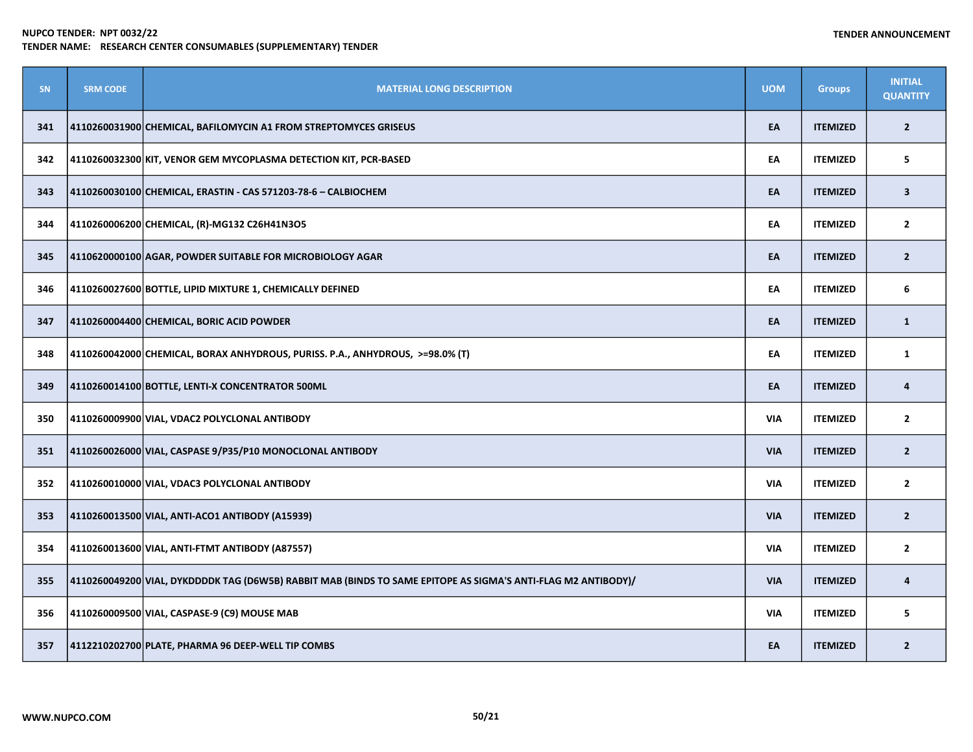| SN  | <b>SRM CODE</b> | <b>MATERIAL LONG DESCRIPTION</b>                                                                              | <b>UOM</b> | <b>Groups</b>   | <b>INITIAL</b><br><b>QUANTITY</b> |
|-----|-----------------|---------------------------------------------------------------------------------------------------------------|------------|-----------------|-----------------------------------|
| 341 |                 | 4110260031900 CHEMICAL, BAFILOMYCIN A1 FROM STREPTOMYCES GRISEUS                                              | EA         | <b>ITEMIZED</b> | $\overline{2}$                    |
| 342 |                 | 4110260032300 KIT, VENOR GEM MYCOPLASMA DETECTION KIT, PCR-BASED                                              | EA         | <b>ITEMIZED</b> | 5                                 |
| 343 |                 | 4110260030100 CHEMICAL, ERASTIN - CAS 571203-78-6 - CALBIOCHEM                                                | EA         | <b>ITEMIZED</b> | 3                                 |
| 344 |                 | 4110260006200 CHEMICAL, (R)-MG132 C26H41N3O5                                                                  | EA         | <b>ITEMIZED</b> | $\mathbf{2}$                      |
| 345 |                 | 4110620000100 AGAR, POWDER SUITABLE FOR MICROBIOLOGY AGAR                                                     | EA         | <b>ITEMIZED</b> | $\overline{2}$                    |
| 346 |                 | 4110260027600 BOTTLE, LIPID MIXTURE 1, CHEMICALLY DEFINED                                                     | EA         | <b>ITEMIZED</b> | 6                                 |
| 347 |                 | 4110260004400 CHEMICAL, BORIC ACID POWDER                                                                     | EA         | <b>ITEMIZED</b> | $\mathbf{1}$                      |
| 348 |                 | 4110260042000 CHEMICAL, BORAX ANHYDROUS, PURISS. P.A., ANHYDROUS, >=98.0% (T)                                 | EA         | <b>ITEMIZED</b> | $\mathbf{1}$                      |
| 349 |                 | 4110260014100 BOTTLE, LENTI-X CONCENTRATOR 500ML                                                              | EA         | <b>ITEMIZED</b> | 4                                 |
| 350 |                 | 4110260009900 VIAL, VDAC2 POLYCLONAL ANTIBODY                                                                 | <b>VIA</b> | <b>ITEMIZED</b> | $\overline{2}$                    |
| 351 |                 | 4110260026000 VIAL, CASPASE 9/P35/P10 MONOCLONAL ANTIBODY                                                     | <b>VIA</b> | <b>ITEMIZED</b> | $\overline{2}$                    |
| 352 |                 | 4110260010000 VIAL, VDAC3 POLYCLONAL ANTIBODY                                                                 | <b>VIA</b> | <b>ITEMIZED</b> | $\overline{2}$                    |
| 353 |                 | 4110260013500 VIAL, ANTI-ACO1 ANTIBODY (A15939)                                                               | <b>VIA</b> | <b>ITEMIZED</b> | $\overline{2}$                    |
| 354 |                 | 4110260013600 VIAL, ANTI-FTMT ANTIBODY (A87557)                                                               | <b>VIA</b> | <b>ITEMIZED</b> | $\overline{2}$                    |
| 355 |                 | 4110260049200 VIAL, DYKDDDDK TAG (D6W5B) RABBIT MAB (BINDS TO SAME EPITOPE AS SIGMA'S ANTI-FLAG M2 ANTIBODY)/ | <b>VIA</b> | <b>ITEMIZED</b> | 4                                 |
| 356 |                 | 4110260009500 VIAL, CASPASE-9 (C9) MOUSE MAB                                                                  | <b>VIA</b> | <b>ITEMIZED</b> | 5                                 |
| 357 |                 | 4112210202700 PLATE, PHARMA 96 DEEP-WELL TIP COMBS                                                            | EA         | <b>ITEMIZED</b> | $\mathbf{2}$                      |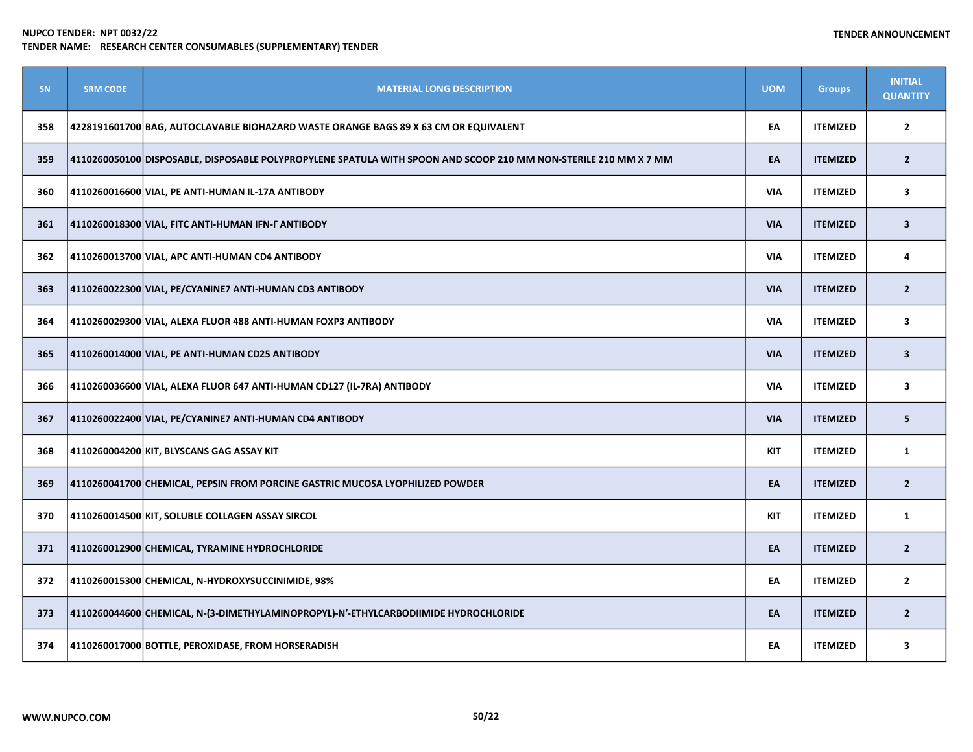| SN  | <b>SRM CODE</b> | <b>MATERIAL LONG DESCRIPTION</b>                                                                                 | <b>UOM</b> | <b>Groups</b>   | <b>INITIAL</b><br><b>QUANTITY</b> |
|-----|-----------------|------------------------------------------------------------------------------------------------------------------|------------|-----------------|-----------------------------------|
| 358 |                 | 4228191601700 BAG, AUTOCLAVABLE BIOHAZARD WASTE ORANGE BAGS 89 X 63 CM OR EQUIVALENT                             | EA         | <b>ITEMIZED</b> | $\mathbf{2}$                      |
| 359 |                 | 4110260050100 DISPOSABLE, DISPOSABLE POLYPROPYLENE SPATULA WITH SPOON AND SCOOP 210 MM NON-STERILE 210 MM X 7 MM | EA         | <b>ITEMIZED</b> | $\overline{2}$                    |
| 360 |                 | 4110260016600 VIAL, PE ANTI-HUMAN IL-17A ANTIBODY                                                                | <b>VIA</b> | <b>ITEMIZED</b> | 3                                 |
| 361 |                 | 4110260018300 VIAL, FITC ANTI-HUMAN IFN-F ANTIBODY                                                               | <b>VIA</b> | <b>ITEMIZED</b> | $\overline{\mathbf{3}}$           |
| 362 |                 | 4110260013700 VIAL, APC ANTI-HUMAN CD4 ANTIBODY                                                                  | <b>VIA</b> | <b>ITEMIZED</b> | 4                                 |
| 363 |                 | 4110260022300 VIAL, PE/CYANINE7 ANTI-HUMAN CD3 ANTIBODY                                                          | <b>VIA</b> | <b>ITEMIZED</b> | $\overline{2}$                    |
| 364 |                 | 4110260029300 VIAL, ALEXA FLUOR 488 ANTI-HUMAN FOXP3 ANTIBODY                                                    | <b>VIA</b> | <b>ITEMIZED</b> | 3                                 |
| 365 |                 | 4110260014000 VIAL, PE ANTI-HUMAN CD25 ANTIBODY                                                                  | <b>VIA</b> | <b>ITEMIZED</b> | $\overline{\mathbf{3}}$           |
| 366 |                 | 4110260036600 VIAL, ALEXA FLUOR 647 ANTI-HUMAN CD127 (IL-7RA) ANTIBODY                                           | <b>VIA</b> | <b>ITEMIZED</b> | 3                                 |
| 367 |                 | 4110260022400 VIAL, PE/CYANINE7 ANTI-HUMAN CD4 ANTIBODY                                                          | <b>VIA</b> | <b>ITEMIZED</b> | 5                                 |
| 368 |                 | 4110260004200 KIT, BLYSCANS GAG ASSAY KIT                                                                        | <b>KIT</b> | <b>ITEMIZED</b> | $\mathbf{1}$                      |
| 369 |                 | 4110260041700 CHEMICAL, PEPSIN FROM PORCINE GASTRIC MUCOSA LYOPHILIZED POWDER                                    | EA         | <b>ITEMIZED</b> | $\overline{2}$                    |
| 370 |                 | 4110260014500 KIT, SOLUBLE COLLAGEN ASSAY SIRCOL                                                                 | <b>KIT</b> | <b>ITEMIZED</b> | $\mathbf{1}$                      |
| 371 |                 | 4110260012900 CHEMICAL, TYRAMINE HYDROCHLORIDE                                                                   | EA         | <b>ITEMIZED</b> | $\overline{2}$                    |
| 372 |                 | 4110260015300 CHEMICAL, N-HYDROXYSUCCINIMIDE, 98%                                                                | EA         | <b>ITEMIZED</b> | $\overline{2}$                    |
| 373 |                 | 4110260044600 CHEMICAL, N-(3-DIMETHYLAMINOPROPYL)-N'-ETHYLCARBODIIMIDE HYDROCHLORIDE                             | EA         | <b>ITEMIZED</b> | $\overline{2}$                    |
| 374 |                 | 4110260017000 BOTTLE, PEROXIDASE, FROM HORSERADISH                                                               | EA         | <b>ITEMIZED</b> | 3                                 |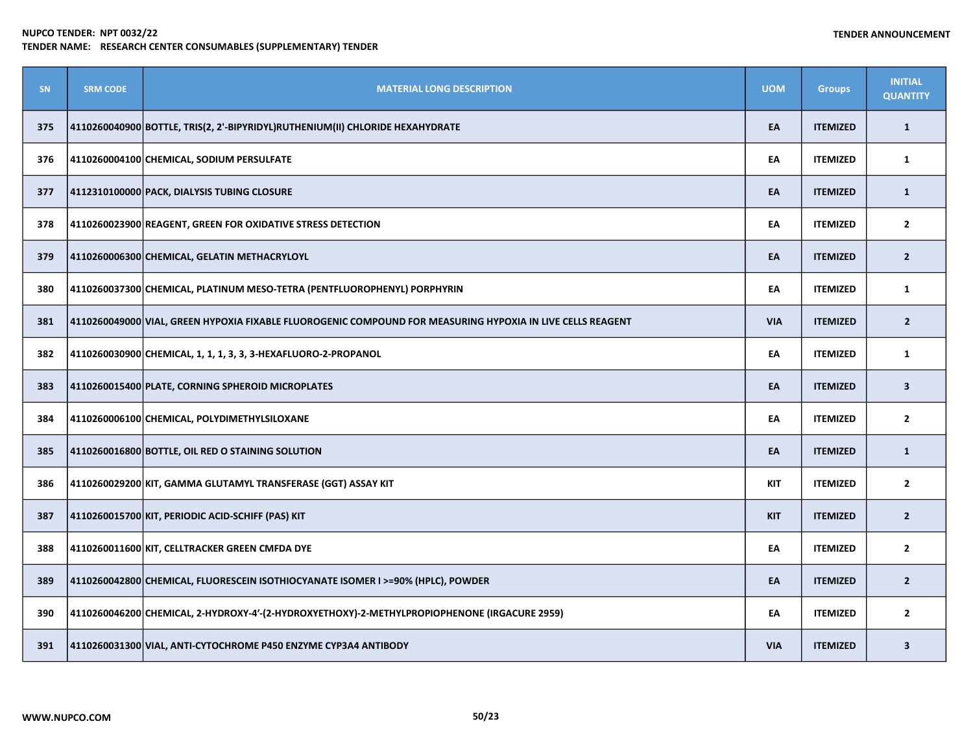| <b>SN</b> | <b>SRM CODE</b> | <b>MATERIAL LONG DESCRIPTION</b>                                                                           | <b>UOM</b> | <b>Groups</b>   | <b>INITIAL</b><br><b>QUANTITY</b> |
|-----------|-----------------|------------------------------------------------------------------------------------------------------------|------------|-----------------|-----------------------------------|
| 375       |                 | 4110260040900 BOTTLE, TRIS(2, 2'-BIPYRIDYL)RUTHENIUM(II) CHLORIDE HEXAHYDRATE                              | EA         | <b>ITEMIZED</b> | $\mathbf{1}$                      |
| 376       |                 | 4110260004100 CHEMICAL, SODIUM PERSULFATE                                                                  | EA         | <b>ITEMIZED</b> | $\mathbf{1}$                      |
| 377       |                 | 4112310100000 PACK, DIALYSIS TUBING CLOSURE                                                                | EA         | <b>ITEMIZED</b> | $\mathbf{1}$                      |
| 378       |                 | 4110260023900 REAGENT, GREEN FOR OXIDATIVE STRESS DETECTION                                                | EA         | <b>ITEMIZED</b> | $\overline{2}$                    |
| 379       |                 | 4110260006300 CHEMICAL, GELATIN METHACRYLOYL                                                               | EA         | <b>ITEMIZED</b> | $\overline{2}$                    |
| 380       |                 | 4110260037300 CHEMICAL, PLATINUM MESO-TETRA (PENTFLUOROPHENYL) PORPHYRIN                                   | EA         | <b>ITEMIZED</b> | 1                                 |
| 381       |                 | 4110260049000 VIAL, GREEN HYPOXIA FIXABLE FLUOROGENIC COMPOUND FOR MEASURING HYPOXIA IN LIVE CELLS REAGENT | <b>VIA</b> | <b>ITEMIZED</b> | $\overline{2}$                    |
| 382       |                 | 4110260030900 CHEMICAL, 1, 1, 1, 3, 3, 3-HEXAFLUORO-2-PROPANOL                                             | EA         | <b>ITEMIZED</b> | 1                                 |
| 383       |                 | 4110260015400 PLATE, CORNING SPHEROID MICROPLATES                                                          | EA         | <b>ITEMIZED</b> | $\overline{\mathbf{3}}$           |
| 384       |                 | 4110260006100 CHEMICAL, POLYDIMETHYLSILOXANE                                                               | EA         | <b>ITEMIZED</b> | $\overline{2}$                    |
| 385       |                 | 4110260016800 BOTTLE, OIL RED O STAINING SOLUTION                                                          | EA         | <b>ITEMIZED</b> | $\mathbf{1}$                      |
| 386       |                 | 4110260029200 KIT, GAMMA GLUTAMYL TRANSFERASE (GGT) ASSAY KIT                                              | <b>KIT</b> | <b>ITEMIZED</b> | $\overline{2}$                    |
| 387       |                 | 4110260015700 KIT, PERIODIC ACID-SCHIFF (PAS) KIT                                                          | <b>KIT</b> | <b>ITEMIZED</b> | $\overline{2}$                    |
| 388       |                 | 4110260011600 KIT, CELLTRACKER GREEN CMFDA DYE                                                             | EA         | <b>ITEMIZED</b> | $\overline{2}$                    |
| 389       |                 | 4110260042800 CHEMICAL, FLUORESCEIN ISOTHIOCYANATE ISOMER I >=90% (HPLC), POWDER                           | EA         | <b>ITEMIZED</b> | $\overline{2}$                    |
| 390       |                 | 4110260046200 CHEMICAL, 2-HYDROXY-4'-(2-HYDROXYETHOXY)-2-METHYLPROPIOPHENONE (IRGACURE 2959)               | EA         | <b>ITEMIZED</b> | $\overline{2}$                    |
| 391       |                 | 4110260031300 VIAL, ANTI-CYTOCHROME P450 ENZYME CYP3A4 ANTIBODY                                            | <b>VIA</b> | <b>ITEMIZED</b> | $\mathbf{3}$                      |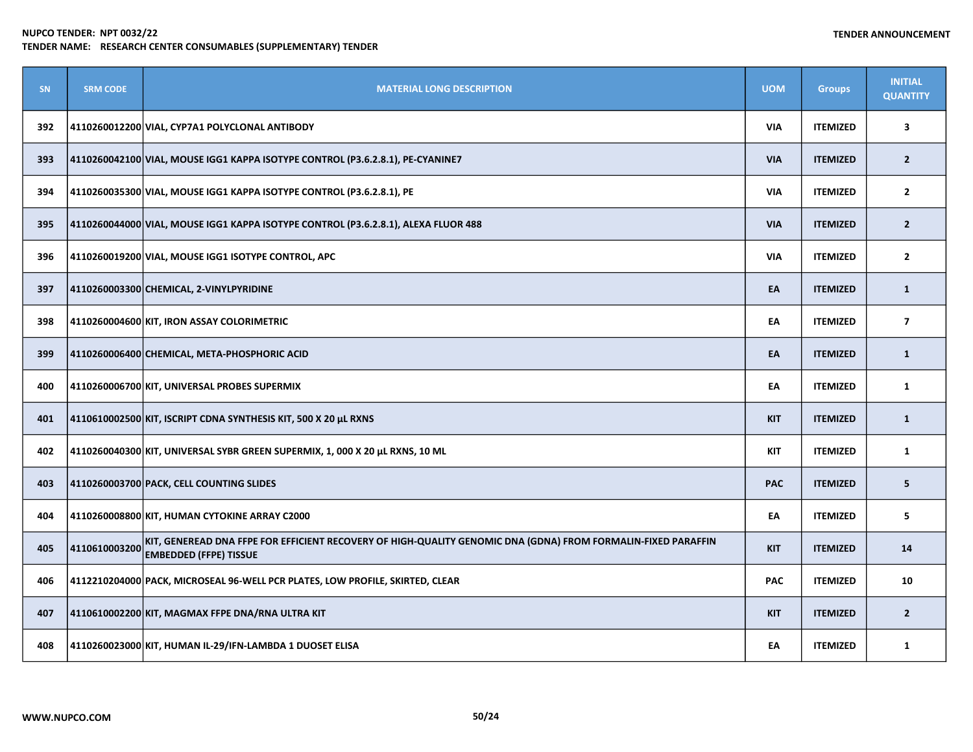| <b>SN</b> | <b>SRM CODE</b> | <b>MATERIAL LONG DESCRIPTION</b>                                                                                                               | <b>UOM</b> | <b>Groups</b>   | <b>INITIAL</b><br><b>QUANTITY</b> |
|-----------|-----------------|------------------------------------------------------------------------------------------------------------------------------------------------|------------|-----------------|-----------------------------------|
| 392       |                 | 4110260012200 VIAL, CYP7A1 POLYCLONAL ANTIBODY                                                                                                 | VIA        | <b>ITEMIZED</b> | 3                                 |
| 393       |                 | 4110260042100 VIAL, MOUSE IGG1 KAPPA ISOTYPE CONTROL (P3.6.2.8.1), PE-CYANINE7                                                                 | <b>VIA</b> | <b>ITEMIZED</b> | $\overline{2}$                    |
| 394       |                 | 4110260035300 VIAL, MOUSE IGG1 KAPPA ISOTYPE CONTROL (P3.6.2.8.1), PE                                                                          | VIA        | <b>ITEMIZED</b> | $\overline{2}$                    |
| 395       |                 | 4110260044000 VIAL, MOUSE IGG1 KAPPA ISOTYPE CONTROL (P3.6.2.8.1), ALEXA FLUOR 488                                                             | <b>VIA</b> | <b>ITEMIZED</b> | $\overline{2}$                    |
| 396       |                 | 4110260019200 VIAL, MOUSE IGG1 ISOTYPE CONTROL, APC                                                                                            | <b>VIA</b> | <b>ITEMIZED</b> | $\overline{2}$                    |
| 397       |                 | 4110260003300 CHEMICAL, 2-VINYLPYRIDINE                                                                                                        | EA         | <b>ITEMIZED</b> | $\mathbf{1}$                      |
| 398       |                 | 4110260004600 KIT, IRON ASSAY COLORIMETRIC                                                                                                     | EA         | <b>ITEMIZED</b> | $\overline{7}$                    |
| 399       |                 | 4110260006400 CHEMICAL, META-PHOSPHORIC ACID                                                                                                   | EA         | <b>ITEMIZED</b> | $\mathbf{1}$                      |
| 400       |                 | 4110260006700 KIT, UNIVERSAL PROBES SUPERMIX                                                                                                   | EA         | <b>ITEMIZED</b> | $\mathbf{1}$                      |
| 401       |                 | 4110610002500 KIT, ISCRIPT CDNA SYNTHESIS KIT, 500 X 20 µL RXNS                                                                                | <b>KIT</b> | <b>ITEMIZED</b> | $\mathbf{1}$                      |
| 402       |                 | 4110260040300 KIT, UNIVERSAL SYBR GREEN SUPERMIX, 1, 000 X 20 µL RXNS, 10 ML                                                                   | <b>KIT</b> | <b>ITEMIZED</b> | $\mathbf{1}$                      |
| 403       |                 | 4110260003700 PACK, CELL COUNTING SLIDES                                                                                                       | <b>PAC</b> | <b>ITEMIZED</b> | 5                                 |
| 404       |                 | 4110260008800 KIT, HUMAN CYTOKINE ARRAY C2000                                                                                                  | EA         | <b>ITEMIZED</b> | 5                                 |
| 405       | 4110610003200   | KIT, GENEREAD DNA FFPE FOR EFFICIENT RECOVERY OF HIGH-QUALITY GENOMIC DNA (GDNA) FROM FORMALIN-FIXED PARAFFIN<br><b>EMBEDDED (FFPE) TISSUE</b> | <b>KIT</b> | <b>ITEMIZED</b> | 14                                |
| 406       |                 | 4112210204000 PACK, MICROSEAL 96-WELL PCR PLATES, LOW PROFILE, SKIRTED, CLEAR                                                                  | <b>PAC</b> | <b>ITEMIZED</b> | 10                                |
| 407       |                 | 4110610002200 KIT, MAGMAX FFPE DNA/RNA ULTRA KIT                                                                                               | <b>KIT</b> | <b>ITEMIZED</b> | $\overline{2}$                    |
| 408       |                 | 4110260023000 KIT, HUMAN IL-29/IFN-LAMBDA 1 DUOSET ELISA                                                                                       | EA         | <b>ITEMIZED</b> | $\mathbf{1}$                      |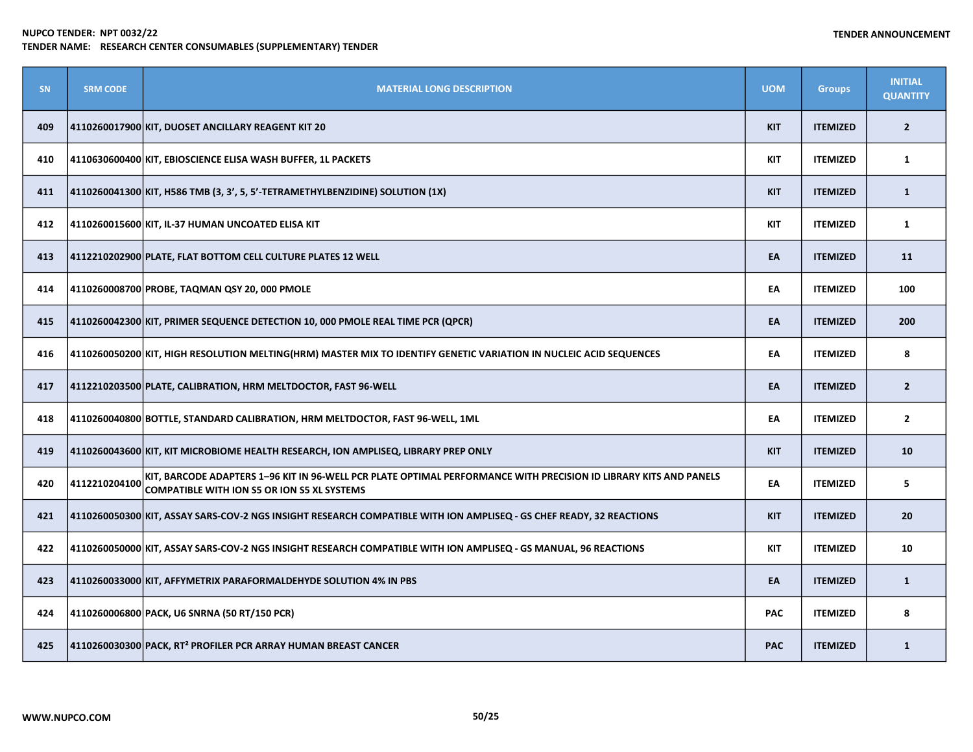| <b>SN</b> | <b>SRM CODE</b> | <b>MATERIAL LONG DESCRIPTION</b>                                                                                                                                        | <b>UOM</b> | <b>Groups</b>   | <b>INITIAL</b><br><b>QUANTITY</b> |
|-----------|-----------------|-------------------------------------------------------------------------------------------------------------------------------------------------------------------------|------------|-----------------|-----------------------------------|
| 409       |                 | 4110260017900 KIT, DUOSET ANCILLARY REAGENT KIT 20                                                                                                                      | <b>KIT</b> | <b>ITEMIZED</b> | $\overline{2}$                    |
| 410       |                 | 4110630600400 KIT, EBIOSCIENCE ELISA WASH BUFFER, 1L PACKETS                                                                                                            | <b>KIT</b> | <b>ITEMIZED</b> | $\mathbf{1}$                      |
| 411       |                 | 4110260041300 KIT, H586 TMB (3, 3', 5, 5'-TETRAMETHYLBENZIDINE) SOLUTION (1X)                                                                                           | <b>KIT</b> | <b>ITEMIZED</b> | $\mathbf{1}$                      |
| 412       |                 | 4110260015600 KIT, IL-37 HUMAN UNCOATED ELISA KIT                                                                                                                       | <b>KIT</b> | <b>ITEMIZED</b> | $\mathbf{1}$                      |
| 413       |                 | 4112210202900 PLATE, FLAT BOTTOM CELL CULTURE PLATES 12 WELL                                                                                                            | EA         | <b>ITEMIZED</b> | 11                                |
| 414       |                 | 4110260008700 PROBE, TAQMAN QSY 20, 000 PMOLE                                                                                                                           | EA         | <b>ITEMIZED</b> | 100                               |
| 415       |                 | 4110260042300 KIT, PRIMER SEQUENCE DETECTION 10, 000 PMOLE REAL TIME PCR (QPCR)                                                                                         | EA         | <b>ITEMIZED</b> | 200                               |
| 416       |                 | 4110260050200 KIT, HIGH RESOLUTION MELTING(HRM) MASTER MIX TO IDENTIFY GENETIC VARIATION IN NUCLEIC ACID SEQUENCES                                                      | EA         | <b>ITEMIZED</b> | 8                                 |
| 417       |                 | 4112210203500 PLATE, CALIBRATION, HRM MELTDOCTOR, FAST 96-WELL                                                                                                          | EA         | <b>ITEMIZED</b> | $\overline{2}$                    |
| 418       |                 | 4110260040800 BOTTLE, STANDARD CALIBRATION, HRM MELTDOCTOR, FAST 96-WELL, 1ML                                                                                           | EA         | <b>ITEMIZED</b> | $\mathbf{2}$                      |
| 419       |                 | 4110260043600 KIT, KIT MICROBIOME HEALTH RESEARCH, ION AMPLISEQ, LIBRARY PREP ONLY                                                                                      | <b>KIT</b> | <b>ITEMIZED</b> | 10                                |
| 420       | 4112210204100   | KIT, BARCODE ADAPTERS 1-96 KIT IN 96-WELL PCR PLATE OPTIMAL PERFORMANCE WITH PRECISION ID LIBRARY KITS AND PANELS<br><b>COMPATIBLE WITH ION S5 OR ION S5 XL SYSTEMS</b> | EA         | <b>ITEMIZED</b> | 5                                 |
| 421       |                 | 4110260050300 KIT, ASSAY SARS-COV-2 NGS INSIGHT RESEARCH COMPATIBLE WITH ION AMPLISEQ - GS CHEF READY, 32 REACTIONS                                                     | <b>KIT</b> | <b>ITEMIZED</b> | 20                                |
| 422       |                 | 4110260050000 KIT, ASSAY SARS-COV-2 NGS INSIGHT RESEARCH COMPATIBLE WITH ION AMPLISEQ - GS MANUAL, 96 REACTIONS                                                         | KIT        | <b>ITEMIZED</b> | 10                                |
| 423       |                 | 4110260033000 KIT, AFFYMETRIX PARAFORMALDEHYDE SOLUTION 4% IN PBS                                                                                                       | EA         | <b>ITEMIZED</b> | $\mathbf{1}$                      |
| 424       |                 | 4110260006800  PACK, U6 SNRNA (50 RT/150 PCR)                                                                                                                           | <b>PAC</b> | <b>ITEMIZED</b> | 8                                 |
| 425       |                 | 4110260030300 PACK, RT <sup>2</sup> PROFILER PCR ARRAY HUMAN BREAST CANCER                                                                                              | <b>PAC</b> | <b>ITEMIZED</b> | $\mathbf{1}$                      |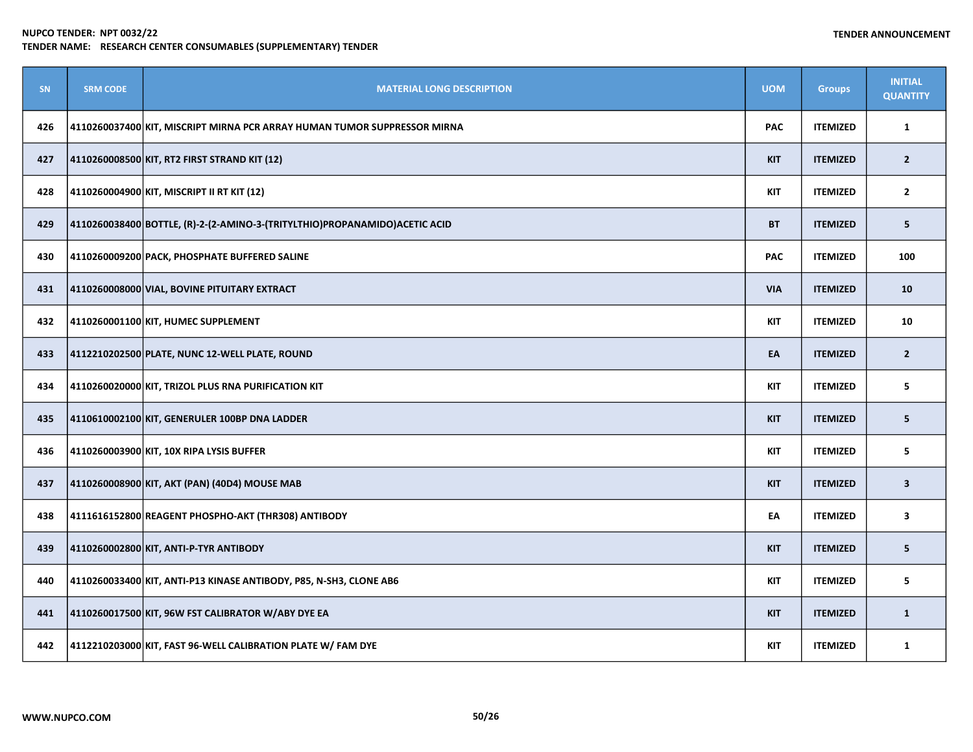| <b>SN</b> | <b>SRM CODE</b> | <b>MATERIAL LONG DESCRIPTION</b>                                           | <b>UOM</b> | <b>Groups</b>   | <b>INITIAL</b><br><b>QUANTITY</b> |
|-----------|-----------------|----------------------------------------------------------------------------|------------|-----------------|-----------------------------------|
| 426       |                 | 4110260037400 KIT, MISCRIPT MIRNA PCR ARRAY HUMAN TUMOR SUPPRESSOR MIRNA   | <b>PAC</b> | <b>ITEMIZED</b> | $\mathbf{1}$                      |
| 427       |                 | 4110260008500 KIT, RT2 FIRST STRAND KIT (12)                               | <b>KIT</b> | <b>ITEMIZED</b> | $\overline{2}$                    |
| 428       |                 | 4110260004900 KIT, MISCRIPT II RT KIT (12)                                 | <b>KIT</b> | <b>ITEMIZED</b> | $\overline{2}$                    |
| 429       |                 | 4110260038400 BOTTLE, (R)-2-(2-AMINO-3-(TRITYLTHIO)PROPANAMIDO)ACETIC ACID | <b>BT</b>  | <b>ITEMIZED</b> | 5                                 |
| 430       |                 | 4110260009200 PACK, PHOSPHATE BUFFERED SALINE                              | <b>PAC</b> | <b>ITEMIZED</b> | 100                               |
| 431       |                 | 4110260008000 VIAL, BOVINE PITUITARY EXTRACT                               | <b>VIA</b> | <b>ITEMIZED</b> | 10                                |
| 432       |                 | 4110260001100 KIT, HUMEC SUPPLEMENT                                        | <b>KIT</b> | <b>ITEMIZED</b> | 10                                |
| 433       |                 | 4112210202500 PLATE, NUNC 12-WELL PLATE, ROUND                             | EA         | <b>ITEMIZED</b> | $\overline{2}$                    |
| 434       |                 | 4110260020000 KIT, TRIZOL PLUS RNA PURIFICATION KIT                        | KIT        | <b>ITEMIZED</b> | 5                                 |
| 435       |                 | 4110610002100 KIT, GENERULER 100BP DNA LADDER                              | <b>KIT</b> | <b>ITEMIZED</b> | 5                                 |
| 436       |                 | 4110260003900 KIT, 10X RIPA LYSIS BUFFER                                   | <b>KIT</b> | <b>ITEMIZED</b> | 5                                 |
| 437       |                 | 4110260008900 KIT, AKT (PAN) (40D4) MOUSE MAB                              | <b>KIT</b> | <b>ITEMIZED</b> | $\overline{\mathbf{3}}$           |
| 438       |                 | 4111616152800 REAGENT PHOSPHO-AKT (THR308) ANTIBODY                        | EA         | <b>ITEMIZED</b> | 3                                 |
| 439       |                 | 4110260002800 KIT, ANTI-P-TYR ANTIBODY                                     | <b>KIT</b> | <b>ITEMIZED</b> | 5                                 |
| 440       |                 | 4110260033400 KIT, ANTI-P13 KINASE ANTIBODY, P85, N-SH3, CLONE AB6         | <b>KIT</b> | <b>ITEMIZED</b> | 5                                 |
| 441       |                 | 4110260017500 KIT, 96W FST CALIBRATOR W/ABY DYE EA                         | <b>KIT</b> | <b>ITEMIZED</b> | $\mathbf{1}$                      |
| 442       |                 | 4112210203000 KIT, FAST 96-WELL CALIBRATION PLATE W/ FAM DYE               | KIT        | <b>ITEMIZED</b> | $\mathbf{1}$                      |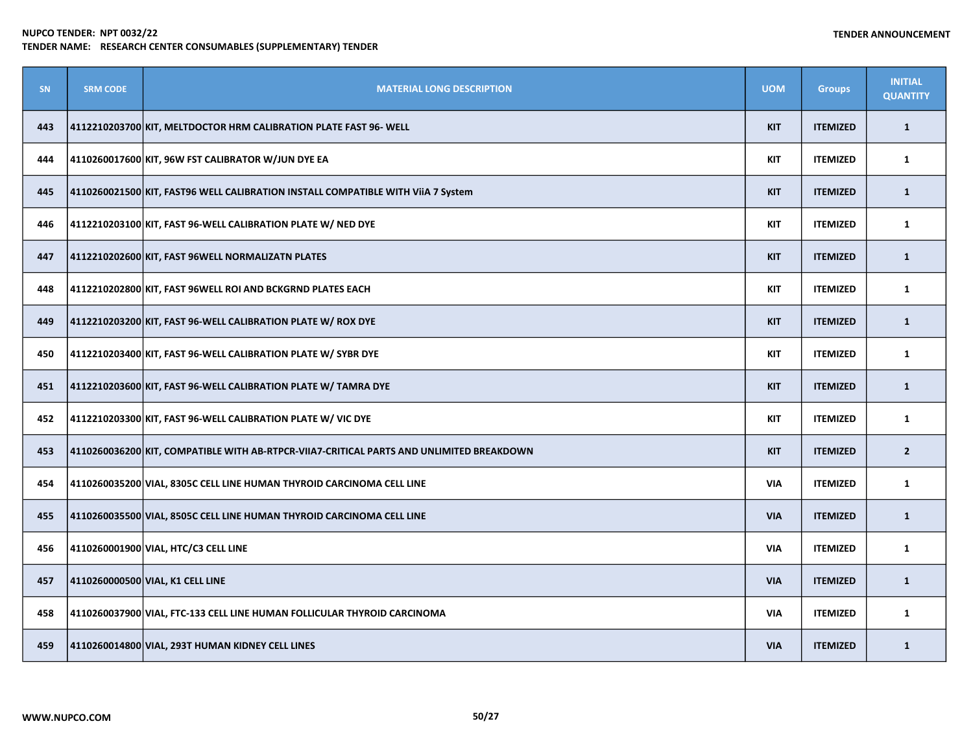| <b>SN</b> | <b>SRM CODE</b> | <b>MATERIAL LONG DESCRIPTION</b>                                                         | <b>UOM</b> | <b>Groups</b>   | <b>INITIAL</b><br><b>QUANTITY</b> |
|-----------|-----------------|------------------------------------------------------------------------------------------|------------|-----------------|-----------------------------------|
| 443       |                 | 4112210203700 KIT, MELTDOCTOR HRM CALIBRATION PLATE FAST 96- WELL                        | <b>KIT</b> | <b>ITEMIZED</b> | $\mathbf{1}$                      |
| 444       |                 | 4110260017600 KIT, 96W FST CALIBRATOR W/JUN DYE EA                                       | <b>KIT</b> | <b>ITEMIZED</b> | $\mathbf{1}$                      |
| 445       |                 | 4110260021500 KIT, FAST96 WELL CALIBRATION INSTALL COMPATIBLE WITH ViiA 7 System         | <b>KIT</b> | <b>ITEMIZED</b> | $\mathbf{1}$                      |
| 446       |                 | 4112210203100 KIT, FAST 96-WELL CALIBRATION PLATE W/ NED DYE                             | <b>KIT</b> | <b>ITEMIZED</b> | $\mathbf{1}$                      |
| 447       |                 | 4112210202600 KIT, FAST 96WELL NORMALIZATN PLATES                                        | <b>KIT</b> | <b>ITEMIZED</b> | $\mathbf{1}$                      |
| 448       |                 | 4112210202800 KIT, FAST 96WELL ROI AND BCKGRND PLATES EACH                               | <b>KIT</b> | <b>ITEMIZED</b> | $\mathbf{1}$                      |
| 449       |                 | 4112210203200 KIT, FAST 96-WELL CALIBRATION PLATE W/ ROX DYE                             | <b>KIT</b> | <b>ITEMIZED</b> | $\mathbf{1}$                      |
| 450       |                 | 4112210203400 KIT, FAST 96-WELL CALIBRATION PLATE W/ SYBR DYE                            | <b>KIT</b> | <b>ITEMIZED</b> | $\mathbf{1}$                      |
| 451       |                 | 4112210203600 KIT, FAST 96-WELL CALIBRATION PLATE W/ TAMRA DYE                           | <b>KIT</b> | <b>ITEMIZED</b> | $\mathbf{1}$                      |
| 452       |                 | 4112210203300 KIT, FAST 96-WELL CALIBRATION PLATE W/ VIC DYE                             | <b>KIT</b> | <b>ITEMIZED</b> | $\mathbf{1}$                      |
| 453       |                 | 4110260036200 KIT, COMPATIBLE WITH AB-RTPCR-VIIA7-CRITICAL PARTS AND UNLIMITED BREAKDOWN | <b>KIT</b> | <b>ITEMIZED</b> | $\overline{2}$                    |
| 454       |                 | 4110260035200 VIAL, 8305C CELL LINE HUMAN THYROID CARCINOMA CELL LINE                    | <b>VIA</b> | <b>ITEMIZED</b> | $\mathbf{1}$                      |
| 455       |                 | 4110260035500 VIAL, 8505C CELL LINE HUMAN THYROID CARCINOMA CELL LINE                    | <b>VIA</b> | <b>ITEMIZED</b> | $\mathbf{1}$                      |
| 456       |                 | 4110260001900 VIAL, HTC/C3 CELL LINE                                                     | <b>VIA</b> | <b>ITEMIZED</b> | $\mathbf{1}$                      |
| 457       |                 | 4110260000500 VIAL, K1 CELL LINE                                                         | <b>VIA</b> | <b>ITEMIZED</b> | $\mathbf{1}$                      |
| 458       |                 | 4110260037900 VIAL, FTC-133 CELL LINE HUMAN FOLLICULAR THYROID CARCINOMA                 | <b>VIA</b> | <b>ITEMIZED</b> | $\mathbf{1}$                      |
| 459       |                 | 4110260014800 VIAL, 293T HUMAN KIDNEY CELL LINES                                         | <b>VIA</b> | <b>ITEMIZED</b> | $\mathbf{1}$                      |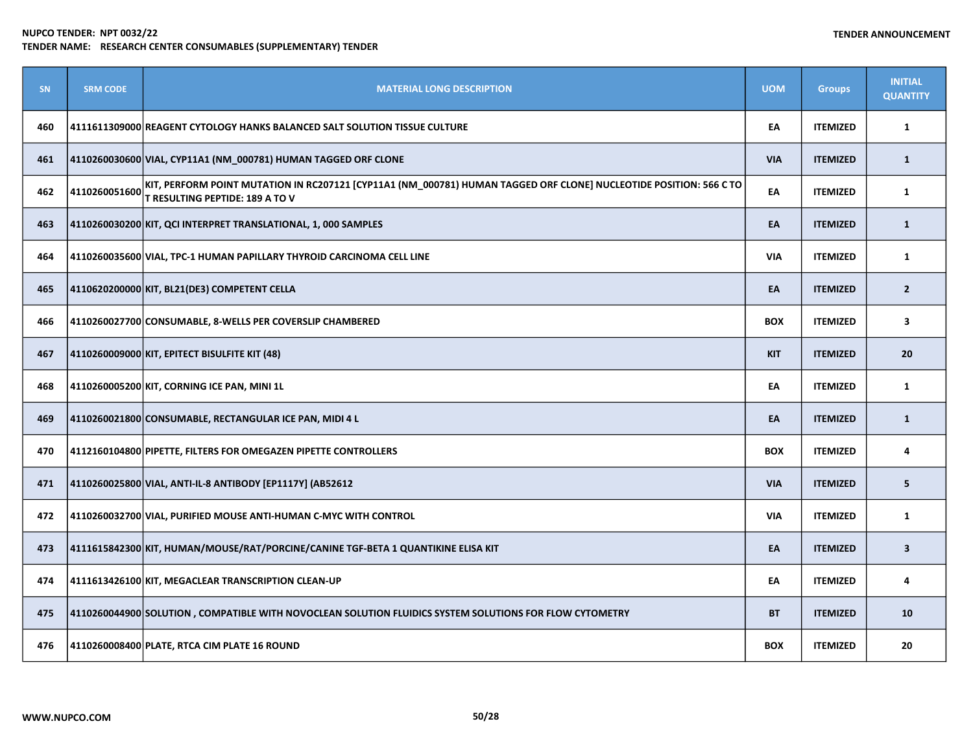| <b>SN</b> | <b>SRM CODE</b> | <b>MATERIAL LONG DESCRIPTION</b>                                                                                                                             | <b>UOM</b> | <b>Groups</b>   | <b>INITIAL</b><br><b>QUANTITY</b> |
|-----------|-----------------|--------------------------------------------------------------------------------------------------------------------------------------------------------------|------------|-----------------|-----------------------------------|
| 460       |                 | 4111611309000 REAGENT CYTOLOGY HANKS BALANCED SALT SOLUTION TISSUE CULTURE                                                                                   | EA         | <b>ITEMIZED</b> | $\mathbf{1}$                      |
| 461       |                 | 4110260030600 VIAL, CYP11A1 (NM_000781) HUMAN TAGGED ORF CLONE                                                                                               | <b>VIA</b> | <b>ITEMIZED</b> | $\mathbf{1}$                      |
| 462       | 4110260051600   | KIT, PERFORM POINT MUTATION IN RC207121 [CYP11A1 (NM_000781) HUMAN TAGGED ORF CLONE] NUCLEOTIDE POSITION: 566 C TO<br><b>T RESULTING PEPTIDE: 189 A TO V</b> | EA         | <b>ITEMIZED</b> | $\mathbf{1}$                      |
| 463       |                 | 4110260030200 KIT, QCI INTERPRET TRANSLATIONAL, 1, 000 SAMPLES                                                                                               | EA         | <b>ITEMIZED</b> | $\mathbf{1}$                      |
| 464       |                 | 4110260035600 VIAL, TPC-1 HUMAN PAPILLARY THYROID CARCINOMA CELL LINE                                                                                        | <b>VIA</b> | <b>ITEMIZED</b> | $\mathbf{1}$                      |
| 465       |                 | 4110620200000 KIT, BL21(DE3) COMPETENT CELLA                                                                                                                 | EA         | <b>ITEMIZED</b> | $\overline{2}$                    |
| 466       |                 | 4110260027700 CONSUMABLE, 8-WELLS PER COVERSLIP CHAMBERED                                                                                                    | <b>BOX</b> | <b>ITEMIZED</b> | $\overline{\mathbf{3}}$           |
| 467       |                 | 4110260009000 KIT, EPITECT BISULFITE KIT (48)                                                                                                                | <b>KIT</b> | <b>ITEMIZED</b> | 20                                |
| 468       |                 | 4110260005200 KIT, CORNING ICE PAN, MINI 1L                                                                                                                  | EA         | <b>ITEMIZED</b> | $\mathbf{1}$                      |
| 469       |                 | 4110260021800 CONSUMABLE, RECTANGULAR ICE PAN, MIDI 4 L                                                                                                      | EA         | <b>ITEMIZED</b> | $\mathbf{1}$                      |
| 470       |                 | 4112160104800 PIPETTE, FILTERS FOR OMEGAZEN PIPETTE CONTROLLERS                                                                                              | <b>BOX</b> | <b>ITEMIZED</b> | 4                                 |
| 471       |                 | 4110260025800 VIAL, ANTI-IL-8 ANTIBODY [EP1117Y] (AB52612                                                                                                    | <b>VIA</b> | <b>ITEMIZED</b> | 5                                 |
| 472       |                 | 4110260032700 VIAL, PURIFIED MOUSE ANTI-HUMAN C-MYC WITH CONTROL                                                                                             | <b>VIA</b> | <b>ITEMIZED</b> | $\mathbf{1}$                      |
| 473       |                 | 4111615842300 KIT, HUMAN/MOUSE/RAT/PORCINE/CANINE TGF-BETA 1 QUANTIKINE ELISA KIT                                                                            | EA         | <b>ITEMIZED</b> | $\overline{\mathbf{3}}$           |
| 474       |                 | 4111613426100 KIT, MEGACLEAR TRANSCRIPTION CLEAN-UP                                                                                                          | EA         | <b>ITEMIZED</b> | 4                                 |
| 475       |                 | 4110260044900 SOLUTION, COMPATIBLE WITH NOVOCLEAN SOLUTION FLUIDICS SYSTEM SOLUTIONS FOR FLOW CYTOMETRY                                                      | <b>BT</b>  | <b>ITEMIZED</b> | 10                                |
| 476       |                 | 4110260008400 PLATE, RTCA CIM PLATE 16 ROUND                                                                                                                 | <b>BOX</b> | <b>ITEMIZED</b> | 20                                |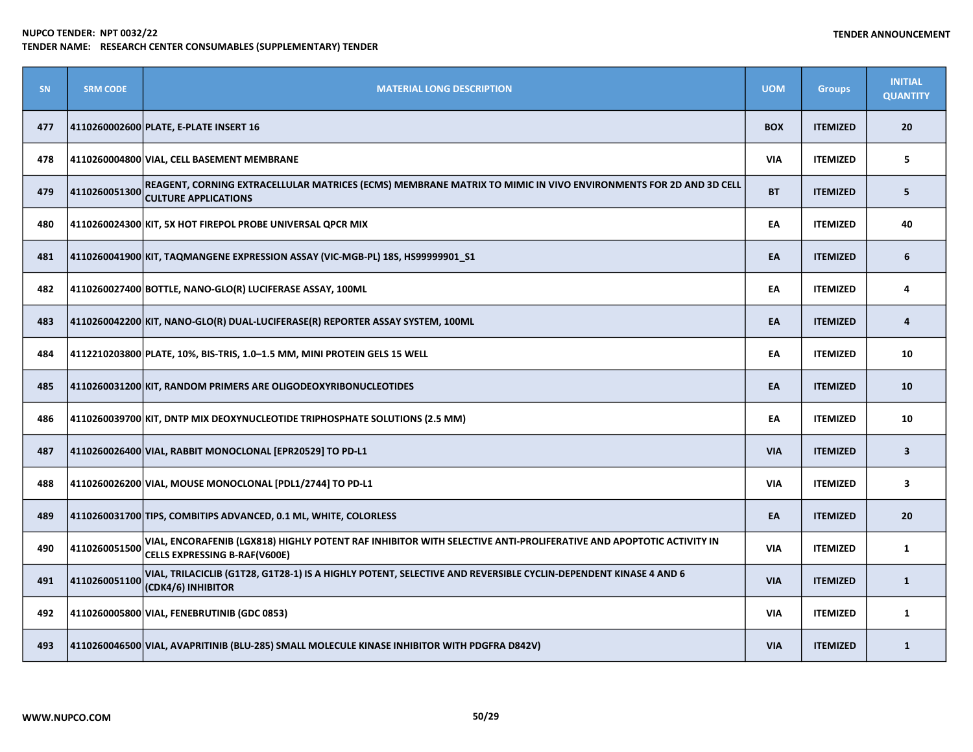| <b>SN</b> | <b>SRM CODE</b> | <b>MATERIAL LONG DESCRIPTION</b>                                                                                                                    | <b>UOM</b> | <b>Groups</b>   | <b>INITIAL</b><br><b>QUANTITY</b> |
|-----------|-----------------|-----------------------------------------------------------------------------------------------------------------------------------------------------|------------|-----------------|-----------------------------------|
| 477       |                 | 4110260002600 PLATE, E-PLATE INSERT 16                                                                                                              | <b>BOX</b> | <b>ITEMIZED</b> | 20                                |
| 478       |                 | 4110260004800 VIAL, CELL BASEMENT MEMBRANE                                                                                                          | <b>VIA</b> | <b>ITEMIZED</b> | 5                                 |
| 479       | 4110260051300   | REAGENT, CORNING EXTRACELLULAR MATRICES (ECMS) MEMBRANE MATRIX TO MIMIC IN VIVO ENVIRONMENTS FOR 2D AND 3D CELL<br><b>CULTURE APPLICATIONS</b>      | <b>BT</b>  | <b>ITEMIZED</b> | 5                                 |
| 480       |                 | 4110260024300 KIT, 5X HOT FIREPOL PROBE UNIVERSAL QPCR MIX                                                                                          | EA         | <b>ITEMIZED</b> | 40                                |
| 481       |                 | 4110260041900 KIT, TAQMANGENE EXPRESSION ASSAY (VIC-MGB-PL) 18S, HS99999901_S1                                                                      | EA         | <b>ITEMIZED</b> | 6                                 |
| 482       |                 | 4110260027400 BOTTLE, NANO-GLO(R) LUCIFERASE ASSAY, 100ML                                                                                           | EA         | <b>ITEMIZED</b> | 4                                 |
| 483       |                 | 4110260042200 KIT, NANO-GLO(R) DUAL-LUCIFERASE(R) REPORTER ASSAY SYSTEM, 100ML                                                                      | EA         | <b>ITEMIZED</b> | 4                                 |
| 484       |                 | 4112210203800 PLATE, 10%, BIS-TRIS, 1.0-1.5 MM, MINI PROTEIN GELS 15 WELL                                                                           | EA         | <b>ITEMIZED</b> | 10                                |
| 485       |                 | 4110260031200 KIT, RANDOM PRIMERS ARE OLIGODEOXYRIBONUCLEOTIDES                                                                                     | EA         | <b>ITEMIZED</b> | 10                                |
| 486       |                 | 4110260039700 KIT, DNTP MIX DEOXYNUCLEOTIDE TRIPHOSPHATE SOLUTIONS (2.5 MM)                                                                         | EA         | <b>ITEMIZED</b> | 10                                |
| 487       |                 | 4110260026400 VIAL, RABBIT MONOCLONAL [EPR20529] TO PD-L1                                                                                           | <b>VIA</b> | <b>ITEMIZED</b> | $\overline{\mathbf{3}}$           |
| 488       |                 | 4110260026200 VIAL, MOUSE MONOCLONAL [PDL1/2744] TO PD-L1                                                                                           | <b>VIA</b> | <b>ITEMIZED</b> | $\overline{\mathbf{3}}$           |
| 489       |                 | 4110260031700 TIPS, COMBITIPS ADVANCED, 0.1 ML, WHITE, COLORLESS                                                                                    | EA         | <b>ITEMIZED</b> | 20                                |
| 490       | 4110260051500   | VIAL, ENCORAFENIB (LGX818) HIGHLY POTENT RAF INHIBITOR WITH SELECTIVE ANTI-PROLIFERATIVE AND APOPTOTIC ACTIVITY IN<br>CELLS EXPRESSING B-RAF(V600E) | VIA        | <b>ITEMIZED</b> | 1                                 |
| 491       | 4110260051100   | VIAL, TRILACICLIB (G1T28, G1T28-1) IS A HIGHLY POTENT, SELECTIVE AND REVERSIBLE CYCLIN-DEPENDENT KINASE 4 AND 6<br>(CDK4/6) INHIBITOR               | <b>VIA</b> | <b>ITEMIZED</b> | $\mathbf{1}$                      |
| 492       |                 | 4110260005800 VIAL, FENEBRUTINIB (GDC 0853)                                                                                                         | <b>VIA</b> | <b>ITEMIZED</b> | $\mathbf{1}$                      |
| 493       |                 | 4110260046500 VIAL, AVAPRITINIB (BLU-285) SMALL MOLECULE KINASE INHIBITOR WITH PDGFRA D842V)                                                        | <b>VIA</b> | <b>ITEMIZED</b> | $\mathbf{1}$                      |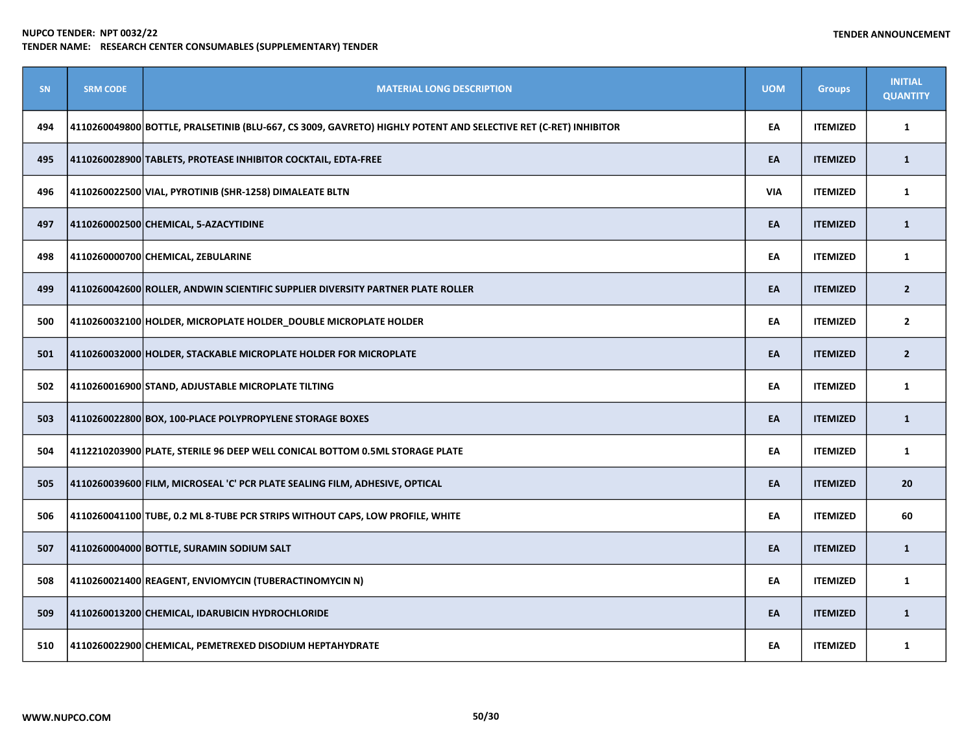| <b>SN</b> | <b>SRM CODE</b> | <b>MATERIAL LONG DESCRIPTION</b>                                                                                | <b>UOM</b> | <b>Groups</b>   | <b>INITIAL</b><br><b>QUANTITY</b> |
|-----------|-----------------|-----------------------------------------------------------------------------------------------------------------|------------|-----------------|-----------------------------------|
| 494       |                 | 4110260049800 BOTTLE, PRALSETINIB (BLU-667, CS 3009, GAVRETO) HIGHLY POTENT AND SELECTIVE RET (C-RET) INHIBITOR | EA         | <b>ITEMIZED</b> | 1                                 |
| 495       |                 | 4110260028900 TABLETS, PROTEASE INHIBITOR COCKTAIL, EDTA-FREE                                                   | EA         | <b>ITEMIZED</b> | $\mathbf{1}$                      |
| 496       |                 | 4110260022500 VIAL, PYROTINIB (SHR-1258) DIMALEATE BLTN                                                         | <b>VIA</b> | <b>ITEMIZED</b> | $\mathbf{1}$                      |
| 497       |                 | 4110260002500 CHEMICAL, 5-AZACYTIDINE                                                                           | EA         | <b>ITEMIZED</b> | $\mathbf{1}$                      |
| 498       |                 | 4110260000700 CHEMICAL, ZEBULARINE                                                                              | EA         | <b>ITEMIZED</b> | $\mathbf{1}$                      |
| 499       |                 | 4110260042600 ROLLER, ANDWIN SCIENTIFIC SUPPLIER DIVERSITY PARTNER PLATE ROLLER                                 | EA         | <b>ITEMIZED</b> | $\overline{2}$                    |
| 500       |                 | 4110260032100 HOLDER, MICROPLATE HOLDER DOUBLE MICROPLATE HOLDER                                                | EA         | <b>ITEMIZED</b> | $\overline{2}$                    |
| 501       |                 | 4110260032000 HOLDER, STACKABLE MICROPLATE HOLDER FOR MICROPLATE                                                | EA         | <b>ITEMIZED</b> | $\overline{2}$                    |
| 502       |                 | 4110260016900 STAND, ADJUSTABLE MICROPLATE TILTING                                                              | EA         | <b>ITEMIZED</b> | $\mathbf{1}$                      |
| 503       |                 | 4110260022800 BOX, 100-PLACE POLYPROPYLENE STORAGE BOXES                                                        | EA         | <b>ITEMIZED</b> | $\mathbf{1}$                      |
| 504       |                 | 4112210203900 PLATE, STERILE 96 DEEP WELL CONICAL BOTTOM 0.5ML STORAGE PLATE                                    | EA         | <b>ITEMIZED</b> | $\mathbf{1}$                      |
| 505       |                 | 4110260039600 FILM, MICROSEAL 'C' PCR PLATE SEALING FILM, ADHESIVE, OPTICAL                                     | EA         | <b>ITEMIZED</b> | 20                                |
| 506       |                 | 4110260041100 TUBE, 0.2 ML 8-TUBE PCR STRIPS WITHOUT CAPS, LOW PROFILE, WHITE                                   | EA         | <b>ITEMIZED</b> | 60                                |
| 507       |                 | 4110260004000 BOTTLE, SURAMIN SODIUM SALT                                                                       | EA         | <b>ITEMIZED</b> | $\mathbf{1}$                      |
| 508       |                 | 4110260021400 REAGENT, ENVIOMYCIN (TUBERACTINOMYCIN N)                                                          | EA         | <b>ITEMIZED</b> | $\mathbf{1}$                      |
| 509       |                 | 4110260013200 CHEMICAL, IDARUBICIN HYDROCHLORIDE                                                                | EA         | <b>ITEMIZED</b> | $\mathbf{1}$                      |
| 510       |                 | 4110260022900 CHEMICAL, PEMETREXED DISODIUM HEPTAHYDRATE                                                        | EA         | <b>ITEMIZED</b> | $\mathbf{1}$                      |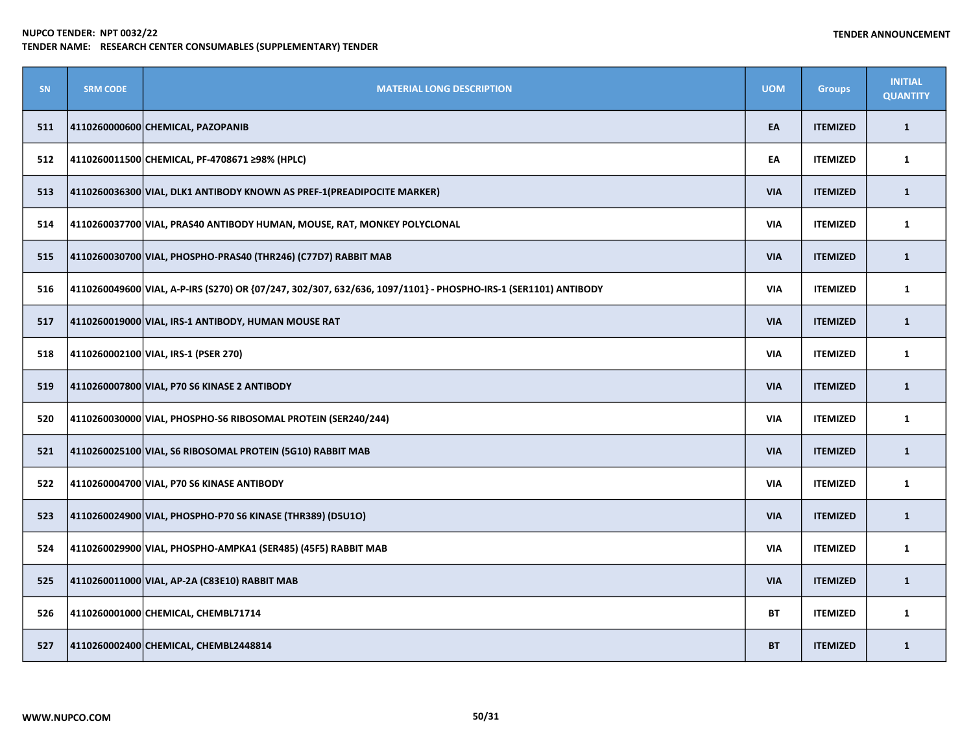| SN  | <b>SRM CODE</b> | <b>MATERIAL LONG DESCRIPTION</b>                                                                               | <b>UOM</b> | <b>Groups</b>   | <b>INITIAL</b><br><b>QUANTITY</b> |
|-----|-----------------|----------------------------------------------------------------------------------------------------------------|------------|-----------------|-----------------------------------|
| 511 |                 | 4110260000600 CHEMICAL, PAZOPANIB                                                                              | EA         | <b>ITEMIZED</b> | $\mathbf{1}$                      |
| 512 |                 | 4110260011500 CHEMICAL, PF-4708671 ≥98% (HPLC)                                                                 | EA         | <b>ITEMIZED</b> | 1                                 |
| 513 |                 | 4110260036300 VIAL, DLK1 ANTIBODY KNOWN AS PREF-1 (PREADIPOCITE MARKER)                                        | <b>VIA</b> | <b>ITEMIZED</b> | $\mathbf{1}$                      |
| 514 |                 | 4110260037700 VIAL, PRAS40 ANTIBODY HUMAN, MOUSE, RAT, MONKEY POLYCLONAL                                       | <b>VIA</b> | <b>ITEMIZED</b> | 1                                 |
| 515 |                 | 4110260030700 VIAL, PHOSPHO-PRAS40 (THR246) (C77D7) RABBIT MAB                                                 | <b>VIA</b> | <b>ITEMIZED</b> | $\mathbf{1}$                      |
| 516 |                 | 4110260049600 VIAL, A-P-IRS (S270) OR {07/247, 302/307, 632/636, 1097/1101} - PHOSPHO-IRS-1 (SER1101) ANTIBODY | <b>VIA</b> | <b>ITEMIZED</b> | $\mathbf{1}$                      |
| 517 |                 | 4110260019000 VIAL, IRS-1 ANTIBODY, HUMAN MOUSE RAT                                                            | <b>VIA</b> | <b>ITEMIZED</b> | $\mathbf{1}$                      |
| 518 |                 | 4110260002100 VIAL, IRS-1 (PSER 270)                                                                           | <b>VIA</b> | <b>ITEMIZED</b> | $\mathbf{1}$                      |
| 519 |                 | 4110260007800 VIAL, P70 S6 KINASE 2 ANTIBODY                                                                   | <b>VIA</b> | <b>ITEMIZED</b> | $\mathbf{1}$                      |
| 520 |                 | 4110260030000 VIAL, PHOSPHO-S6 RIBOSOMAL PROTEIN (SER240/244)                                                  | <b>VIA</b> | <b>ITEMIZED</b> | $\mathbf{1}$                      |
| 521 |                 | 4110260025100 VIAL, S6 RIBOSOMAL PROTEIN (5G10) RABBIT MAB                                                     | <b>VIA</b> | <b>ITEMIZED</b> | $\mathbf{1}$                      |
| 522 |                 | 4110260004700 VIAL, P70 S6 KINASE ANTIBODY                                                                     | <b>VIA</b> | <b>ITEMIZED</b> | $\mathbf{1}$                      |
| 523 |                 | 4110260024900  VIAL, PHOSPHO-P70 S6 KINASE (THR389) (D5U1O)                                                    | <b>VIA</b> | <b>ITEMIZED</b> | $\mathbf{1}$                      |
| 524 |                 | 4110260029900 VIAL, PHOSPHO-AMPKA1 (SER485) (45F5) RABBIT MAB                                                  | <b>VIA</b> | <b>ITEMIZED</b> | 1                                 |
| 525 |                 | 4110260011000 VIAL, AP-2A (C83E10) RABBIT MAB                                                                  | <b>VIA</b> | <b>ITEMIZED</b> | $\mathbf{1}$                      |
| 526 |                 | 4110260001000 CHEMICAL, CHEMBL71714                                                                            | <b>BT</b>  | <b>ITEMIZED</b> | $\mathbf{1}$                      |
| 527 |                 | 4110260002400 CHEMICAL, CHEMBL2448814                                                                          | <b>BT</b>  | <b>ITEMIZED</b> | $\mathbf{1}$                      |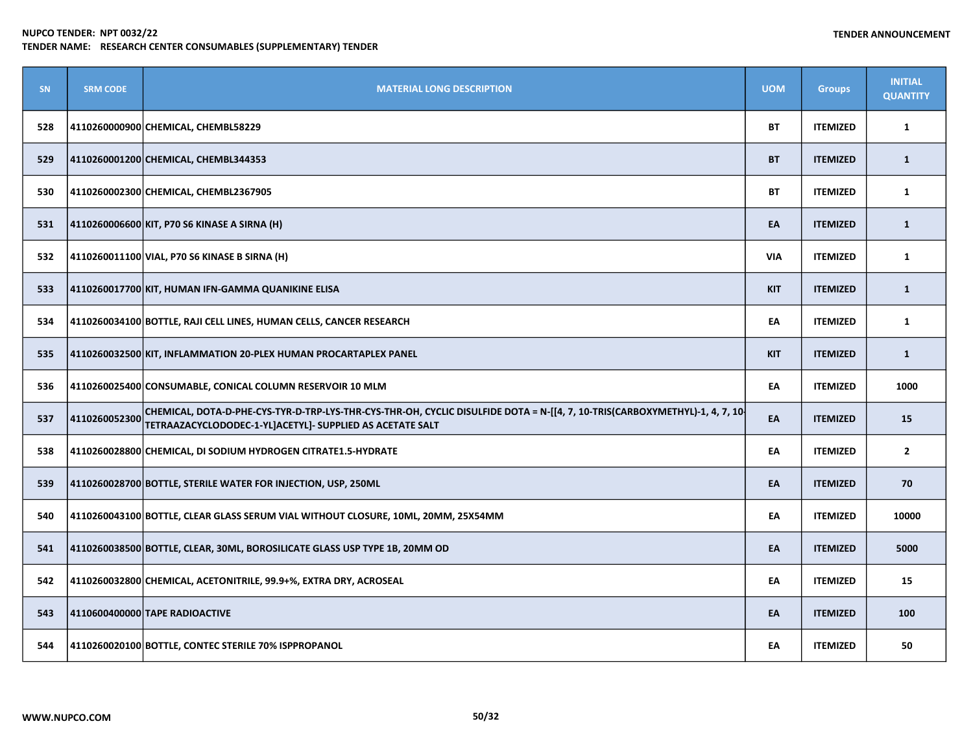| <b>SN</b> | <b>SRM CODE</b> | <b>MATERIAL LONG DESCRIPTION</b>                                                                                                                                                         | <b>UOM</b> | <b>Groups</b>   | <b>INITIAL</b><br><b>QUANTITY</b> |
|-----------|-----------------|------------------------------------------------------------------------------------------------------------------------------------------------------------------------------------------|------------|-----------------|-----------------------------------|
| 528       |                 | 4110260000900 CHEMICAL, CHEMBL58229                                                                                                                                                      | <b>BT</b>  | <b>ITEMIZED</b> | $\mathbf{1}$                      |
| 529       |                 | 4110260001200 CHEMICAL, CHEMBL344353                                                                                                                                                     | <b>BT</b>  | <b>ITEMIZED</b> | $\mathbf{1}$                      |
| 530       |                 | 4110260002300 CHEMICAL, CHEMBL2367905                                                                                                                                                    | <b>BT</b>  | <b>ITEMIZED</b> | $\mathbf{1}$                      |
| 531       |                 | 4110260006600 KIT, P70 S6 KINASE A SIRNA (H)                                                                                                                                             | EA         | <b>ITEMIZED</b> | $\mathbf{1}$                      |
| 532       |                 | 4110260011100 VIAL, P70 S6 KINASE B SIRNA (H)                                                                                                                                            | <b>VIA</b> | <b>ITEMIZED</b> | 1                                 |
| 533       |                 | 4110260017700 KIT, HUMAN IFN-GAMMA QUANIKINE ELISA                                                                                                                                       | <b>KIT</b> | <b>ITEMIZED</b> | $\mathbf{1}$                      |
| 534       |                 | 4110260034100 BOTTLE, RAJI CELL LINES, HUMAN CELLS, CANCER RESEARCH                                                                                                                      | EA         | <b>ITEMIZED</b> | 1                                 |
| 535       |                 | 4110260032500 KIT, INFLAMMATION 20-PLEX HUMAN PROCARTAPLEX PANEL                                                                                                                         | <b>KIT</b> | <b>ITEMIZED</b> | $\mathbf{1}$                      |
| 536       |                 | 4110260025400 CONSUMABLE, CONICAL COLUMN RESERVOIR 10 MLM                                                                                                                                | EA         | <b>ITEMIZED</b> | 1000                              |
| 537       | 4110260052300   | CHEMICAL, DOTA-D-PHE-CYS-TYR-D-TRP-LYS-THR-CYS-THR-OH, CYCLIC DISULFIDE DOTA = N-[[4, 7, 10-TRIS(CARBOXYMETHYL)-1, 4, 7, 10<br>TETRAAZACYCLODODEC-1-YL]ACETYL]- SUPPLIED AS ACETATE SALT | EA         | <b>ITEMIZED</b> | 15                                |
| 538       |                 | 4110260028800 CHEMICAL, DI SODIUM HYDROGEN CITRATE1.5-HYDRATE                                                                                                                            | EA         | <b>ITEMIZED</b> | $\overline{2}$                    |
| 539       |                 | 4110260028700 BOTTLE, STERILE WATER FOR INJECTION, USP, 250ML                                                                                                                            | EA         | <b>ITEMIZED</b> | 70                                |
| 540       |                 | 4110260043100 BOTTLE, CLEAR GLASS SERUM VIAL WITHOUT CLOSURE, 10ML, 20MM, 25X54MM                                                                                                        | EA         | <b>ITEMIZED</b> | 10000                             |
| 541       |                 | $\vert$ 4110260038500 $\vert$ BOTTLE, CLEAR, 30ML, BOROSILICATE GLASS USP TYPE 1B, 20MM OD                                                                                               | EA         | <b>ITEMIZED</b> | 5000                              |
| 542       |                 | 4110260032800 CHEMICAL, ACETONITRILE, 99.9+%, EXTRA DRY, ACROSEAL                                                                                                                        | EA         | <b>ITEMIZED</b> | 15                                |
| 543       |                 | 4110600400000 TAPE RADIOACTIVE                                                                                                                                                           | EA         | <b>ITEMIZED</b> | 100                               |
| 544       |                 | 4110260020100 BOTTLE, CONTEC STERILE 70% ISPPROPANOL                                                                                                                                     | EA         | <b>ITEMIZED</b> | 50                                |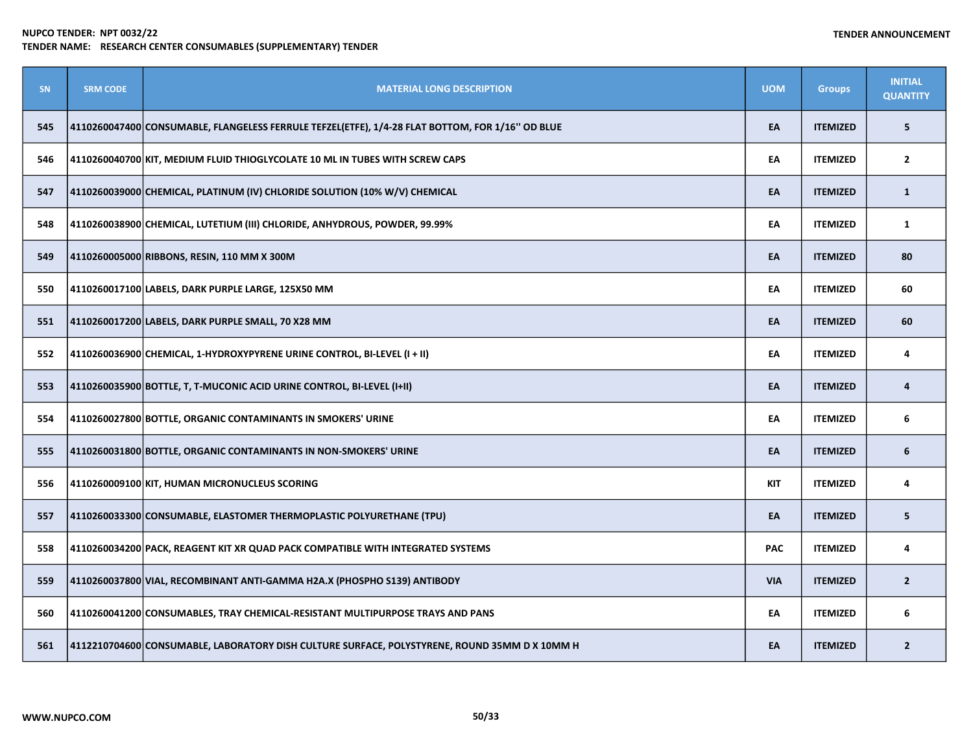| SN  | <b>SRM CODE</b> | <b>MATERIAL LONG DESCRIPTION</b>                                                                 | <b>UOM</b> | <b>Groups</b>   | <b>INITIAL</b><br><b>QUANTITY</b> |
|-----|-----------------|--------------------------------------------------------------------------------------------------|------------|-----------------|-----------------------------------|
| 545 |                 | 4110260047400 CONSUMABLE, FLANGELESS FERRULE TEFZEL(ETFE), 1/4-28 FLAT BOTTOM, FOR 1/16" OD BLUE | EA         | <b>ITEMIZED</b> | 5                                 |
| 546 |                 | 4110260040700 KIT, MEDIUM FLUID THIOGLYCOLATE 10 ML IN TUBES WITH SCREW CAPS                     | EA         | <b>ITEMIZED</b> | $\overline{2}$                    |
| 547 |                 | 4110260039000 CHEMICAL, PLATINUM (IV) CHLORIDE SOLUTION (10% W/V) CHEMICAL                       | EA         | <b>ITEMIZED</b> | $\mathbf{1}$                      |
| 548 |                 | 4110260038900 CHEMICAL, LUTETIUM (III) CHLORIDE, ANHYDROUS, POWDER, 99.99%                       | EA         | <b>ITEMIZED</b> | $\mathbf{1}$                      |
| 549 |                 | 4110260005000 RIBBONS, RESIN, 110 MM X 300M                                                      | EA         | <b>ITEMIZED</b> | 80                                |
| 550 |                 | 4110260017100 LABELS, DARK PURPLE LARGE, 125X50 MM                                               | EA         | <b>ITEMIZED</b> | 60                                |
| 551 |                 | 4110260017200 LABELS, DARK PURPLE SMALL, 70 X28 MM                                               | EA         | <b>ITEMIZED</b> | 60                                |
| 552 |                 | 4110260036900 CHEMICAL, 1-HYDROXYPYRENE URINE CONTROL, BI-LEVEL (I + II)                         | EA         | <b>ITEMIZED</b> | 4                                 |
| 553 |                 | 4110260035900 BOTTLE, T, T-MUCONIC ACID URINE CONTROL, BI-LEVEL (I+II)                           | EA         | <b>ITEMIZED</b> | 4                                 |
| 554 |                 | 4110260027800 BOTTLE, ORGANIC CONTAMINANTS IN SMOKERS' URINE                                     | EA         | <b>ITEMIZED</b> | 6                                 |
| 555 |                 | 4110260031800 BOTTLE, ORGANIC CONTAMINANTS IN NON-SMOKERS' URINE                                 | EA         | <b>ITEMIZED</b> | 6                                 |
| 556 |                 | 4110260009100 KIT, HUMAN MICRONUCLEUS SCORING                                                    | <b>KIT</b> | <b>ITEMIZED</b> | 4                                 |
| 557 |                 | 4110260033300 CONSUMABLE, ELASTOMER THERMOPLASTIC POLYURETHANE (TPU)                             | EA         | <b>ITEMIZED</b> | 5                                 |
| 558 |                 | 4110260034200 PACK, REAGENT KIT XR QUAD PACK COMPATIBLE WITH INTEGRATED SYSTEMS                  | <b>PAC</b> | <b>ITEMIZED</b> | 4                                 |
| 559 |                 | 4110260037800 VIAL, RECOMBINANT ANTI-GAMMA H2A.X (PHOSPHO S139) ANTIBODY                         | <b>VIA</b> | <b>ITEMIZED</b> | $2^{\circ}$                       |
| 560 |                 | 4110260041200 CONSUMABLES, TRAY CHEMICAL-RESISTANT MULTIPURPOSE TRAYS AND PANS                   | EA         | <b>ITEMIZED</b> | 6                                 |
| 561 |                 | 4112210704600 CONSUMABLE, LABORATORY DISH CULTURE SURFACE, POLYSTYRENE, ROUND 35MM D X 10MM H    | EA         | <b>ITEMIZED</b> | $\overline{2}$                    |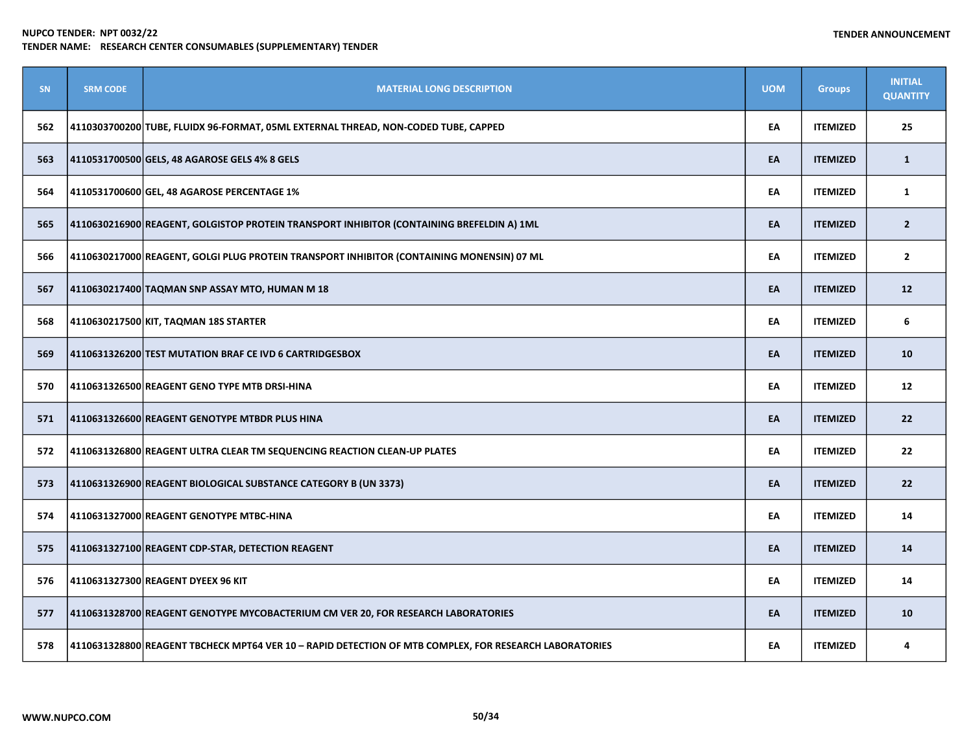| SN  | <b>SRM CODE</b> | <b>MATERIAL LONG DESCRIPTION</b>                                                                       | <b>UOM</b> | <b>Groups</b>   | <b>INITIAL</b><br><b>QUANTITY</b> |
|-----|-----------------|--------------------------------------------------------------------------------------------------------|------------|-----------------|-----------------------------------|
| 562 |                 | 4110303700200 TUBE, FLUIDX 96-FORMAT, 05ML EXTERNAL THREAD, NON-CODED TUBE, CAPPED                     | EA         | <b>ITEMIZED</b> | 25                                |
| 563 |                 | 4110531700500 GELS, 48 AGAROSE GELS 4% 8 GELS                                                          | EA         | <b>ITEMIZED</b> | $\mathbf{1}$                      |
| 564 |                 | 4110531700600 GEL, 48 AGAROSE PERCENTAGE 1%                                                            | EA         | <b>ITEMIZED</b> | $\mathbf{1}$                      |
| 565 |                 | 4110630216900 REAGENT, GOLGISTOP PROTEIN TRANSPORT INHIBITOR (CONTAINING BREFELDIN A) 1ML              | EA         | <b>ITEMIZED</b> | $\overline{2}$                    |
| 566 |                 | 4110630217000 REAGENT, GOLGI PLUG PROTEIN TRANSPORT INHIBITOR (CONTAINING MONENSIN) 07 ML              | EA         | <b>ITEMIZED</b> | $\mathbf{2}$                      |
| 567 |                 | 4110630217400 TAQMAN SNP ASSAY MTO, HUMAN M 18                                                         | EA         | <b>ITEMIZED</b> | 12                                |
| 568 |                 | 4110630217500 KIT, TAQMAN 18S STARTER                                                                  | EA         | <b>ITEMIZED</b> | 6                                 |
| 569 |                 | 4110631326200 TEST MUTATION BRAF CE IVD 6 CARTRIDGESBOX                                                | EA         | <b>ITEMIZED</b> | 10                                |
| 570 |                 | 4110631326500 REAGENT GENO TYPE MTB DRSI-HINA                                                          | EA         | <b>ITEMIZED</b> | 12                                |
| 571 |                 | 4110631326600 REAGENT GENOTYPE MTBDR PLUS HINA                                                         | EA         | <b>ITEMIZED</b> | 22                                |
| 572 |                 | 4110631326800 REAGENT ULTRA CLEAR TM SEQUENCING REACTION CLEAN-UP PLATES                               | EA         | <b>ITEMIZED</b> | 22                                |
| 573 |                 | 4110631326900 REAGENT BIOLOGICAL SUBSTANCE CATEGORY B (UN 3373)                                        | EA         | <b>ITEMIZED</b> | 22                                |
| 574 |                 | 4110631327000 REAGENT GENOTYPE MTBC-HINA                                                               | EA         | <b>ITEMIZED</b> | 14                                |
| 575 |                 | 4110631327100 REAGENT CDP-STAR, DETECTION REAGENT                                                      | EA         | <b>ITEMIZED</b> | 14                                |
| 576 |                 | 4110631327300 REAGENT DYEEX 96 KIT                                                                     | EA         | <b>ITEMIZED</b> | 14                                |
| 577 |                 | 4110631328700 REAGENT GENOTYPE MYCOBACTERIUM CM VER 20, FOR RESEARCH LABORATORIES                      | EA         | <b>ITEMIZED</b> | 10                                |
| 578 |                 | 4110631328800 REAGENT TBCHECK MPT64 VER 10 - RAPID DETECTION OF MTB COMPLEX, FOR RESEARCH LABORATORIES | EA         | <b>ITEMIZED</b> | 4                                 |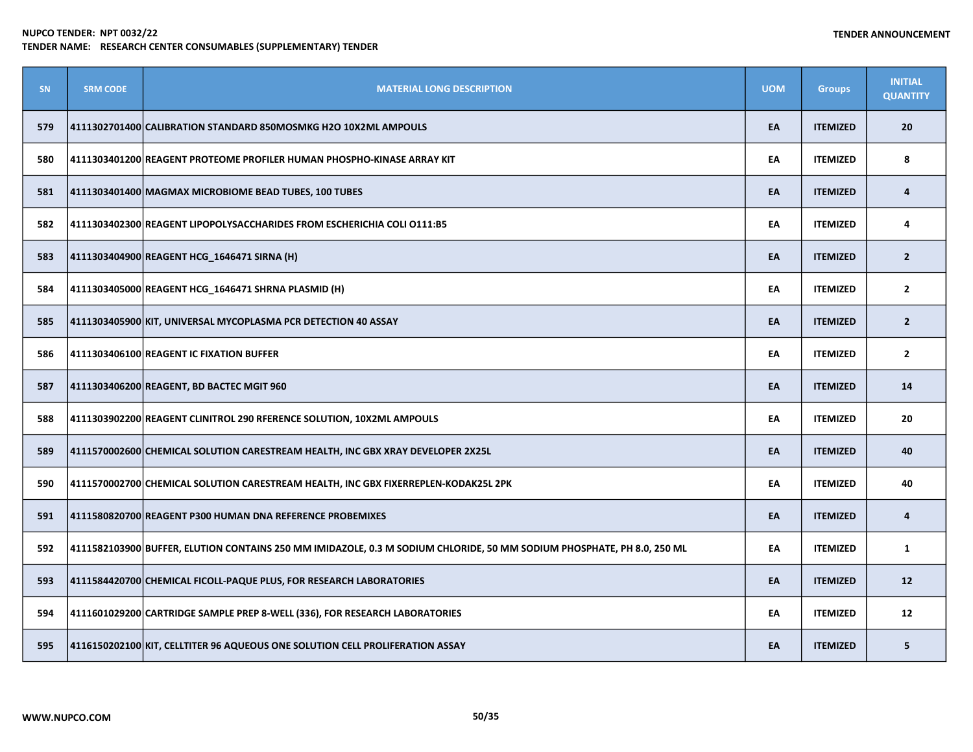| SN  | <b>SRM CODE</b> | <b>MATERIAL LONG DESCRIPTION</b>                                                                                       | <b>UOM</b> | <b>Groups</b>   | <b>INITIAL</b><br><b>QUANTITY</b> |
|-----|-----------------|------------------------------------------------------------------------------------------------------------------------|------------|-----------------|-----------------------------------|
| 579 |                 | 4111302701400 CALIBRATION STANDARD 850MOSMKG H2O 10X2ML AMPOULS                                                        | EA         | <b>ITEMIZED</b> | 20                                |
| 580 |                 | 4111303401200 REAGENT PROTEOME PROFILER HUMAN PHOSPHO-KINASE ARRAY KIT                                                 | EA         | <b>ITEMIZED</b> | 8                                 |
| 581 |                 | 4111303401400 MAGMAX MICROBIOME BEAD TUBES, 100 TUBES                                                                  | EA         | <b>ITEMIZED</b> | 4                                 |
| 582 |                 | 4111303402300 REAGENT LIPOPOLYSACCHARIDES FROM ESCHERICHIA COLI 0111:B5                                                | EA         | <b>ITEMIZED</b> | 4                                 |
| 583 |                 | 4111303404900 REAGENT HCG_1646471 SIRNA (H)                                                                            | EA         | <b>ITEMIZED</b> | $\overline{2}$                    |
| 584 |                 | 4111303405000 REAGENT HCG_1646471 SHRNA PLASMID (H)                                                                    | EA         | <b>ITEMIZED</b> | $\overline{2}$                    |
| 585 |                 | 4111303405900 KIT, UNIVERSAL MYCOPLASMA PCR DETECTION 40 ASSAY                                                         | EA         | <b>ITEMIZED</b> | $\overline{2}$                    |
| 586 |                 | 4111303406100 REAGENT IC FIXATION BUFFER                                                                               | EA         | <b>ITEMIZED</b> | $\overline{2}$                    |
| 587 |                 | 4111303406200 REAGENT, BD BACTEC MGIT 960                                                                              | EA         | <b>ITEMIZED</b> | 14                                |
| 588 |                 | 4111303902200 REAGENT CLINITROL 290 RFERENCE SOLUTION, 10X2ML AMPOULS                                                  | EA         | <b>ITEMIZED</b> | 20                                |
| 589 |                 | 4111570002600 CHEMICAL SOLUTION CARESTREAM HEALTH, INC GBX XRAY DEVELOPER 2X25L                                        | EA         | <b>ITEMIZED</b> | 40                                |
| 590 |                 | 4111570002700 CHEMICAL SOLUTION CARESTREAM HEALTH, INC GBX FIXERREPLEN-KODAK25L 2PK                                    | EA         | <b>ITEMIZED</b> | 40                                |
| 591 |                 | 4111580820700 REAGENT P300 HUMAN DNA REFERENCE PROBEMIXES                                                              | EA         | <b>ITEMIZED</b> | 4                                 |
| 592 |                 | 4111582103900 BUFFER, ELUTION CONTAINS 250 MM IMIDAZOLE, 0.3 M SODIUM CHLORIDE, 50 MM SODIUM PHOSPHATE, PH 8.0, 250 ML | EA         | <b>ITEMIZED</b> | $\mathbf{1}$                      |
| 593 |                 | 4111584420700 CHEMICAL FICOLL-PAQUE PLUS, FOR RESEARCH LABORATORIES                                                    | EA         | <b>ITEMIZED</b> | 12                                |
| 594 |                 | 4111601029200 CARTRIDGE SAMPLE PREP 8-WELL (336), FOR RESEARCH LABORATORIES                                            | EA         | <b>ITEMIZED</b> | 12                                |
| 595 |                 | 4116150202100 KIT, CELLTITER 96 AQUEOUS ONE SOLUTION CELL PROLIFERATION ASSAY                                          | EA         | <b>ITEMIZED</b> | 5                                 |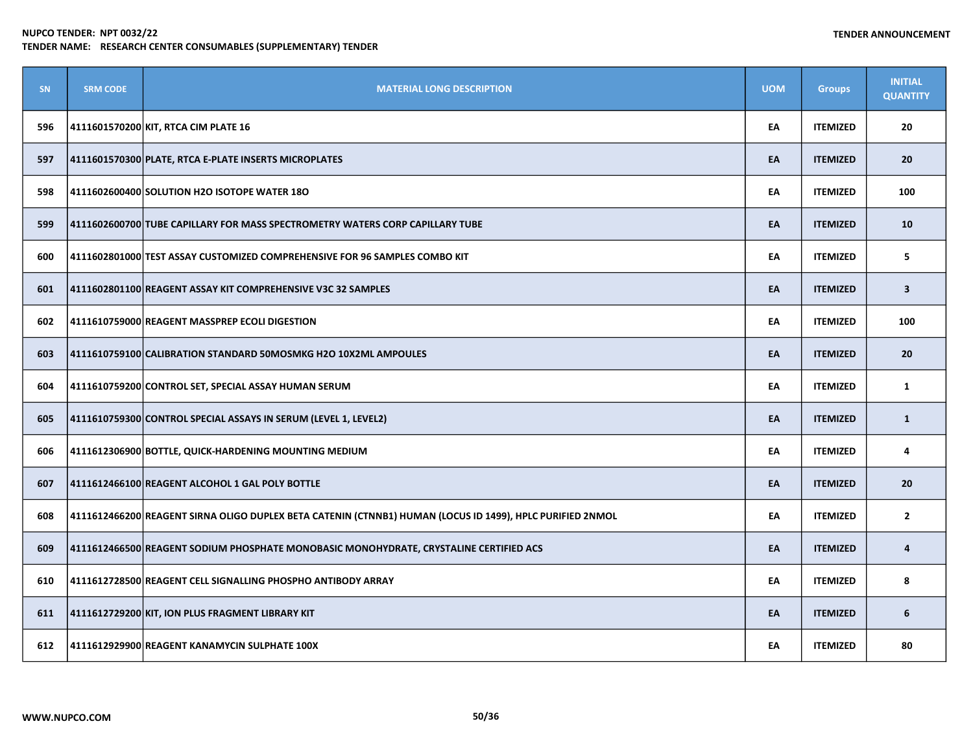| <b>SN</b> | <b>SRM CODE</b> | <b>MATERIAL LONG DESCRIPTION</b>                                                                          | <b>UOM</b> | <b>Groups</b>   | <b>INITIAL</b><br><b>QUANTITY</b> |
|-----------|-----------------|-----------------------------------------------------------------------------------------------------------|------------|-----------------|-----------------------------------|
| 596       |                 | 4111601570200 KIT, RTCA CIM PLATE 16                                                                      | EA         | <b>ITEMIZED</b> | 20                                |
| 597       |                 | 4111601570300 PLATE, RTCA E-PLATE INSERTS MICROPLATES                                                     | EA         | <b>ITEMIZED</b> | 20                                |
| 598       |                 | 4111602600400 SOLUTION H2O ISOTOPE WATER 18O                                                              | EA         | <b>ITEMIZED</b> | 100                               |
| 599       |                 | 4111602600700 TUBE CAPILLARY FOR MASS SPECTROMETRY WATERS CORP CAPILLARY TUBE                             | EA         | <b>ITEMIZED</b> | 10                                |
| 600       |                 | 4111602801000 TEST ASSAY CUSTOMIZED COMPREHENSIVE FOR 96 SAMPLES COMBO KIT                                | EA         | <b>ITEMIZED</b> | 5                                 |
| 601       |                 | 4111602801100 REAGENT ASSAY KIT COMPREHENSIVE V3C 32 SAMPLES                                              | EA         | <b>ITEMIZED</b> | $\overline{\mathbf{3}}$           |
| 602       |                 | 4111610759000 REAGENT MASSPREP ECOLI DIGESTION                                                            | EA         | <b>ITEMIZED</b> | 100                               |
| 603       |                 | 4111610759100 CALIBRATION STANDARD 50MOSMKG H2O 10X2ML AMPOULES                                           | EA         | <b>ITEMIZED</b> | 20                                |
| 604       |                 | 4111610759200 CONTROL SET, SPECIAL ASSAY HUMAN SERUM                                                      | EA         | <b>ITEMIZED</b> | $\mathbf{1}$                      |
| 605       |                 | 4111610759300 CONTROL SPECIAL ASSAYS IN SERUM (LEVEL 1, LEVEL2)                                           | EA         | <b>ITEMIZED</b> | $\mathbf{1}$                      |
| 606       |                 | 4111612306900 BOTTLE, QUICK-HARDENING MOUNTING MEDIUM                                                     | EA         | <b>ITEMIZED</b> | 4                                 |
| 607       |                 | 4111612466100 REAGENT ALCOHOL 1 GAL POLY BOTTLE                                                           | EA         | <b>ITEMIZED</b> | 20                                |
| 608       |                 | 4111612466200 REAGENT SIRNA OLIGO DUPLEX BETA CATENIN (CTNNB1) HUMAN (LOCUS ID 1499), HPLC PURIFIED 2NMOL | EA         | <b>ITEMIZED</b> | $\overline{2}$                    |
| 609       |                 | 4111612466500 REAGENT SODIUM PHOSPHATE MONOBASIC MONOHYDRATE, CRYSTALINE CERTIFIED ACS                    | EA         | <b>ITEMIZED</b> | 4                                 |
| 610       |                 | 4111612728500 REAGENT CELL SIGNALLING PHOSPHO ANTIBODY ARRAY                                              | EA         | <b>ITEMIZED</b> | 8                                 |
| 611       |                 | 4111612729200 KIT, ION PLUS FRAGMENT LIBRARY KIT                                                          | EA         | <b>ITEMIZED</b> | 6                                 |
| 612       |                 | 4111612929900 REAGENT KANAMYCIN SULPHATE 100X                                                             | EA         | <b>ITEMIZED</b> | 80                                |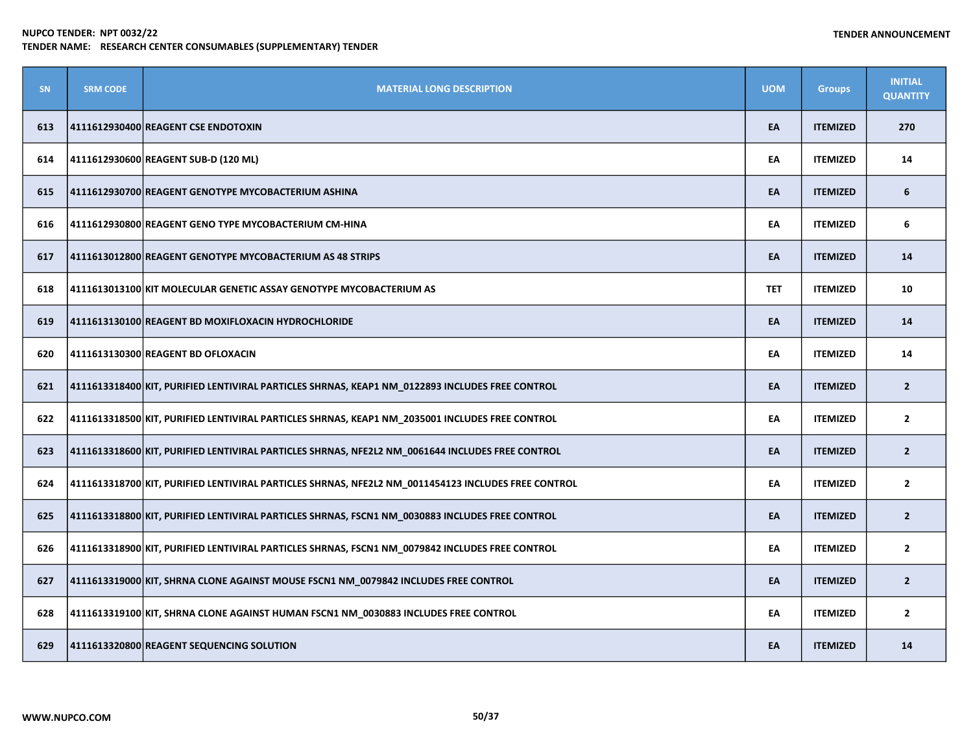| <b>SN</b> | <b>SRM CODE</b> | <b>MATERIAL LONG DESCRIPTION</b>                                                                    | <b>UOM</b> | <b>Groups</b>   | <b>INITIAL</b><br><b>QUANTITY</b> |
|-----------|-----------------|-----------------------------------------------------------------------------------------------------|------------|-----------------|-----------------------------------|
| 613       |                 | 4111612930400 REAGENT CSE ENDOTOXIN                                                                 | EA         | <b>ITEMIZED</b> | 270                               |
| 614       |                 | 4111612930600 REAGENT SUB-D (120 ML)                                                                | EA         | <b>ITEMIZED</b> | 14                                |
| 615       |                 | 4111612930700 REAGENT GENOTYPE MYCOBACTERIUM ASHINA                                                 | EA         | <b>ITEMIZED</b> | 6                                 |
| 616       |                 | 4111612930800 REAGENT GENO TYPE MYCOBACTERIUM CM-HINA                                               | EA         | <b>ITEMIZED</b> | 6                                 |
| 617       |                 | 4111613012800 REAGENT GENOTYPE MYCOBACTERIUM AS 48 STRIPS                                           | EA         | <b>ITEMIZED</b> | 14                                |
| 618       |                 | 4111613013100 KIT MOLECULAR GENETIC ASSAY GENOTYPE MYCOBACTERIUM AS                                 | <b>TET</b> | <b>ITEMIZED</b> | 10                                |
| 619       |                 | 4111613130100 REAGENT BD MOXIFLOXACIN HYDROCHLORIDE                                                 | EA         | <b>ITEMIZED</b> | 14                                |
| 620       |                 | 4111613130300 REAGENT BD OFLOXACIN                                                                  | EA         | <b>ITEMIZED</b> | 14                                |
| 621       |                 | 4111613318400 KIT, PURIFIED LENTIVIRAL PARTICLES SHRNAS, KEAP1 NM_0122893 INCLUDES FREE CONTROL     | EA         | <b>ITEMIZED</b> | $\overline{2}$                    |
| 622       |                 | 4111613318500 KIT, PURIFIED LENTIVIRAL PARTICLES SHRNAS, KEAP1 NM 2035001 INCLUDES FREE CONTROL     | EA         | <b>ITEMIZED</b> | $\mathbf{2}$                      |
| 623       |                 | 4111613318600 KIT, PURIFIED LENTIVIRAL PARTICLES SHRNAS, NFE2L2 NM 0061644 INCLUDES FREE CONTROL    | EA         | <b>ITEMIZED</b> | $\overline{2}$                    |
| 624       |                 | 4111613318700 KIT, PURIFIED LENTIVIRAL PARTICLES SHRNAS, NFE2L2 NM_0011454123 INCLUDES FREE CONTROL | EA         | <b>ITEMIZED</b> | $\mathbf{2}$                      |
| 625       |                 | 4111613318800 KIT, PURIFIED LENTIVIRAL PARTICLES SHRNAS, FSCN1 NM_0030883 INCLUDES FREE CONTROL     | EA         | <b>ITEMIZED</b> | $\overline{2}$                    |
| 626       |                 | 4111613318900 KIT, PURIFIED LENTIVIRAL PARTICLES SHRNAS, FSCN1 NM 0079842 INCLUDES FREE CONTROL     | EA         | <b>ITEMIZED</b> | $\mathbf{2}$                      |
| 627       |                 | 4111613319000 KIT, SHRNA CLONE AGAINST MOUSE FSCN1 NM_0079842 INCLUDES FREE CONTROL                 | EA         | <b>ITEMIZED</b> | $\overline{2}$                    |
| 628       |                 | 4111613319100 KIT, SHRNA CLONE AGAINST HUMAN FSCN1 NM_0030883 INCLUDES FREE CONTROL                 | EA         | <b>ITEMIZED</b> | $\overline{2}$                    |
| 629       |                 | 4111613320800 REAGENT SEQUENCING SOLUTION                                                           | EA         | <b>ITEMIZED</b> | 14                                |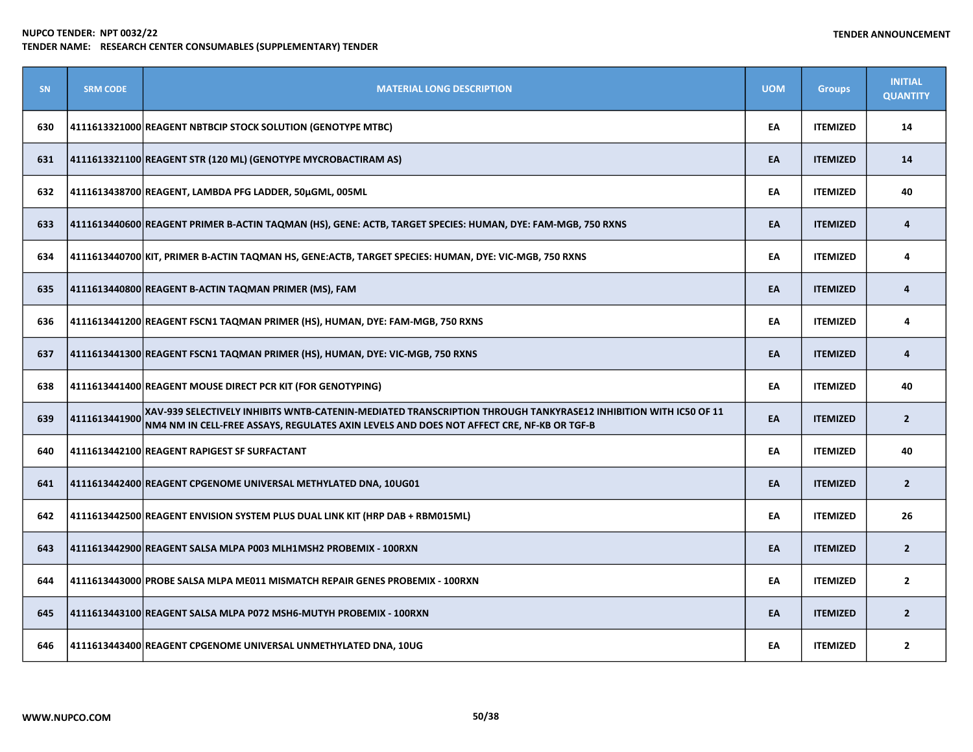| SN. | <b>SRM CODE</b> | <b>MATERIAL LONG DESCRIPTION</b>                                                                                                                                                                             | <b>UOM</b> | <b>Groups</b>   | <b>INITIAL</b><br><b>QUANTITY</b> |
|-----|-----------------|--------------------------------------------------------------------------------------------------------------------------------------------------------------------------------------------------------------|------------|-----------------|-----------------------------------|
| 630 |                 | 4111613321000 REAGENT NBTBCIP STOCK SOLUTION (GENOTYPE MTBC)                                                                                                                                                 | EA         | <b>ITEMIZED</b> | 14                                |
| 631 |                 | 4111613321100 REAGENT STR (120 ML) (GENOTYPE MYCROBACTIRAM AS)                                                                                                                                               | EA         | <b>ITEMIZED</b> | 14                                |
| 632 |                 | 4111613438700 REAGENT, LAMBDA PFG LADDER, 50µGML, 005ML                                                                                                                                                      | EA         | <b>ITEMIZED</b> | 40                                |
| 633 |                 | 4111613440600 REAGENT PRIMER B-ACTIN TAQMAN (HS), GENE: ACTB, TARGET SPECIES: HUMAN, DYE: FAM-MGB, 750 RXNS                                                                                                  | EA         | <b>ITEMIZED</b> | 4                                 |
| 634 |                 | 4111613440700 KIT, PRIMER B-ACTIN TAQMAN HS, GENE:ACTB, TARGET SPECIES: HUMAN, DYE: VIC-MGB, 750 RXNS                                                                                                        | EA         | <b>ITEMIZED</b> | 4                                 |
| 635 |                 | 4111613440800 REAGENT B-ACTIN TAQMAN PRIMER (MS), FAM                                                                                                                                                        | EA         | <b>ITEMIZED</b> | 4                                 |
| 636 |                 | 4111613441200 REAGENT FSCN1 TAQMAN PRIMER (HS), HUMAN, DYE: FAM-MGB, 750 RXNS                                                                                                                                | EA         | <b>ITEMIZED</b> | 4                                 |
| 637 |                 | 4111613441300 REAGENT FSCN1 TAQMAN PRIMER (HS), HUMAN, DYE: VIC-MGB, 750 RXNS                                                                                                                                | EA         | <b>ITEMIZED</b> | 4                                 |
| 638 |                 | 4111613441400 REAGENT MOUSE DIRECT PCR KIT (FOR GENOTYPING)                                                                                                                                                  | EA         | <b>ITEMIZED</b> | 40                                |
| 639 | 4111613441900   | XAV-939 SELECTIVELY INHIBITS WNTB-CATENIN-MEDIATED TRANSCRIPTION THROUGH TANKYRASE12 INHIBITION WITH IC50 OF 11<br>NM4 NM IN CELL-FREE ASSAYS, REGULATES AXIN LEVELS AND DOES NOT AFFECT CRE, NF-KB OR TGF-B | EA         | <b>ITEMIZED</b> | $\overline{2}$                    |
| 640 |                 | 4111613442100 REAGENT RAPIGEST SF SURFACTANT                                                                                                                                                                 | EA         | <b>ITEMIZED</b> | 40                                |
| 641 |                 | 4111613442400 REAGENT CPGENOME UNIVERSAL METHYLATED DNA, 10UG01                                                                                                                                              | EA         | <b>ITEMIZED</b> | $\overline{2}$                    |
| 642 |                 | 4111613442500 REAGENT ENVISION SYSTEM PLUS DUAL LINK KIT (HRP DAB + RBM015ML)                                                                                                                                | EA         | <b>ITEMIZED</b> | 26                                |
| 643 |                 | 4111613442900 REAGENT SALSA MLPA P003 MLH1MSH2 PROBEMIX - 100RXN                                                                                                                                             | EA         | <b>ITEMIZED</b> | $\overline{2}$                    |
| 644 |                 | 4111613443000 PROBE SALSA MLPA ME011 MISMATCH REPAIR GENES PROBEMIX - 100RXN                                                                                                                                 | EA         | <b>ITEMIZED</b> | $\overline{2}$                    |
| 645 |                 | 4111613443100 REAGENT SALSA MLPA P072 MSH6-MUTYH PROBEMIX - 100RXN                                                                                                                                           | EA         | <b>ITEMIZED</b> | $\overline{2}$                    |
| 646 |                 | 4111613443400 REAGENT CPGENOME UNIVERSAL UNMETHYLATED DNA, 10UG                                                                                                                                              | EA         | <b>ITEMIZED</b> | $\overline{2}$                    |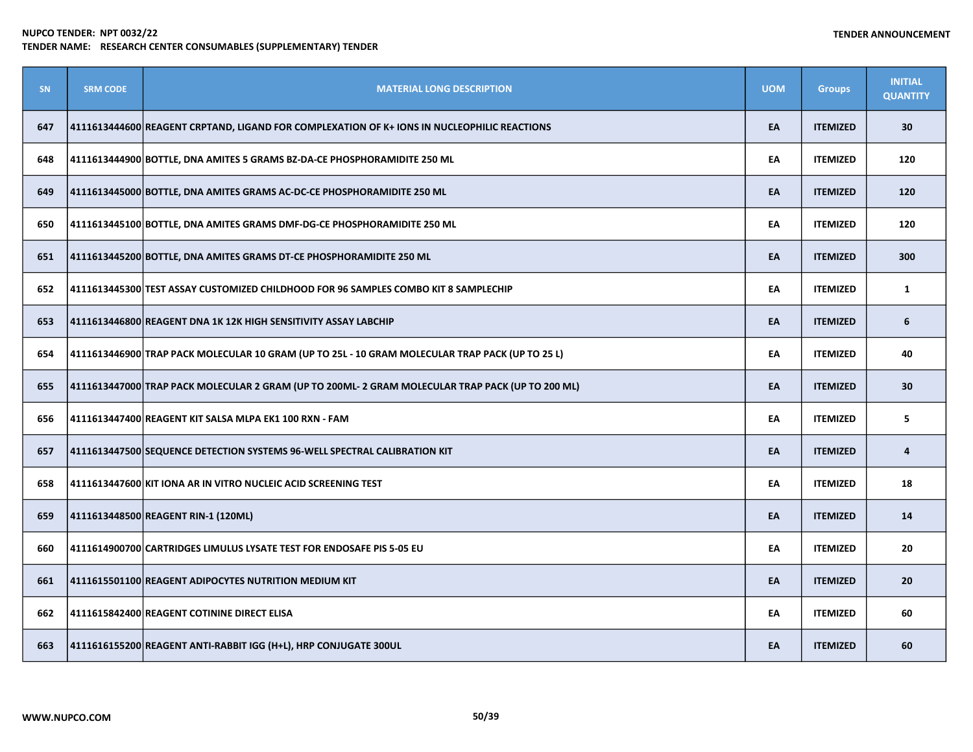| SN  | <b>SRM CODE</b> | <b>MATERIAL LONG DESCRIPTION</b>                                                                 | <b>UOM</b> | <b>Groups</b>   | <b>INITIAL</b><br><b>QUANTITY</b> |
|-----|-----------------|--------------------------------------------------------------------------------------------------|------------|-----------------|-----------------------------------|
| 647 |                 | 4111613444600 REAGENT CRPTAND, LIGAND FOR COMPLEXATION OF K+ IONS IN NUCLEOPHILIC REACTIONS      | EA         | <b>ITEMIZED</b> | 30                                |
| 648 |                 | 4111613444900 BOTTLE, DNA AMITES 5 GRAMS BZ-DA-CE PHOSPHORAMIDITE 250 ML                         | EA         | <b>ITEMIZED</b> | 120                               |
| 649 |                 | 4111613445000 BOTTLE, DNA AMITES GRAMS AC-DC-CE PHOSPHORAMIDITE 250 ML                           | EA         | <b>ITEMIZED</b> | 120                               |
| 650 |                 | 4111613445100 BOTTLE, DNA AMITES GRAMS DMF-DG-CE PHOSPHORAMIDITE 250 ML                          | EA         | <b>ITEMIZED</b> | 120                               |
| 651 |                 | 4111613445200 BOTTLE, DNA AMITES GRAMS DT-CE PHOSPHORAMIDITE 250 ML                              | EA         | <b>ITEMIZED</b> | 300                               |
| 652 |                 | 4111613445300 TEST ASSAY CUSTOMIZED CHILDHOOD FOR 96 SAMPLES COMBO KIT 8 SAMPLECHIP              | EA         | <b>ITEMIZED</b> | $\mathbf{1}$                      |
| 653 |                 | 4111613446800 REAGENT DNA 1K 12K HIGH SENSITIVITY ASSAY LABCHIP                                  | EA         | <b>ITEMIZED</b> | 6                                 |
| 654 |                 | 4111613446900 TRAP PACK MOLECULAR 10 GRAM (UP TO 25L - 10 GRAM MOLECULAR TRAP PACK (UP TO 25 L)  | EA         | <b>ITEMIZED</b> | 40                                |
| 655 |                 | 4111613447000 TRAP PACK MOLECULAR 2 GRAM (UP TO 200ML- 2 GRAM MOLECULAR TRAP PACK (UP TO 200 ML) | EA         | <b>ITEMIZED</b> | 30                                |
| 656 |                 | 4111613447400 REAGENT KIT SALSA MLPA EK1 100 RXN - FAM                                           | EA         | <b>ITEMIZED</b> | 5                                 |
| 657 |                 | 4111613447500 SEQUENCE DETECTION SYSTEMS 96-WELL SPECTRAL CALIBRATION KIT                        | EA         | <b>ITEMIZED</b> | $\overline{4}$                    |
| 658 |                 | 4111613447600 KIT IONA AR IN VITRO NUCLEIC ACID SCREENING TEST                                   | EA         | <b>ITEMIZED</b> | 18                                |
| 659 |                 | 4111613448500 REAGENT RIN-1 (120ML)                                                              | EA         | <b>ITEMIZED</b> | 14                                |
| 660 |                 | 4111614900700 CARTRIDGES LIMULUS LYSATE TEST FOR ENDOSAFE PIS 5-05 EU                            | EA         | <b>ITEMIZED</b> | 20                                |
| 661 |                 | 4111615501100 REAGENT ADIPOCYTES NUTRITION MEDIUM KIT                                            | EA         | <b>ITEMIZED</b> | 20                                |
| 662 |                 | 4111615842400 REAGENT COTININE DIRECT ELISA                                                      | EA         | <b>ITEMIZED</b> | 60                                |
| 663 |                 | 4111616155200 REAGENT ANTI-RABBIT IGG (H+L), HRP CONJUGATE 300UL                                 | EA         | <b>ITEMIZED</b> | 60                                |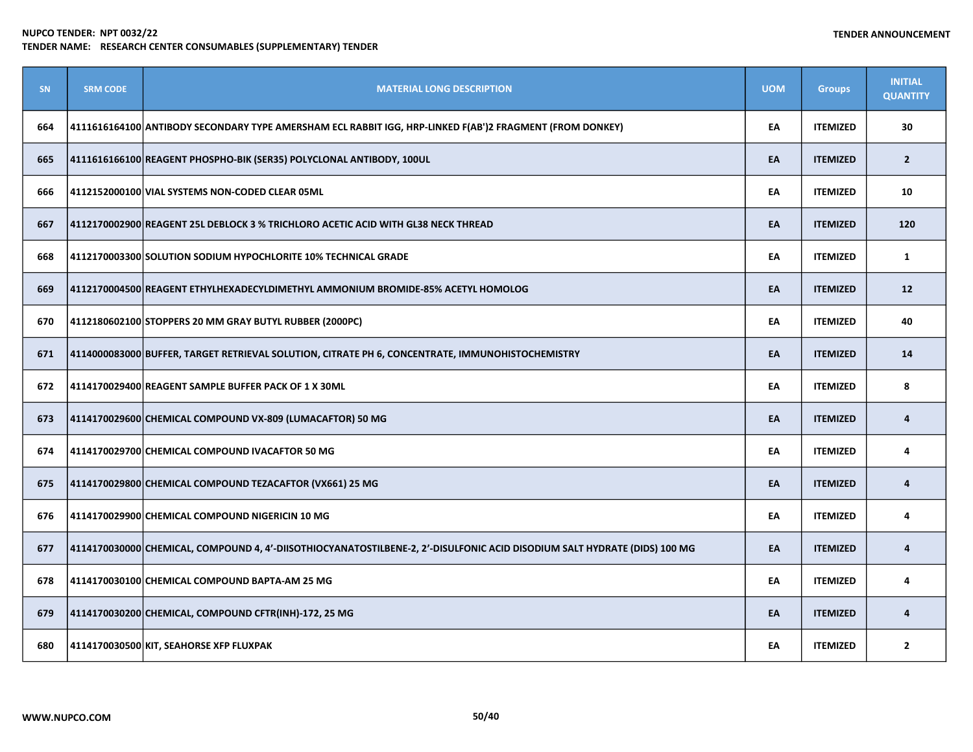| <b>SN</b> | <b>SRM CODE</b> | <b>MATERIAL LONG DESCRIPTION</b>                                                                                          | <b>UOM</b> | <b>Groups</b>   | <b>INITIAL</b><br><b>QUANTITY</b> |
|-----------|-----------------|---------------------------------------------------------------------------------------------------------------------------|------------|-----------------|-----------------------------------|
| 664       |                 | 4111616164100 ANTIBODY SECONDARY TYPE AMERSHAM ECL RABBIT IGG, HRP-LINKED F(AB')2 FRAGMENT (FROM DONKEY)                  | EA         | <b>ITEMIZED</b> | 30                                |
| 665       |                 | 4111616166100 REAGENT PHOSPHO-BIK (SER35) POLYCLONAL ANTIBODY, 100UL                                                      | EA         | <b>ITEMIZED</b> | $\overline{2}$                    |
| 666       |                 | 4112152000100 VIAL SYSTEMS NON-CODED CLEAR 05ML                                                                           | EA         | <b>ITEMIZED</b> | 10                                |
| 667       |                 | 4112170002900 REAGENT 25L DEBLOCK 3 % TRICHLORO ACETIC ACID WITH GL38 NECK THREAD                                         | EA         | <b>ITEMIZED</b> | 120                               |
| 668       |                 | 4112170003300 SOLUTION SODIUM HYPOCHLORITE 10% TECHNICAL GRADE                                                            | EA         | <b>ITEMIZED</b> | $\mathbf{1}$                      |
| 669       |                 | 4112170004500 REAGENT ETHYLHEXADECYLDIMETHYL AMMONIUM BROMIDE-85% ACETYL HOMOLOG                                          | EA         | <b>ITEMIZED</b> | 12                                |
| 670       |                 | 4112180602100 STOPPERS 20 MM GRAY BUTYL RUBBER (2000PC)                                                                   | EA         | <b>ITEMIZED</b> | 40                                |
| 671       |                 | 4114000083000 BUFFER, TARGET RETRIEVAL SOLUTION, CITRATE PH 6, CONCENTRATE, IMMUNOHISTOCHEMISTRY                          | EA         | <b>ITEMIZED</b> | 14                                |
| 672       |                 | 4114170029400 REAGENT SAMPLE BUFFER PACK OF 1 X 30ML                                                                      | EA         | <b>ITEMIZED</b> | 8                                 |
| 673       |                 | 4114170029600 CHEMICAL COMPOUND VX-809 (LUMACAFTOR) 50 MG                                                                 | EA         | <b>ITEMIZED</b> | 4                                 |
| 674       |                 | 4114170029700 CHEMICAL COMPOUND IVACAFTOR 50 MG                                                                           | EA         | <b>ITEMIZED</b> | 4                                 |
| 675       |                 | 4114170029800 CHEMICAL COMPOUND TEZACAFTOR (VX661) 25 MG                                                                  | EA         | <b>ITEMIZED</b> | 4                                 |
| 676       |                 | 4114170029900 CHEMICAL COMPOUND NIGERICIN 10 MG                                                                           | EA         | <b>ITEMIZED</b> | 4                                 |
| 677       |                 | 4114170030000 CHEMICAL, COMPOUND 4, 4'-DIISOTHIOCYANATOSTILBENE-2, 2'-DISULFONIC ACID DISODIUM SALT HYDRATE (DIDS) 100 MG | EA         | <b>ITEMIZED</b> | 4                                 |
| 678       |                 | 4114170030100 CHEMICAL COMPOUND BAPTA-AM 25 MG                                                                            | EA         | <b>ITEMIZED</b> | 4                                 |
| 679       |                 | 4114170030200 CHEMICAL, COMPOUND CFTR(INH)-172, 25 MG                                                                     | EA         | <b>ITEMIZED</b> | 4                                 |
| 680       |                 | 4114170030500 KIT, SEAHORSE XFP FLUXPAK                                                                                   | EA         | <b>ITEMIZED</b> | $\overline{2}$                    |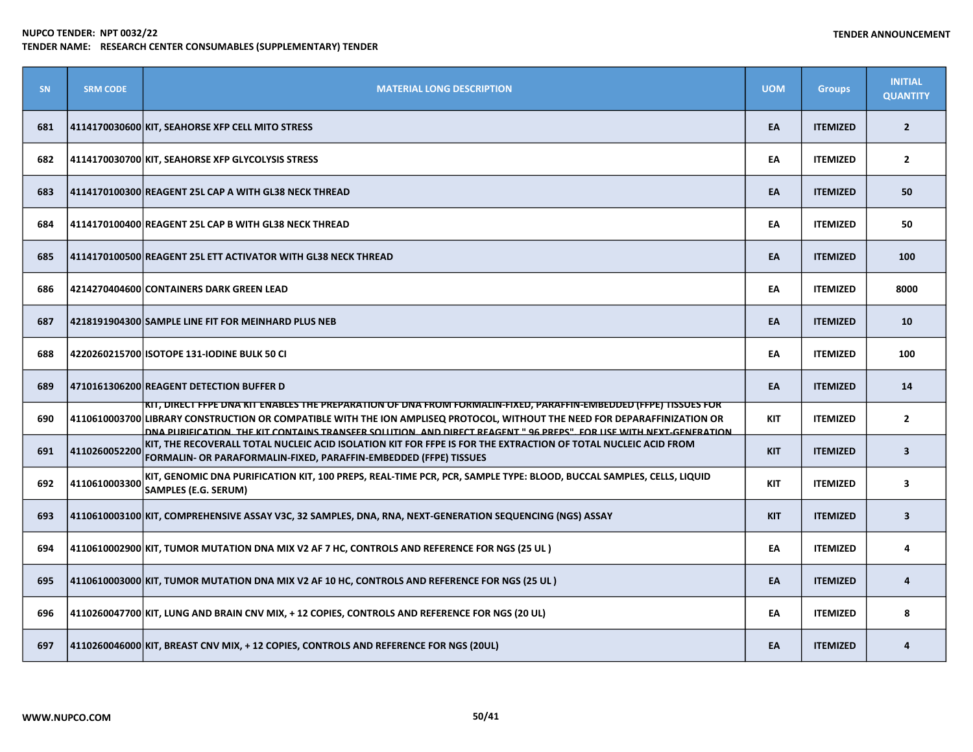| SN  | <b>SRM CODE</b> | <b>MATERIAL LONG DESCRIPTION</b>                                                                                                                                                                                                                                                                                                                                           | <b>UOM</b> | <b>Groups</b>   | <b>INITIAL</b><br><b>QUANTITY</b> |
|-----|-----------------|----------------------------------------------------------------------------------------------------------------------------------------------------------------------------------------------------------------------------------------------------------------------------------------------------------------------------------------------------------------------------|------------|-----------------|-----------------------------------|
| 681 |                 | 4114170030600 KIT, SEAHORSE XFP CELL MITO STRESS                                                                                                                                                                                                                                                                                                                           | EA         | <b>ITEMIZED</b> | $\overline{2}$                    |
| 682 |                 | 4114170030700 KIT, SEAHORSE XFP GLYCOLYSIS STRESS                                                                                                                                                                                                                                                                                                                          | EA         | <b>ITEMIZED</b> | $\overline{2}$                    |
| 683 |                 | 4114170100300 REAGENT 25L CAP A WITH GL38 NECK THREAD                                                                                                                                                                                                                                                                                                                      | EA         | <b>ITEMIZED</b> | 50                                |
| 684 |                 | 4114170100400 REAGENT 25L CAP B WITH GL38 NECK THREAD                                                                                                                                                                                                                                                                                                                      | EA         | <b>ITEMIZED</b> | 50                                |
| 685 |                 | 4114170100500 REAGENT 25L ETT ACTIVATOR WITH GL38 NECK THREAD                                                                                                                                                                                                                                                                                                              | EA         | <b>ITEMIZED</b> | 100                               |
| 686 |                 | 4214270404600 CONTAINERS DARK GREEN LEAD                                                                                                                                                                                                                                                                                                                                   | EA         | <b>ITEMIZED</b> | 8000                              |
| 687 |                 | 4218191904300 SAMPLE LINE FIT FOR MEINHARD PLUS NEB                                                                                                                                                                                                                                                                                                                        | EA         | <b>ITEMIZED</b> | 10                                |
| 688 |                 | 4220260215700 ISOTOPE 131-IODINE BULK 50 CI                                                                                                                                                                                                                                                                                                                                | EA         | <b>ITEMIZED</b> | 100                               |
| 689 |                 | 4710161306200 REAGENT DETECTION BUFFER D                                                                                                                                                                                                                                                                                                                                   | EA         | <b>ITEMIZED</b> | 14                                |
| 690 |                 | <u>KIT, DIRECT FFPE DNA KIT ENABLES THE PREPARATION OF DNA FROM FORMALIN-FIXED, PARAFFIN-EMBEDDED (FFPE) TISSUES FOR </u><br>4110610003700 LIBRARY CONSTRUCTION OR COMPATIBLE WITH THE ION AMPLISEQ PROTOCOL, WITHOUT THE NEED FOR DEPARAFFINIZATION OR<br>DNA PURIEICATION THE KIT CONTAINS TRANSFER SOLUTION AND DIRECT REAGENT " 96 PREPS" FOR USE WITH NEXT GENERATION | KIT        | <b>ITEMIZED</b> | $\overline{2}$                    |
| 691 | 4110260052200   | KIT, THE RECOVERALL TOTAL NUCLEIC ACID ISOLATION KIT FOR FFPE IS FOR THE EXTRACTION OF TOTAL NUCLEIC ACID FROM<br>FORMALIN- OR PARAFORMALIN-FIXED, PARAFFIN-EMBEDDED (FFPE) TISSUES                                                                                                                                                                                        | <b>KIT</b> | <b>ITEMIZED</b> | $\overline{\mathbf{3}}$           |
| 692 | 4110610003300   | KIT, GENOMIC DNA PURIFICATION KIT, 100 PREPS, REAL-TIME PCR, PCR, SAMPLE TYPE: BLOOD, BUCCAL SAMPLES, CELLS, LIQUID<br>SAMPLES (E.G. SERUM)                                                                                                                                                                                                                                | <b>KIT</b> | <b>ITEMIZED</b> | $\overline{\mathbf{3}}$           |
| 693 |                 | 4110610003100 KIT, COMPREHENSIVE ASSAY V3C, 32 SAMPLES, DNA, RNA, NEXT-GENERATION SEQUENCING (NGS) ASSAY                                                                                                                                                                                                                                                                   | <b>KIT</b> | <b>ITEMIZED</b> | $\overline{\mathbf{3}}$           |
| 694 |                 | 4110610002900 KIT, TUMOR MUTATION DNA MIX V2 AF 7 HC, CONTROLS AND REFERENCE FOR NGS (25 UL)                                                                                                                                                                                                                                                                               | EA         | <b>ITEMIZED</b> | 4                                 |
| 695 |                 | 4110610003000 KIT, TUMOR MUTATION DNA MIX V2 AF 10 HC, CONTROLS AND REFERENCE FOR NGS (25 UL )                                                                                                                                                                                                                                                                             | EA         | <b>ITEMIZED</b> | 4                                 |
| 696 |                 | 4110260047700 KIT, LUNG AND BRAIN CNV MIX, +12 COPIES, CONTROLS AND REFERENCE FOR NGS (20 UL)                                                                                                                                                                                                                                                                              | EA         | <b>ITEMIZED</b> | 8                                 |
| 697 |                 | 4110260046000 KIT, BREAST CNV MIX, + 12 COPIES, CONTROLS AND REFERENCE FOR NGS (20UL)                                                                                                                                                                                                                                                                                      | EA         | <b>ITEMIZED</b> | 4                                 |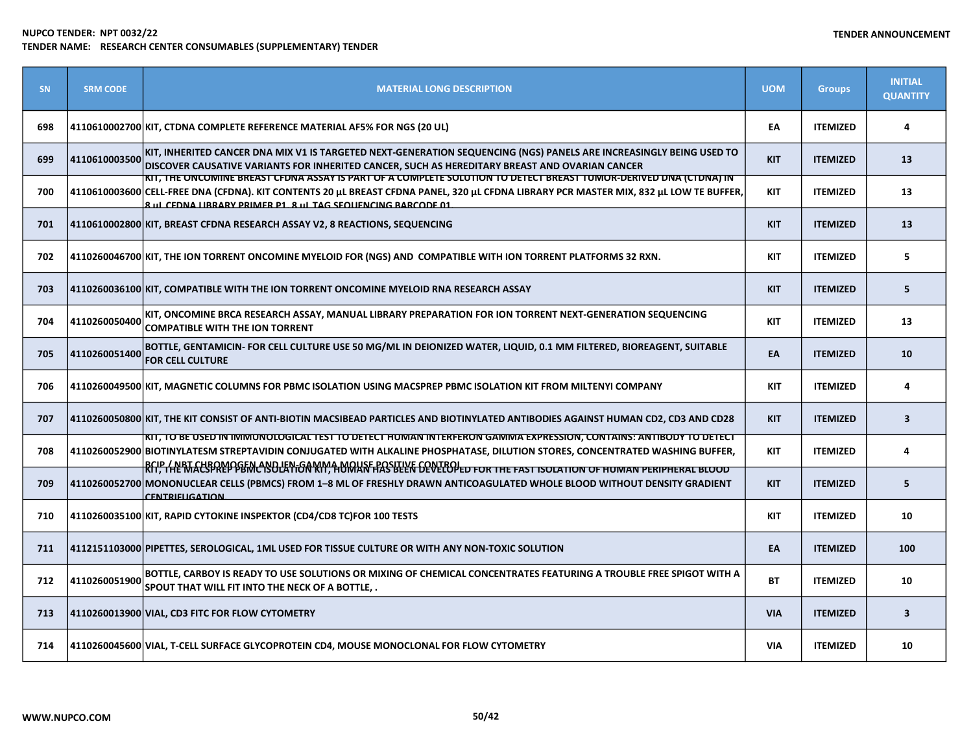| <b>SN</b> | <b>SRM CODE</b> | <b>MATERIAL LONG DESCRIPTION</b>                                                                                                                                                                                                                                                                                                 | <b>UOM</b> | <b>Groups</b>   | <b>INITIAL</b><br><b>QUANTITY</b> |
|-----------|-----------------|----------------------------------------------------------------------------------------------------------------------------------------------------------------------------------------------------------------------------------------------------------------------------------------------------------------------------------|------------|-----------------|-----------------------------------|
| 698       |                 | 4110610002700 KIT, CTDNA COMPLETE REFERENCE MATERIAL AF5% FOR NGS (20 UL)                                                                                                                                                                                                                                                        | EA         | <b>ITEMIZED</b> | 4                                 |
| 699       | 4110610003500   | KIT, INHERITED CANCER DNA MIX V1 IS TARGETED NEXT-GENERATION SEQUENCING (NGS) PANELS ARE INCREASINGLY BEING USED TO<br>DISCOVER CAUSATIVE VARIANTS FOR INHERITED CANCER, SUCH AS HEREDITARY BREAST AND OVARIAN CANCER                                                                                                            | <b>KIT</b> | <b>ITEMIZED</b> | 13                                |
| 700       |                 | KIT, THE ONCOMINE BREAST CFDNA ASSAYTS PART OF A COMPLETE SOLUTION TO DETECT BREAST TUMOR-DERIVED DNA (CTDNA) IN<br>4110610003600 CELL-FREE DNA (CFDNA). KIT CONTENTS 20 µL BREAST CFDNA PANEL, 320 µL CFDNA LIBRARY PCR MASTER MIX, 832 µL LOW TE BUFFER,<br><b>8 UL CEDNA LIBRARY PRIMER P1 8 UL TAG SEQUENCING BARCODE 01</b> | <b>KIT</b> | <b>ITEMIZED</b> | 13                                |
| 701       |                 | 4110610002800 KIT, BREAST CFDNA RESEARCH ASSAY V2, 8 REACTIONS, SEQUENCING                                                                                                                                                                                                                                                       | <b>KIT</b> | <b>ITEMIZED</b> | 13                                |
| 702       |                 | 4110260046700 KIT, THE ION TORRENT ONCOMINE MYELOID FOR (NGS) AND COMPATIBLE WITH ION TORRENT PLATFORMS 32 RXN.                                                                                                                                                                                                                  | KIT        | <b>ITEMIZED</b> | 5                                 |
| 703       |                 | 4110260036100 KIT, COMPATIBLE WITH THE ION TORRENT ONCOMINE MYELOID RNA RESEARCH ASSAY                                                                                                                                                                                                                                           | <b>KIT</b> | <b>ITEMIZED</b> | 5                                 |
| 704       | 4110260050400   | KIT, ONCOMINE BRCA RESEARCH ASSAY, MANUAL LIBRARY PREPARATION FOR ION TORRENT NEXT-GENERATION SEQUENCING<br><b>COMPATIBLE WITH THE ION TORRENT</b>                                                                                                                                                                               | <b>KIT</b> | <b>ITEMIZED</b> | 13                                |
| 705       | 4110260051400   | BOTTLE, GENTAMICIN- FOR CELL CULTURE USE 50 MG/ML IN DEIONIZED WATER, LIQUID, 0.1 MM FILTERED, BIOREAGENT, SUITABLE<br><b>FOR CELL CULTURE</b>                                                                                                                                                                                   | EA         | <b>ITEMIZED</b> | 10                                |
| 706       |                 | 4110260049500 KIT, MAGNETIC COLUMNS FOR PBMC ISOLATION USING MACSPREP PBMC ISOLATION KIT FROM MILTENYI COMPANY                                                                                                                                                                                                                   | <b>KIT</b> | <b>ITEMIZED</b> | 4                                 |
| 707       |                 | 4110260050800 KIT, THE KIT CONSIST OF ANTI-BIOTIN MACSIBEAD PARTICLES AND BIOTINYLATED ANTIBODIES AGAINST HUMAN CD2, CD3 AND CD28                                                                                                                                                                                                | <b>KIT</b> | <b>ITEMIZED</b> | $\overline{\mathbf{3}}$           |
| 708       |                 | <u>KIT, TO BE USED IN IMMUNOLOGICAL TEST TO DETECT HUMAN INTERFERON GAMMA EXPRESSION, CONTAINS: ANTIBODY TO DETECT</u><br>4110260052900 BIOTINYLATESM STREPTAVIDIN CONJUGATED WITH ALKALINE PHOSPHATASE, DILUTION STORES, CONCENTRATED WASHING BUFFER,                                                                           | <b>KIT</b> | <b>ITEMIZED</b> | 4                                 |
| 709       |                 | BCIP / NBT CHBOMOGEN AND JEN-GAMMA MOUSE POSITIVE CONTROL FOR THE FAST ISOLATION OF HUMAN PERIPHERAL BLOOD<br>4110260052700 MONONUCLEAR CELLS (PBMCS) FROM 1-8 ML OF FRESHLY DRAWN ANTICOAGULATED WHOLE BLOOD WITHOUT DENSITY GRADIENT<br><b>CENTRIFLIGATION</b>                                                                 | <b>KIT</b> | <b>ITEMIZED</b> | 5                                 |
| 710       |                 | 4110260035100 KIT, RAPID CYTOKINE INSPEKTOR (CD4/CD8 TC)FOR 100 TESTS                                                                                                                                                                                                                                                            | <b>KIT</b> | <b>ITEMIZED</b> | 10                                |
| 711       |                 | 4112151103000 PIPETTES, SEROLOGICAL, 1ML USED FOR TISSUE CULTURE OR WITH ANY NON-TOXIC SOLUTION                                                                                                                                                                                                                                  | EA         | <b>ITEMIZED</b> | 100                               |
| 712       | 4110260051900   | BOTTLE, CARBOY IS READY TO USE SOLUTIONS OR MIXING OF CHEMICAL CONCENTRATES FEATURING A TROUBLE FREE SPIGOT WITH A<br>SPOUT THAT WILL FIT INTO THE NECK OF A BOTTLE, .                                                                                                                                                           | <b>BT</b>  | <b>ITEMIZED</b> | 10                                |
| 713       |                 | 4110260013900 VIAL, CD3 FITC FOR FLOW CYTOMETRY                                                                                                                                                                                                                                                                                  | <b>VIA</b> | <b>ITEMIZED</b> | $\overline{\mathbf{3}}$           |
| 714       |                 | 4110260045600 VIAL, T-CELL SURFACE GLYCOPROTEIN CD4, MOUSE MONOCLONAL FOR FLOW CYTOMETRY                                                                                                                                                                                                                                         | <b>VIA</b> | <b>ITEMIZED</b> | 10                                |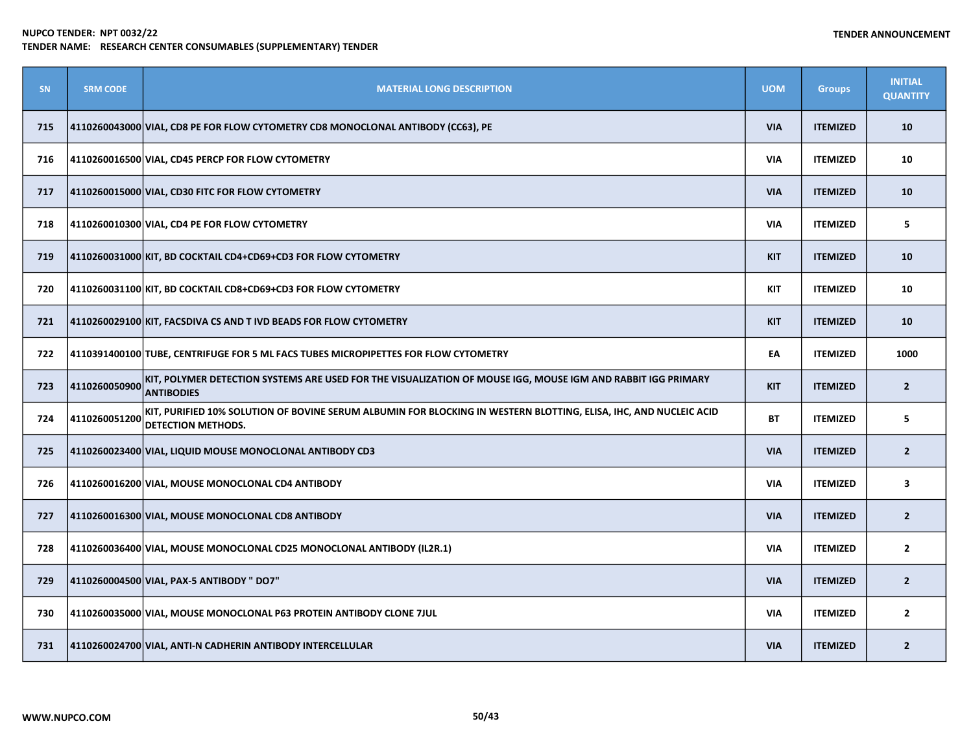| <b>SN</b> | <b>SRM CODE</b> | <b>MATERIAL LONG DESCRIPTION</b>                                                                                                               | <b>UOM</b> | <b>Groups</b>   | <b>INITIAL</b><br><b>QUANTITY</b> |
|-----------|-----------------|------------------------------------------------------------------------------------------------------------------------------------------------|------------|-----------------|-----------------------------------|
| 715       |                 | 4110260043000 VIAL, CD8 PE FOR FLOW CYTOMETRY CD8 MONOCLONAL ANTIBODY (CC63), PE                                                               | <b>VIA</b> | <b>ITEMIZED</b> | 10                                |
| 716       |                 | 4110260016500 VIAL, CD45 PERCP FOR FLOW CYTOMETRY                                                                                              | <b>VIA</b> | <b>ITEMIZED</b> | 10                                |
| 717       |                 | 4110260015000 VIAL, CD30 FITC FOR FLOW CYTOMETRY                                                                                               | <b>VIA</b> | <b>ITEMIZED</b> | 10                                |
| 718       |                 | 4110260010300 VIAL, CD4 PE FOR FLOW CYTOMETRY                                                                                                  | <b>VIA</b> | <b>ITEMIZED</b> | 5                                 |
| 719       |                 | 4110260031000 KIT, BD COCKTAIL CD4+CD69+CD3 FOR FLOW CYTOMETRY                                                                                 | <b>KIT</b> | <b>ITEMIZED</b> | 10                                |
| 720       |                 | 4110260031100 KIT, BD COCKTAIL CD8+CD69+CD3 FOR FLOW CYTOMETRY                                                                                 | KIT        | <b>ITEMIZED</b> | 10                                |
| 721       |                 | 4110260029100 KIT, FACSDIVA CS AND T IVD BEADS FOR FLOW CYTOMETRY                                                                              | <b>KIT</b> | <b>ITEMIZED</b> | 10                                |
| 722       |                 | 4110391400100 TUBE, CENTRIFUGE FOR 5 ML FACS TUBES MICROPIPETTES FOR FLOW CYTOMETRY                                                            | EA         | <b>ITEMIZED</b> | 1000                              |
| 723       | 4110260050900   | KIT, POLYMER DETECTION SYSTEMS ARE USED FOR THE VISUALIZATION OF MOUSE IGG, MOUSE IGM AND RABBIT IGG PRIMARY<br><b>ANTIBODIES</b>              | <b>KIT</b> | <b>ITEMIZED</b> | $\overline{2}$                    |
| 724       | 4110260051200   | KIT, PURIFIED 10% SOLUTION OF BOVINE SERUM ALBUMIN FOR BLOCKING IN WESTERN BLOTTING, ELISA, IHC, AND NUCLEIC ACID<br><b>DETECTION METHODS.</b> | <b>BT</b>  | <b>ITEMIZED</b> | 5                                 |
| 725       |                 | 4110260023400 VIAL, LIQUID MOUSE MONOCLONAL ANTIBODY CD3                                                                                       | <b>VIA</b> | <b>ITEMIZED</b> | $\overline{2}$                    |
| 726       |                 | 4110260016200 VIAL, MOUSE MONOCLONAL CD4 ANTIBODY                                                                                              | <b>VIA</b> | <b>ITEMIZED</b> | $\overline{\mathbf{3}}$           |
| 727       |                 | 4110260016300 VIAL, MOUSE MONOCLONAL CD8 ANTIBODY                                                                                              | <b>VIA</b> | <b>ITEMIZED</b> | $\overline{2}$                    |
| 728       |                 | 4110260036400 VIAL, MOUSE MONOCLONAL CD25 MONOCLONAL ANTIBODY (IL2R.1)                                                                         | <b>VIA</b> | <b>ITEMIZED</b> | $\overline{2}$                    |
| 729       |                 | 4110260004500 VIAL, PAX-5 ANTIBODY " DO7"                                                                                                      | <b>VIA</b> | <b>ITEMIZED</b> | $\overline{2}$                    |
| 730       |                 | 4110260035000 VIAL, MOUSE MONOCLONAL P63 PROTEIN ANTIBODY CLONE 7JUL                                                                           | <b>VIA</b> | <b>ITEMIZED</b> | $\overline{2}$                    |
| 731       |                 | 4110260024700 VIAL, ANTI-N CADHERIN ANTIBODY INTERCELLULAR                                                                                     | <b>VIA</b> | <b>ITEMIZED</b> | $\overline{2}$                    |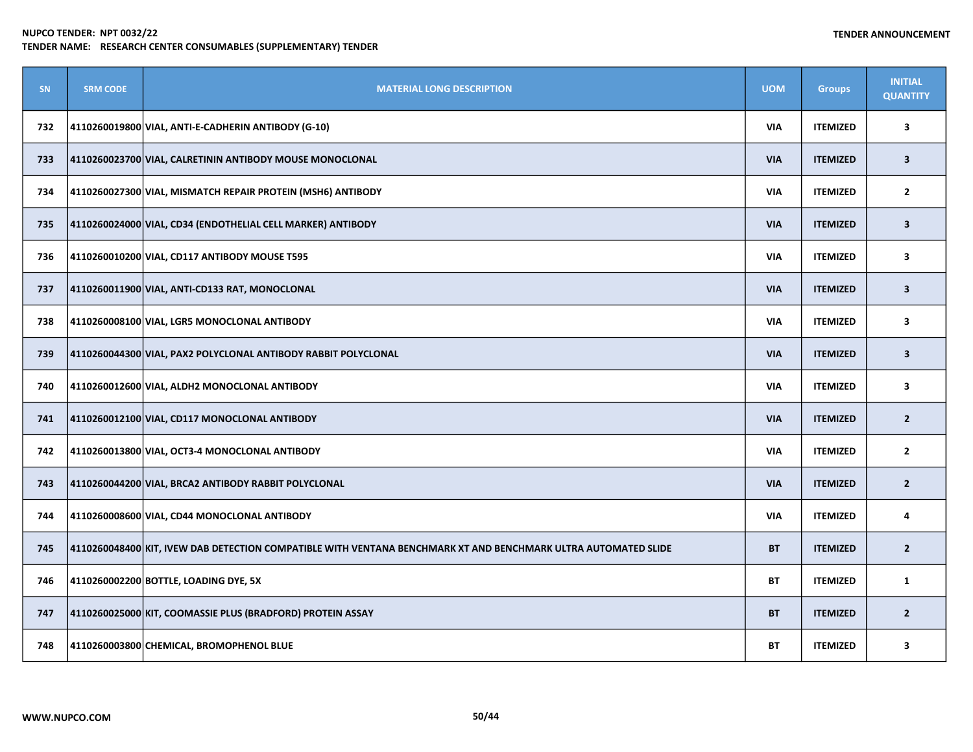| <b>SN</b> | <b>SRM CODE</b> | <b>MATERIAL LONG DESCRIPTION</b>                                                                               | <b>UOM</b> | <b>Groups</b>   | <b>INITIAL</b><br><b>QUANTITY</b> |
|-----------|-----------------|----------------------------------------------------------------------------------------------------------------|------------|-----------------|-----------------------------------|
| 732       |                 | 4110260019800 VIAL, ANTI-E-CADHERIN ANTIBODY (G-10)                                                            | <b>VIA</b> | <b>ITEMIZED</b> | 3                                 |
| 733       |                 | 4110260023700 VIAL, CALRETININ ANTIBODY MOUSE MONOCLONAL                                                       | <b>VIA</b> | <b>ITEMIZED</b> | $\overline{\mathbf{3}}$           |
| 734       |                 | 4110260027300 VIAL, MISMATCH REPAIR PROTEIN (MSH6) ANTIBODY                                                    | <b>VIA</b> | <b>ITEMIZED</b> | $\mathbf{2}$                      |
| 735       |                 | 4110260024000 VIAL, CD34 (ENDOTHELIAL CELL MARKER) ANTIBODY                                                    | <b>VIA</b> | <b>ITEMIZED</b> | $\overline{\mathbf{3}}$           |
| 736       |                 | 4110260010200 VIAL, CD117 ANTIBODY MOUSE T595                                                                  | <b>VIA</b> | <b>ITEMIZED</b> | $\overline{\mathbf{3}}$           |
| 737       |                 | 4110260011900 VIAL, ANTI-CD133 RAT, MONOCLONAL                                                                 | <b>VIA</b> | <b>ITEMIZED</b> | $\overline{\mathbf{3}}$           |
| 738       |                 | 4110260008100 VIAL, LGR5 MONOCLONAL ANTIBODY                                                                   | <b>VIA</b> | <b>ITEMIZED</b> | 3                                 |
| 739       |                 | 4110260044300 VIAL, PAX2 POLYCLONAL ANTIBODY RABBIT POLYCLONAL                                                 | <b>VIA</b> | <b>ITEMIZED</b> | $\overline{\mathbf{3}}$           |
| 740       |                 | 4110260012600 VIAL, ALDH2 MONOCLONAL ANTIBODY                                                                  | <b>VIA</b> | <b>ITEMIZED</b> | 3                                 |
| 741       |                 | 4110260012100 VIAL, CD117 MONOCLONAL ANTIBODY                                                                  | <b>VIA</b> | <b>ITEMIZED</b> | $\overline{2}$                    |
| 742       |                 | 4110260013800 VIAL, OCT3-4 MONOCLONAL ANTIBODY                                                                 | <b>VIA</b> | <b>ITEMIZED</b> | $\mathbf{2}$                      |
| 743       |                 | 4110260044200 VIAL, BRCA2 ANTIBODY RABBIT POLYCLONAL                                                           | <b>VIA</b> | <b>ITEMIZED</b> | $\overline{2}$                    |
| 744       |                 | 4110260008600 VIAL, CD44 MONOCLONAL ANTIBODY                                                                   | <b>VIA</b> | <b>ITEMIZED</b> | 4                                 |
| 745       |                 | 4110260048400 KIT, IVEW DAB DETECTION COMPATIBLE WITH VENTANA BENCHMARK XT AND BENCHMARK ULTRA AUTOMATED SLIDE | <b>BT</b>  | <b>ITEMIZED</b> | $\overline{2}$                    |
| 746       |                 | 4110260002200 BOTTLE, LOADING DYE, 5X                                                                          | <b>BT</b>  | <b>ITEMIZED</b> | 1                                 |
| 747       |                 | 4110260025000 KIT, COOMASSIE PLUS (BRADFORD) PROTEIN ASSAY                                                     | <b>BT</b>  | <b>ITEMIZED</b> | $\overline{2}$                    |
| 748       |                 | 4110260003800 CHEMICAL, BROMOPHENOL BLUE                                                                       | <b>BT</b>  | <b>ITEMIZED</b> | 3                                 |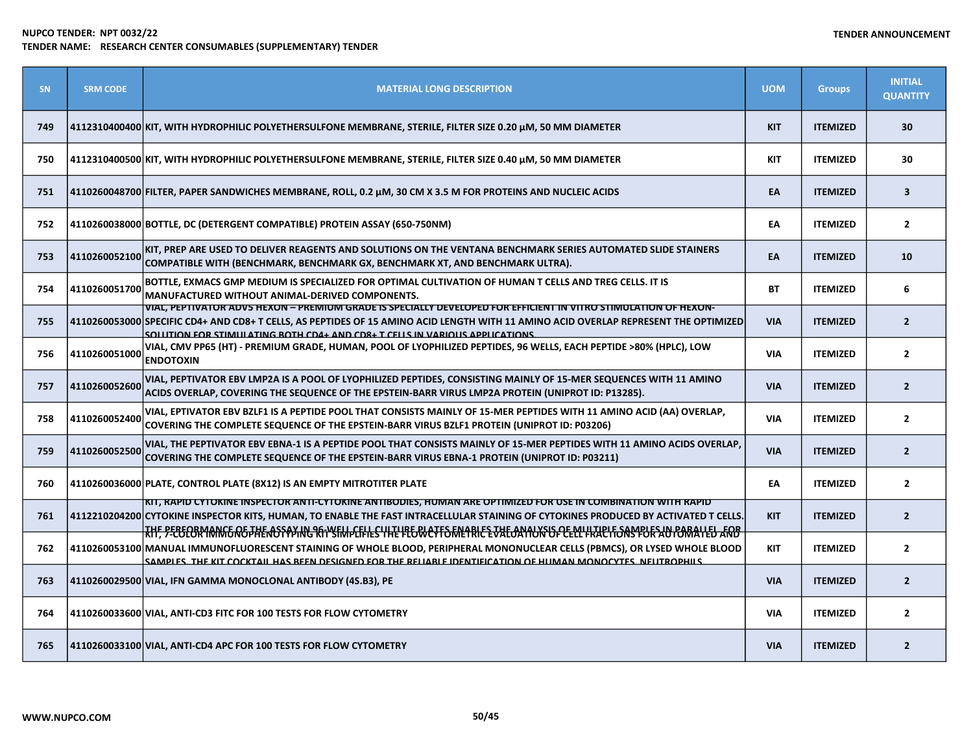| <b>SN</b> | <b>SRM CODE</b> | <b>MATERIAL LONG DESCRIPTION</b>                                                                                                                                                                                                                                                                                                                                       | <b>UOM</b> | <b>Groups</b>   | <b>INITIAL</b><br><b>QUANTITY</b> |
|-----------|-----------------|------------------------------------------------------------------------------------------------------------------------------------------------------------------------------------------------------------------------------------------------------------------------------------------------------------------------------------------------------------------------|------------|-----------------|-----------------------------------|
| 749       |                 | 4112310400400 KIT, WITH HYDROPHILIC POLYETHERSULFONE MEMBRANE, STERILE, FILTER SIZE 0.20 μM, 50 MM DIAMETER                                                                                                                                                                                                                                                            | <b>KIT</b> | <b>ITEMIZED</b> | 30                                |
| 750       |                 | 4112310400500 KIT, WITH HYDROPHILIC POLYETHERSULFONE MEMBRANE, STERILE, FILTER SIZE 0.40 µM, 50 MM DIAMETER                                                                                                                                                                                                                                                            | <b>KIT</b> | <b>ITEMIZED</b> | 30                                |
| 751       |                 | 4110260048700 FILTER, PAPER SANDWICHES MEMBRANE, ROLL, 0.2 µM, 30 CM X 3.5 M FOR PROTEINS AND NUCLEIC ACIDS                                                                                                                                                                                                                                                            | EA         | <b>ITEMIZED</b> | $\overline{\mathbf{3}}$           |
| 752       |                 | 4110260038000 BOTTLE, DC (DETERGENT COMPATIBLE) PROTEIN ASSAY (650-750NM)                                                                                                                                                                                                                                                                                              | EA         | <b>ITEMIZED</b> | $\overline{2}$                    |
| 753       | 4110260052100   | KIT, PREP ARE USED TO DELIVER REAGENTS AND SOLUTIONS ON THE VENTANA BENCHMARK SERIES AUTOMATED SLIDE STAINERS<br>COMPATIBLE WITH (BENCHMARK, BENCHMARK GX, BENCHMARK XT, AND BENCHMARK ULTRA).                                                                                                                                                                         | EA         | <b>ITEMIZED</b> | 10                                |
| 754       | 4110260051700   | BOTTLE, EXMACS GMP MEDIUM IS SPECIALIZED FOR OPTIMAL CULTIVATION OF HUMAN T CELLS AND TREG CELLS. IT IS<br>MANUFACTURED WITHOUT ANIMAL-DERIVED COMPONENTS.                                                                                                                                                                                                             | <b>BT</b>  | <b>ITEMIZED</b> | 6                                 |
| 755       |                 | VIAL, PEPTIVATOR ADV5 HEXON – PREMIUM GRADE IS SPECIALLY DEVELOPED FOR EFFICIENT IN VITRO STIMULATION OF HEXON-<br>4110260053000 SPECIFIC CD4+ AND CD8+ T CELLS, AS PEPTIDES OF 15 AMINO ACID LENGTH WITH 11 AMINO ACID OVERLAP REPRESENT THE OPTIMIZED<br>SOLUTION FOR STIMULATING ROTH CD4+ AND CD8+ T CELLS IN VARIOUS APPLICATIONS                                 | <b>VIA</b> | <b>ITEMIZED</b> | $\overline{2}$                    |
| 756       | 4110260051000   | VIAL, CMV PP65 (HT) - PREMIUM GRADE, HUMAN, POOL OF LYOPHILIZED PEPTIDES, 96 WELLS, EACH PEPTIDE >80% (HPLC), LOW<br><b>ENDOTOXIN</b>                                                                                                                                                                                                                                  | <b>VIA</b> | <b>ITEMIZED</b> | $\overline{2}$                    |
| 757       | 4110260052600   | VIAL, PEPTIVATOR EBV LMP2A IS A POOL OF LYOPHILIZED PEPTIDES, CONSISTING MAINLY OF 15-MER SEQUENCES WITH 11 AMINO<br>ACIDS OVERLAP, COVERING THE SEQUENCE OF THE EPSTEIN-BARR VIRUS LMP2A PROTEIN (UNIPROT ID: P13285).                                                                                                                                                | <b>VIA</b> | <b>ITEMIZED</b> | $\overline{2}$                    |
| 758       | 4110260052400   | VIAL, EPTIVATOR EBV BZLF1 IS A PEPTIDE POOL THAT CONSISTS MAINLY OF 15-MER PEPTIDES WITH 11 AMINO ACID (AA) OVERLAP,<br><b>COVERING THE COMPLETE SEQUENCE OF THE EPSTEIN-BARR VIRUS BZLF1 PROTEIN (UNIPROT ID: P03206)</b>                                                                                                                                             | <b>VIA</b> | <b>ITEMIZED</b> | $\overline{2}$                    |
| 759       | 4110260052500   | VIAL, THE PEPTIVATOR EBV EBNA-1 IS A PEPTIDE POOL THAT CONSISTS MAINLY OF 15-MER PEPTIDES WITH 11 AMINO ACIDS OVERLAP,<br>COVERING THE COMPLETE SEQUENCE OF THE EPSTEIN-BARR VIRUS EBNA-1 PROTEIN (UNIPROT ID: P03211)                                                                                                                                                 | <b>VIA</b> | <b>ITEMIZED</b> | $\overline{2}$                    |
| 760       |                 | 4110260036000 PLATE, CONTROL PLATE (8X12) IS AN EMPTY MITROTITER PLATE                                                                                                                                                                                                                                                                                                 | EA         | <b>ITEMIZED</b> | $\overline{2}$                    |
| 761       |                 | KIT, RAPID CYTOKINE INSPECTOR ANTI-CYTOKINE ANTIBODIES, HUMAN ARE OPTIMIZED FOR USE IN COMBINATION WITH RAPID<br>4112210204200 CYTOKINE INSPECTOR KITS, HUMAN, TO ENABLE THE FAST INTRACELLULAR STAINING OF CYTOKINES PRODUCED BY ACTIVATED T CELLS.                                                                                                                   | <b>KIT</b> | <b>ITEMIZED</b> | $\overline{2}$                    |
| 762       |                 | <u>TKHF, PEBECBRYANKE RETHEROSSPXING RFIYSTMLETHES HTE PEGWCYFSFNLYRIE EVALOAYION OF CELL FRACITONSPOR AUTOMATED ARB</u><br>4110260053100 MANUAL IMMUNOFLUORESCENT STAINING OF WHOLE BLOOD, PERIPHERAL MONONUCLEAR CELLS (PBMCS), OR LYSED WHOLE BLOOD<br>SAMPLES, THE KIT COCKTAIL HAS BEEN DESIGNED FOR THE RELIABLE IDENTIFICATION OF HUMAN MONOCYTES, NEUTROPHILS, | <b>KIT</b> | <b>ITEMIZED</b> | $\overline{2}$                    |
| 763       |                 | 4110260029500 VIAL, IFN GAMMA MONOCLONAL ANTIBODY (4S.B3), PE                                                                                                                                                                                                                                                                                                          | <b>VIA</b> | <b>ITEMIZED</b> | $\overline{2}$                    |
| 764       |                 | 4110260033600 VIAL, ANTI-CD3 FITC FOR 100 TESTS FOR FLOW CYTOMETRY                                                                                                                                                                                                                                                                                                     | <b>VIA</b> | <b>ITEMIZED</b> | $\overline{2}$                    |
| 765       |                 | 4110260033100 VIAL, ANTI-CD4 APC FOR 100 TESTS FOR FLOW CYTOMETRY                                                                                                                                                                                                                                                                                                      | <b>VIA</b> | <b>ITEMIZED</b> | $\overline{2}$                    |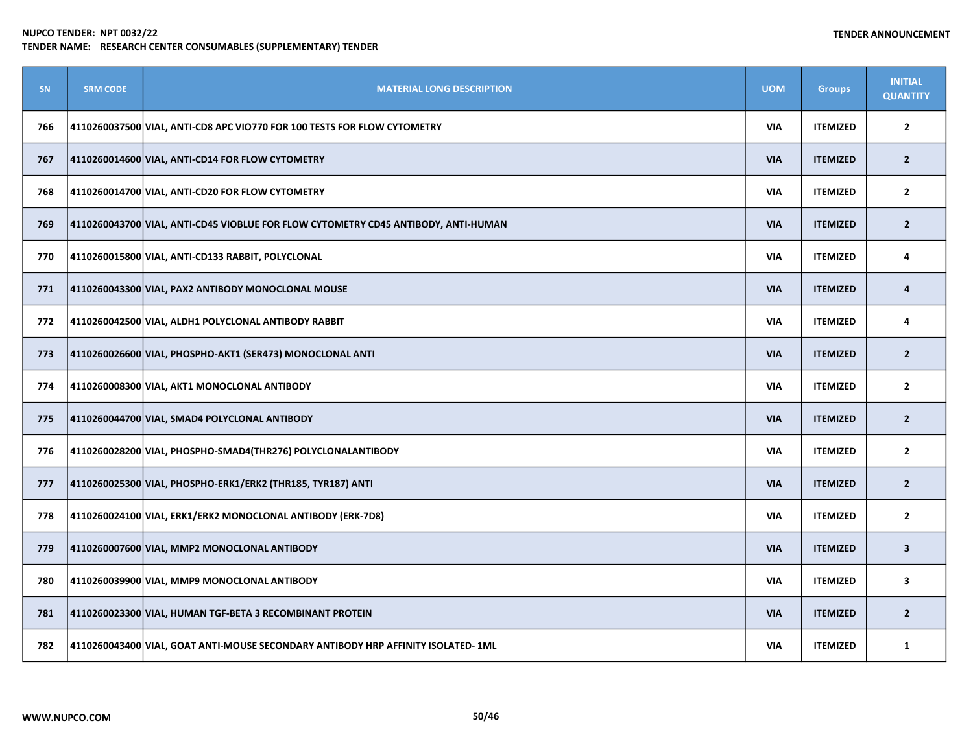| SN  | <b>SRM CODE</b> | <b>MATERIAL LONG DESCRIPTION</b>                                                   | <b>UOM</b> | <b>Groups</b>   | <b>INITIAL</b><br><b>QUANTITY</b> |
|-----|-----------------|------------------------------------------------------------------------------------|------------|-----------------|-----------------------------------|
| 766 |                 | 4110260037500 VIAL, ANTI-CD8 APC VIO770 FOR 100 TESTS FOR FLOW CYTOMETRY           | <b>VIA</b> | <b>ITEMIZED</b> | $\overline{2}$                    |
| 767 |                 | 4110260014600 VIAL, ANTI-CD14 FOR FLOW CYTOMETRY                                   | <b>VIA</b> | <b>ITEMIZED</b> | $\overline{2}$                    |
| 768 |                 | 4110260014700 VIAL, ANTI-CD20 FOR FLOW CYTOMETRY                                   | <b>VIA</b> | <b>ITEMIZED</b> | $\mathbf{2}$                      |
| 769 |                 | 4110260043700 VIAL, ANTI-CD45 VIOBLUE FOR FLOW CYTOMETRY CD45 ANTIBODY, ANTI-HUMAN | <b>VIA</b> | <b>ITEMIZED</b> | $\overline{2}$                    |
| 770 |                 | 4110260015800 VIAL, ANTI-CD133 RABBIT, POLYCLONAL                                  | <b>VIA</b> | <b>ITEMIZED</b> | 4                                 |
| 771 |                 | 4110260043300 VIAL, PAX2 ANTIBODY MONOCLONAL MOUSE                                 | <b>VIA</b> | <b>ITEMIZED</b> | 4                                 |
| 772 |                 | 4110260042500 VIAL, ALDH1 POLYCLONAL ANTIBODY RABBIT                               | <b>VIA</b> | <b>ITEMIZED</b> | 4                                 |
| 773 |                 | 4110260026600 VIAL, PHOSPHO-AKT1 (SER473) MONOCLONAL ANTI                          | <b>VIA</b> | <b>ITEMIZED</b> | $\overline{2}$                    |
| 774 |                 | 4110260008300 VIAL, AKT1 MONOCLONAL ANTIBODY                                       | <b>VIA</b> | <b>ITEMIZED</b> | $\overline{2}$                    |
| 775 |                 | 4110260044700 VIAL, SMAD4 POLYCLONAL ANTIBODY                                      | <b>VIA</b> | <b>ITEMIZED</b> | $\overline{2}$                    |
| 776 |                 | 4110260028200 VIAL, PHOSPHO-SMAD4 (THR276) POLYCLONALANTIBODY                      | <b>VIA</b> | <b>ITEMIZED</b> | $\overline{2}$                    |
| 777 |                 | 4110260025300 VIAL, PHOSPHO-ERK1/ERK2 (THR185, TYR187) ANTI                        | <b>VIA</b> | <b>ITEMIZED</b> | $\overline{2}$                    |
| 778 |                 | 4110260024100 VIAL, ERK1/ERK2 MONOCLONAL ANTIBODY (ERK-7D8)                        | <b>VIA</b> | <b>ITEMIZED</b> | $\overline{2}$                    |
| 779 |                 | 4110260007600 VIAL, MMP2 MONOCLONAL ANTIBODY                                       | <b>VIA</b> | <b>ITEMIZED</b> | $\overline{\mathbf{3}}$           |
| 780 |                 | 4110260039900 VIAL, MMP9 MONOCLONAL ANTIBODY                                       | <b>VIA</b> | <b>ITEMIZED</b> | 3                                 |
| 781 |                 | 4110260023300 VIAL, HUMAN TGF-BETA 3 RECOMBINANT PROTEIN                           | <b>VIA</b> | <b>ITEMIZED</b> | $\overline{2}$                    |
| 782 |                 | 4110260043400 VIAL, GOAT ANTI-MOUSE SECONDARY ANTIBODY HRP AFFINITY ISOLATED-1ML   | <b>VIA</b> | <b>ITEMIZED</b> | $\mathbf{1}$                      |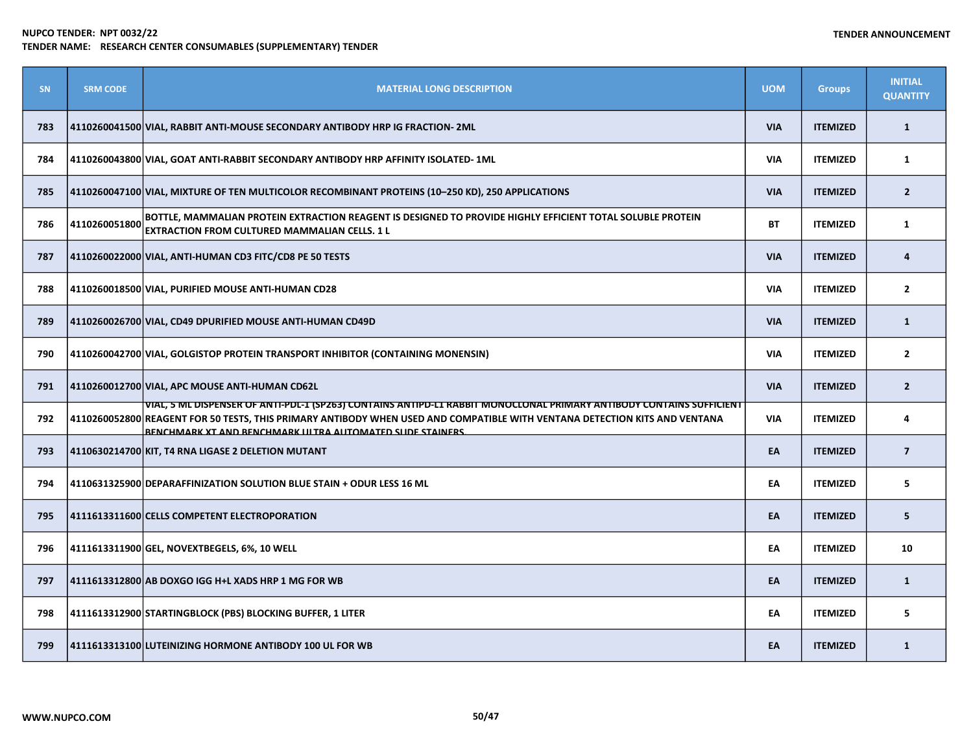| SN  | <b>SRM CODE</b> | <b>MATERIAL LONG DESCRIPTION</b>                                                                                                                                                                                                                                                                                         | <b>UOM</b> | <b>Groups</b>   | <b>INITIAL</b><br><b>QUANTITY</b> |
|-----|-----------------|--------------------------------------------------------------------------------------------------------------------------------------------------------------------------------------------------------------------------------------------------------------------------------------------------------------------------|------------|-----------------|-----------------------------------|
| 783 |                 | 4110260041500 VIAL, RABBIT ANTI-MOUSE SECONDARY ANTIBODY HRP IG FRACTION- 2ML                                                                                                                                                                                                                                            | <b>VIA</b> | <b>ITEMIZED</b> | $\mathbf{1}$                      |
| 784 |                 | 4110260043800 VIAL, GOAT ANTI-RABBIT SECONDARY ANTIBODY HRP AFFINITY ISOLATED-1ML                                                                                                                                                                                                                                        | <b>VIA</b> | <b>ITEMIZED</b> | $\mathbf{1}$                      |
| 785 |                 | 4110260047100 VIAL, MIXTURE OF TEN MULTICOLOR RECOMBINANT PROTEINS (10-250 KD), 250 APPLICATIONS                                                                                                                                                                                                                         | <b>VIA</b> | <b>ITEMIZED</b> | $\overline{2}$                    |
| 786 | 4110260051800   | BOTTLE, MAMMALIAN PROTEIN EXTRACTION REAGENT IS DESIGNED TO PROVIDE HIGHLY EFFICIENT TOTAL SOLUBLE PROTEIN<br>EXTRACTION FROM CULTURED MAMMALIAN CELLS. 1 L                                                                                                                                                              | <b>BT</b>  | <b>ITEMIZED</b> | $\mathbf{1}$                      |
| 787 |                 | 4110260022000 VIAL, ANTI-HUMAN CD3 FITC/CD8 PE 50 TESTS                                                                                                                                                                                                                                                                  | <b>VIA</b> | <b>ITEMIZED</b> | 4                                 |
| 788 |                 | 4110260018500 VIAL, PURIFIED MOUSE ANTI-HUMAN CD28                                                                                                                                                                                                                                                                       | <b>VIA</b> | <b>ITEMIZED</b> | $\mathbf{2}$                      |
| 789 |                 | 4110260026700 VIAL, CD49 DPURIFIED MOUSE ANTI-HUMAN CD49D                                                                                                                                                                                                                                                                | <b>VIA</b> | <b>ITEMIZED</b> | $\mathbf{1}$                      |
| 790 |                 | 4110260042700 VIAL, GOLGISTOP PROTEIN TRANSPORT INHIBITOR (CONTAINING MONENSIN)                                                                                                                                                                                                                                          | <b>VIA</b> | <b>ITEMIZED</b> | $\mathbf{2}$                      |
| 791 |                 | 4110260012700 VIAL, APC MOUSE ANTI-HUMAN CD62L                                                                                                                                                                                                                                                                           | <b>VIA</b> | <b>ITEMIZED</b> | $\overline{2}$                    |
| 792 |                 | VIAL, 5 ML DISPENSER OF ANTI-PDL-1 (SP263) CONTAINS ANTIPD-L1 RABBIT MONOCLONAL PRIMARY ANTIBODY CONTAINS SUFFICIENT<br>4110260052800 REAGENT FOR 50 TESTS, THIS PRIMARY ANTIBODY WHEN USED AND COMPATIBLE WITH VENTANA DETECTION KITS AND VENTANA<br><b>BENCHMARK XT AND BENCHMARK IIITRA ALITOMATED SLIDE STAINERS</b> | <b>VIA</b> | <b>ITEMIZED</b> | 4                                 |
| 793 |                 | 4110630214700 KIT, T4 RNA LIGASE 2 DELETION MUTANT                                                                                                                                                                                                                                                                       | EA         | <b>ITEMIZED</b> | $\overline{7}$                    |
| 794 |                 | 4110631325900 DEPARAFFINIZATION SOLUTION BLUE STAIN + ODUR LESS 16 ML                                                                                                                                                                                                                                                    | EA         | <b>ITEMIZED</b> | 5                                 |
| 795 |                 | 4111613311600 CELLS COMPETENT ELECTROPORATION                                                                                                                                                                                                                                                                            | EA         | <b>ITEMIZED</b> | 5                                 |
| 796 |                 | 4111613311900 GEL, NOVEXTBEGELS, 6%, 10 WELL                                                                                                                                                                                                                                                                             | EA         | <b>ITEMIZED</b> | 10                                |
| 797 |                 | 4111613312800 AB DOXGO IGG H+L XADS HRP 1 MG FOR WB                                                                                                                                                                                                                                                                      | EA         | <b>ITEMIZED</b> | $\mathbf{1}$                      |
| 798 |                 | 4111613312900 STARTINGBLOCK (PBS) BLOCKING BUFFER, 1 LITER                                                                                                                                                                                                                                                               | EA         | <b>ITEMIZED</b> | 5                                 |
| 799 |                 | 4111613313100 LUTEINIZING HORMONE ANTIBODY 100 UL FOR WB                                                                                                                                                                                                                                                                 | EA         | <b>ITEMIZED</b> | $\mathbf{1}$                      |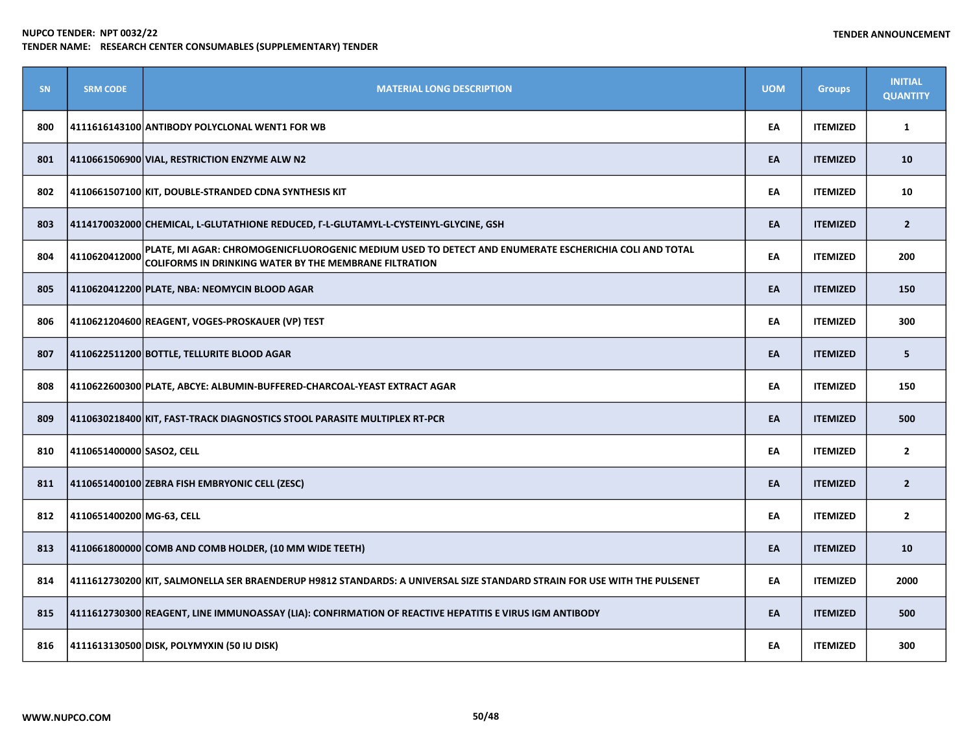| <b>SN</b> | <b>SRM CODE</b>           | <b>MATERIAL LONG DESCRIPTION</b>                                                                                                                                | <b>UOM</b> | <b>Groups</b>   | <b>INITIAL</b><br><b>QUANTITY</b> |
|-----------|---------------------------|-----------------------------------------------------------------------------------------------------------------------------------------------------------------|------------|-----------------|-----------------------------------|
| 800       |                           | 4111616143100 ANTIBODY POLYCLONAL WENT1 FOR WB                                                                                                                  | EA         | <b>ITEMIZED</b> | $\mathbf{1}$                      |
| 801       |                           | 4110661506900 VIAL, RESTRICTION ENZYME ALW N2                                                                                                                   | EA         | <b>ITEMIZED</b> | 10                                |
| 802       |                           | 4110661507100 KIT, DOUBLE-STRANDED CDNA SYNTHESIS KIT                                                                                                           | EA         | <b>ITEMIZED</b> | 10                                |
| 803       |                           | 4114170032000 CHEMICAL, L-GLUTATHIONE REDUCED, F-L-GLUTAMYL-L-CYSTEINYL-GLYCINE, GSH                                                                            | EA         | <b>ITEMIZED</b> | $\overline{2}$                    |
| 804       | 4110620412000             | PLATE, MI AGAR: CHROMOGENICFLUOROGENIC MEDIUM USED TO DETECT AND ENUMERATE ESCHERICHIA COLI AND TOTAL<br>COLIFORMS IN DRINKING WATER BY THE MEMBRANE FILTRATION | EA         | <b>ITEMIZED</b> | 200                               |
| 805       |                           | 4110620412200 PLATE, NBA: NEOMYCIN BLOOD AGAR                                                                                                                   | EA         | <b>ITEMIZED</b> | 150                               |
| 806       |                           | 4110621204600 REAGENT, VOGES-PROSKAUER (VP) TEST                                                                                                                | EA         | <b>ITEMIZED</b> | 300                               |
| 807       |                           | 4110622511200 BOTTLE, TELLURITE BLOOD AGAR                                                                                                                      | EA         | <b>ITEMIZED</b> | 5                                 |
| 808       |                           | 4110622600300 PLATE, ABCYE: ALBUMIN-BUFFERED-CHARCOAL-YEAST EXTRACT AGAR                                                                                        | EA         | <b>ITEMIZED</b> | 150                               |
| 809       |                           | 4110630218400 KIT, FAST-TRACK DIAGNOSTICS STOOL PARASITE MULTIPLEX RT-PCR                                                                                       | EA         | <b>ITEMIZED</b> | 500                               |
| 810       | 4110651400000 SASO2, CELL |                                                                                                                                                                 | EA         | <b>ITEMIZED</b> | $\overline{2}$                    |
| 811       |                           | 4110651400100 ZEBRA FISH EMBRYONIC CELL (ZESC)                                                                                                                  | EA         | <b>ITEMIZED</b> | $\overline{2}$                    |
| 812       | 4110651400200 MG-63, CELL |                                                                                                                                                                 | EA         | <b>ITEMIZED</b> | $\overline{2}$                    |
| 813       |                           | 4110661800000 COMB AND COMB HOLDER, (10 MM WIDE TEETH)                                                                                                          | EA         | <b>ITEMIZED</b> | 10                                |
| 814       |                           | 4111612730200 KIT, SALMONELLA SER BRAENDERUP H9812 STANDARDS: A UNIVERSAL SIZE STANDARD STRAIN FOR USE WITH THE PULSENET                                        | EA         | <b>ITEMIZED</b> | 2000                              |
| 815       |                           | 4111612730300 REAGENT, LINE IMMUNOASSAY (LIA): CONFIRMATION OF REACTIVE HEPATITIS E VIRUS IGM ANTIBODY                                                          | EA         | <b>ITEMIZED</b> | 500                               |
| 816       |                           | 4111613130500 DISK, POLYMYXIN (50 IU DISK)                                                                                                                      | EA         | <b>ITEMIZED</b> | 300                               |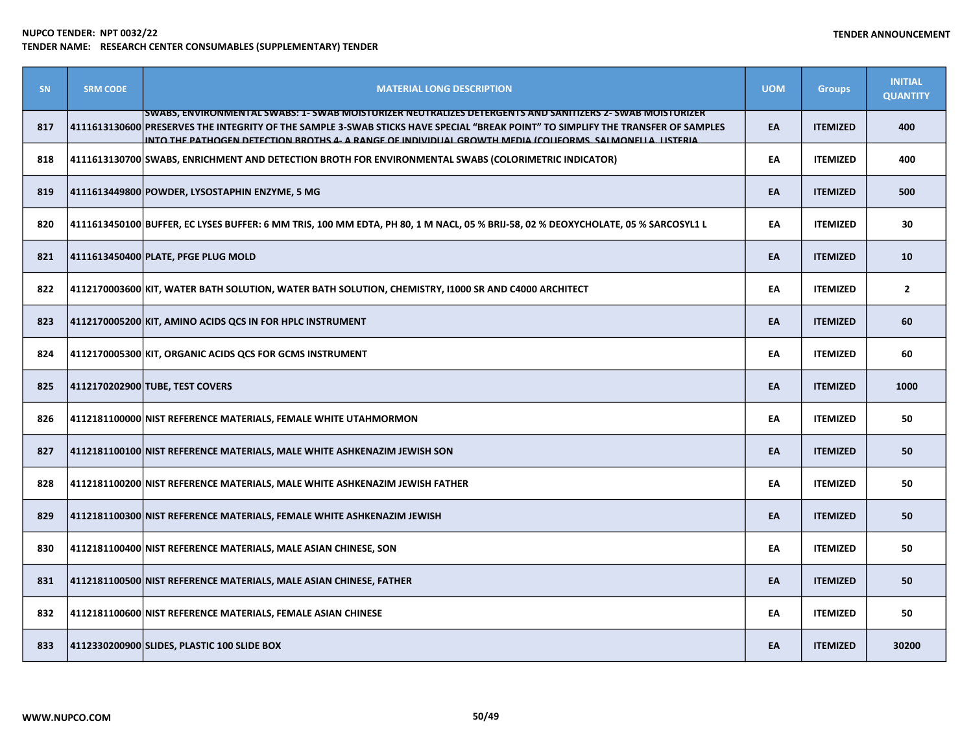| SN  | <b>SRM CODE</b> | <b>MATERIAL LONG DESCRIPTION</b>                                                                                                                                                                                                                                                                                                                           | <b>UOM</b> | <b>Groups</b>   | <b>INITIAL</b><br><b>QUANTITY</b> |
|-----|-----------------|------------------------------------------------------------------------------------------------------------------------------------------------------------------------------------------------------------------------------------------------------------------------------------------------------------------------------------------------------------|------------|-----------------|-----------------------------------|
| 817 |                 | SWABS, ENVIRONMENTAL SWABS: 1- SWAB MOISTURIZER NEUTRALIZES DETERGENTS AND SANITIZERS 2- SWAB MOISTURIZER<br>4111613130600 PRESERVES THE INTEGRITY OF THE SAMPLE 3-SWAB STICKS HAVE SPECIAL "BREAK POINT" TO SIMPLIFY THE TRANSFER OF SAMPLES<br>INTO THE PATHOGEN DETECTION BROTHS 4- A RANGE OF INDIVIDUAL GROWTH MEDIA (COLIFORMS, SALMONELLA, LISTERIA | EA         | <b>ITEMIZED</b> | 400                               |
| 818 |                 | 4111613130700 SWABS, ENRICHMENT AND DETECTION BROTH FOR ENVIRONMENTAL SWABS (COLORIMETRIC INDICATOR)                                                                                                                                                                                                                                                       | EA         | <b>ITEMIZED</b> | 400                               |
| 819 |                 | 4111613449800 POWDER, LYSOSTAPHIN ENZYME, 5 MG                                                                                                                                                                                                                                                                                                             | EA         | <b>ITEMIZED</b> | 500                               |
| 820 |                 | 4111613450100 BUFFER, EC LYSES BUFFER: 6 MM TRIS, 100 MM EDTA, PH 80, 1 M NACL, 05 % BRIJ-58, 02 % DEOXYCHOLATE, 05 % SARCOSYL1 L                                                                                                                                                                                                                          | EA         | <b>ITEMIZED</b> | 30                                |
| 821 |                 | 4111613450400 PLATE, PFGE PLUG MOLD                                                                                                                                                                                                                                                                                                                        | EA         | <b>ITEMIZED</b> | 10                                |
| 822 |                 | 4112170003600 KIT, WATER BATH SOLUTION, WATER BATH SOLUTION, CHEMISTRY, I1000 SR AND C4000 ARCHITECT                                                                                                                                                                                                                                                       | EA         | <b>ITEMIZED</b> | $\overline{2}$                    |
| 823 |                 | 4112170005200 KIT, AMINO ACIDS QCS IN FOR HPLC INSTRUMENT                                                                                                                                                                                                                                                                                                  | EA         | <b>ITEMIZED</b> | 60                                |
| 824 |                 | 4112170005300 KIT, ORGANIC ACIDS QCS FOR GCMS INSTRUMENT                                                                                                                                                                                                                                                                                                   | EA         | <b>ITEMIZED</b> | 60                                |
| 825 |                 | 4112170202900 TUBE, TEST COVERS                                                                                                                                                                                                                                                                                                                            | EA         | <b>ITEMIZED</b> | 1000                              |
| 826 |                 | 4112181100000 NIST REFERENCE MATERIALS, FEMALE WHITE UTAHMORMON                                                                                                                                                                                                                                                                                            | EA         | <b>ITEMIZED</b> | 50                                |
| 827 |                 | 4112181100100 NIST REFERENCE MATERIALS, MALE WHITE ASHKENAZIM JEWISH SON                                                                                                                                                                                                                                                                                   | EA         | <b>ITEMIZED</b> | 50                                |
| 828 |                 | 4112181100200 NIST REFERENCE MATERIALS, MALE WHITE ASHKENAZIM JEWISH FATHER                                                                                                                                                                                                                                                                                | EA         | <b>ITEMIZED</b> | 50                                |
| 829 |                 | 4112181100300 NIST REFERENCE MATERIALS, FEMALE WHITE ASHKENAZIM JEWISH                                                                                                                                                                                                                                                                                     | EA         | <b>ITEMIZED</b> | 50                                |
| 830 |                 | 4112181100400 NIST REFERENCE MATERIALS, MALE ASIAN CHINESE, SON                                                                                                                                                                                                                                                                                            | EA         | <b>ITEMIZED</b> | 50                                |
| 831 |                 | 4112181100500 NIST REFERENCE MATERIALS, MALE ASIAN CHINESE, FATHER                                                                                                                                                                                                                                                                                         | EA         | <b>ITEMIZED</b> | 50                                |
| 832 |                 | 4112181100600 NIST REFERENCE MATERIALS, FEMALE ASIAN CHINESE                                                                                                                                                                                                                                                                                               | EA         | <b>ITEMIZED</b> | 50                                |
| 833 |                 | 4112330200900 SLIDES, PLASTIC 100 SLIDE BOX                                                                                                                                                                                                                                                                                                                | EA         | <b>ITEMIZED</b> | 30200                             |